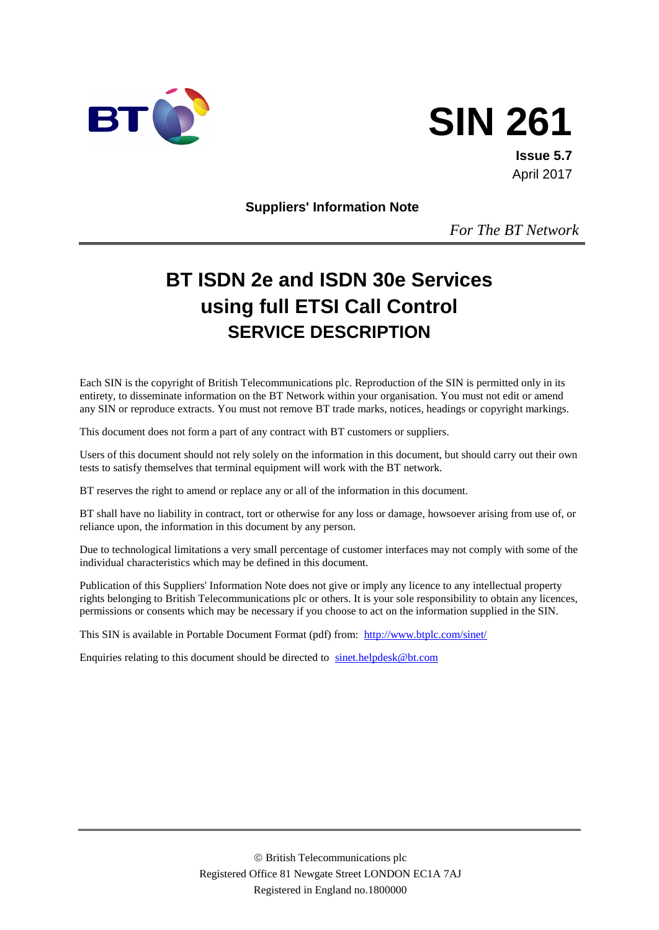



**Issue 5.7** April 2017

**Suppliers' Information Note**

*For The BT Network*

# **BT ISDN 2e and ISDN 30e Services using full ETSI Call Control SERVICE DESCRIPTION**

Each SIN is the copyright of British Telecommunications plc. Reproduction of the SIN is permitted only in its entirety, to disseminate information on the BT Network within your organisation. You must not edit or amend any SIN or reproduce extracts. You must not remove BT trade marks, notices, headings or copyright markings.

This document does not form a part of any contract with BT customers or suppliers.

Users of this document should not rely solely on the information in this document, but should carry out their own tests to satisfy themselves that terminal equipment will work with the BT network.

BT reserves the right to amend or replace any or all of the information in this document.

BT shall have no liability in contract, tort or otherwise for any loss or damage, howsoever arising from use of, or reliance upon, the information in this document by any person.

Due to technological limitations a very small percentage of customer interfaces may not comply with some of the individual characteristics which may be defined in this document.

Publication of this Suppliers' Information Note does not give or imply any licence to any intellectual property rights belonging to British Telecommunications plc or others. It is your sole responsibility to obtain any licences, permissions or consents which may be necessary if you choose to act on the information supplied in the SIN.

This SIN is available in Portable Document Format (pdf) from: <http://www.btplc.com/sinet/>

Enquiries relating to this document should be directed to [sinet.helpdesk@bt.com](mailto:sinet.helpdesk@bt.com)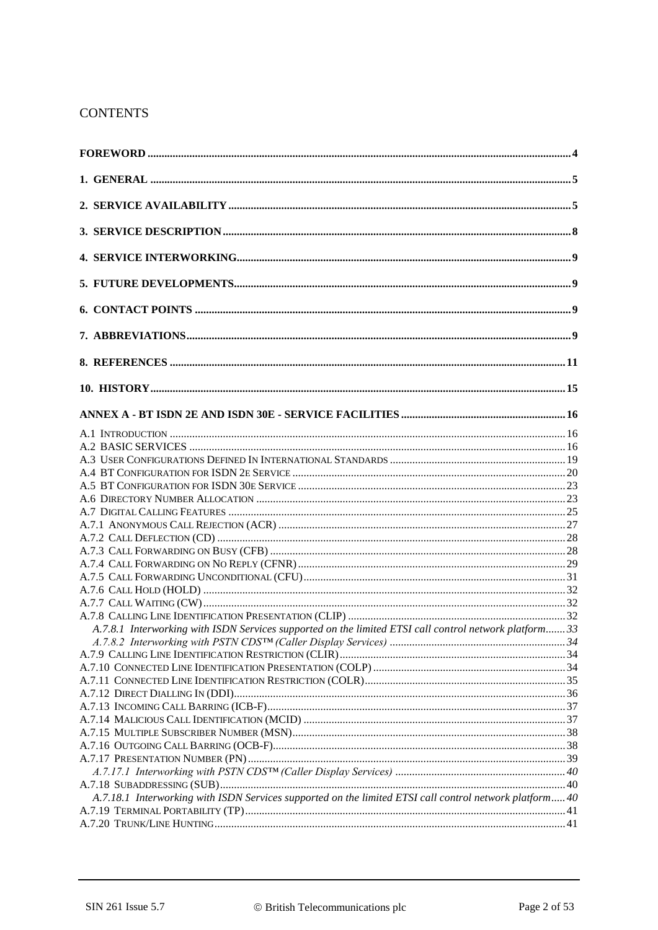## **CONTENTS**

| A.7.8.1 Interworking with ISDN Services supported on the limited ETSI call control network platform 33  |  |
|---------------------------------------------------------------------------------------------------------|--|
|                                                                                                         |  |
|                                                                                                         |  |
|                                                                                                         |  |
|                                                                                                         |  |
|                                                                                                         |  |
|                                                                                                         |  |
|                                                                                                         |  |
|                                                                                                         |  |
|                                                                                                         |  |
|                                                                                                         |  |
|                                                                                                         |  |
| A.7.18.1 Interworking with ISDN Services supported on the limited ETSI call control network platform 40 |  |
|                                                                                                         |  |
|                                                                                                         |  |
|                                                                                                         |  |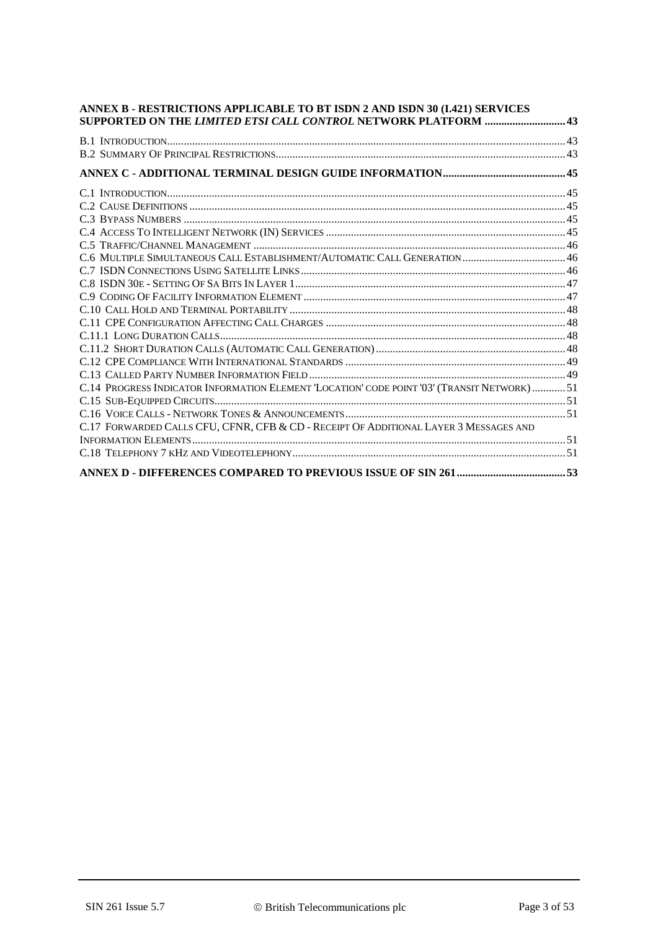| ANNEX B - RESTRICTIONS APPLICABLE TO BT ISDN 2 AND ISDN 30 (I.421) SERVICES<br><b>SUPPORTED ON THE LIMITED ETSI CALL CONTROL NETWORK PLATFORM  43</b> |  |
|-------------------------------------------------------------------------------------------------------------------------------------------------------|--|
|                                                                                                                                                       |  |
|                                                                                                                                                       |  |
|                                                                                                                                                       |  |
|                                                                                                                                                       |  |
|                                                                                                                                                       |  |
|                                                                                                                                                       |  |
|                                                                                                                                                       |  |
|                                                                                                                                                       |  |
| C.6 MULTIPLE SIMULTANEOUS CALL ESTABLISHMENT/AUTOMATIC CALL GENERATION 46                                                                             |  |
|                                                                                                                                                       |  |
|                                                                                                                                                       |  |
|                                                                                                                                                       |  |
|                                                                                                                                                       |  |
|                                                                                                                                                       |  |
|                                                                                                                                                       |  |
|                                                                                                                                                       |  |
|                                                                                                                                                       |  |
|                                                                                                                                                       |  |
| C.14 PROGRESS INDICATOR INFORMATION ELEMENT 'LOCATION' CODE POINT '03' (TRANSIT NETWORK)51                                                            |  |
|                                                                                                                                                       |  |
|                                                                                                                                                       |  |
| C.17 FORWARDED CALLS CFU, CFNR, CFB & CD - RECEIPT OF ADDITIONAL LAYER 3 MESSAGES AND                                                                 |  |
|                                                                                                                                                       |  |
|                                                                                                                                                       |  |
|                                                                                                                                                       |  |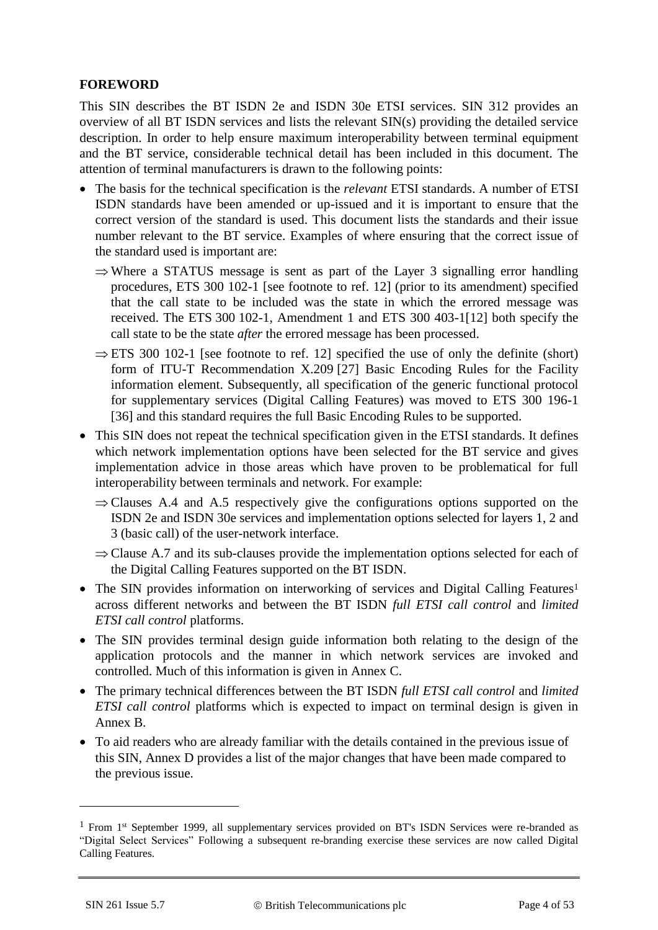#### **FOREWORD**

This SIN describes the BT ISDN 2e and ISDN 30e ETSI services. SIN 312 provides an overview of all BT ISDN services and lists the relevant SIN(s) providing the detailed service description. In order to help ensure maximum interoperability between terminal equipment and the BT service, considerable technical detail has been included in this document. The attention of terminal manufacturers is drawn to the following points:

- The basis for the technical specification is the *relevant* ETSI standards. A number of ETSI ISDN standards have been amended or up-issued and it is important to ensure that the correct version of the standard is used. This document lists the standards and their issue number relevant to the BT service. Examples of where ensuring that the correct issue of the standard used is important are:
	- $\Rightarrow$  Where a STATUS message is sent as part of the Layer 3 signalling error handling procedures, ETS 300 102-1 [see footnote to ref. 12] (prior to its amendment) specified that the call state to be included was the state in which the errored message was received. The ETS 300 102-1, Amendment 1 and ETS 300 403-1[12] both specify the call state to be the state *after* the errored message has been processed.
	- $\Rightarrow$  ETS 300 102-1 [see footnote to ref. 12] specified the use of only the definite (short) form of ITU-T Recommendation X.209 [27] Basic Encoding Rules for the Facility information element. Subsequently, all specification of the generic functional protocol for supplementary services (Digital Calling Features) was moved to ETS 300 196-1 [36] and this standard requires the full Basic Encoding Rules to be supported.
- This SIN does not repeat the technical specification given in the ETSI standards. It defines which network implementation options have been selected for the BT service and gives implementation advice in those areas which have proven to be problematical for full interoperability between terminals and network. For example:
	- $\Rightarrow$  Clauses A.4 and A.5 respectively give the configurations options supported on the ISDN 2e and ISDN 30e services and implementation options selected for layers 1, 2 and 3 (basic call) of the user-network interface.
	- $\Rightarrow$  Clause A.7 and its sub-clauses provide the implementation options selected for each of the Digital Calling Features supported on the BT ISDN.
- The SIN provides information on interworking of services and Digital Calling Features<sup>1</sup> across different networks and between the BT ISDN *full ETSI call control* and *limited ETSI call control* platforms.
- The SIN provides terminal design guide information both relating to the design of the application protocols and the manner in which network services are invoked and controlled. Much of this information is given in Annex C.
- The primary technical differences between the BT ISDN *full ETSI call control* and *limited ETSI call control* platforms which is expected to impact on terminal design is given in Annex B.
- To aid readers who are already familiar with the details contained in the previous issue of this SIN, Annex D provides a list of the major changes that have been made compared to the previous issue.

<u>.</u>

<sup>&</sup>lt;sup>1</sup> From 1<sup>st</sup> September 1999, all supplementary services provided on BT's ISDN Services were re-branded as "Digital Select Services" Following a subsequent re-branding exercise these services are now called Digital Calling Features.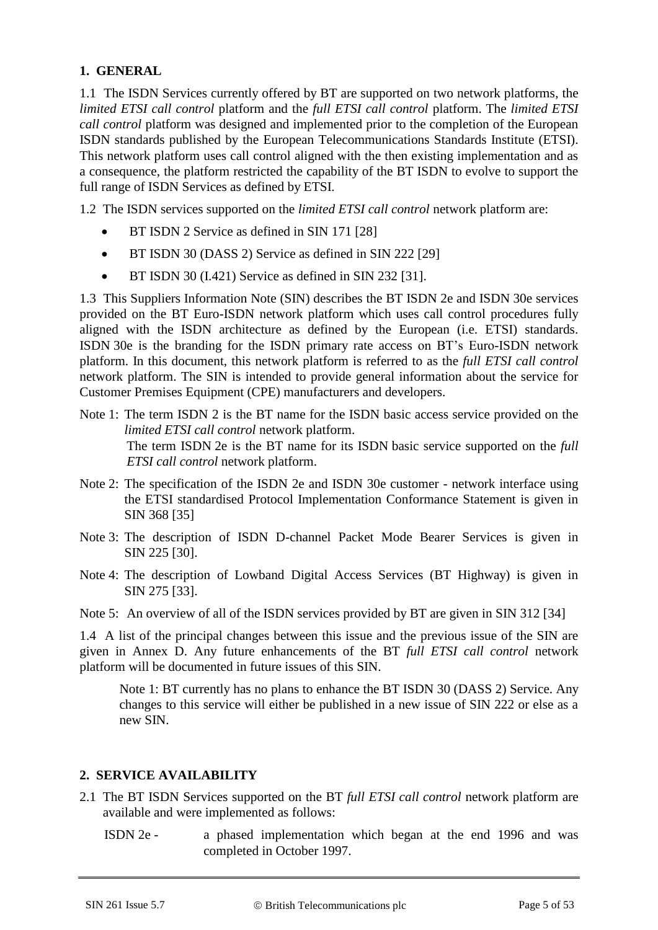## **1. GENERAL**

1.1 The ISDN Services currently offered by BT are supported on two network platforms, the *limited ETSI call control* platform and the *full ETSI call control* platform. The *limited ETSI call control* platform was designed and implemented prior to the completion of the European ISDN standards published by the European Telecommunications Standards Institute (ETSI). This network platform uses call control aligned with the then existing implementation and as a consequence, the platform restricted the capability of the BT ISDN to evolve to support the full range of ISDN Services as defined by ETSI.

1.2 The ISDN services supported on the *limited ETSI call control* network platform are:

- BT ISDN 2 Service as defined in SIN 171 [28]
- BT ISDN 30 (DASS 2) Service as defined in SIN 222 [29]
- BT ISDN 30 (I.421) Service as defined in SIN 232 [31].

1.3 This Suppliers Information Note (SIN) describes the BT ISDN 2e and ISDN 30e services provided on the BT Euro-ISDN network platform which uses call control procedures fully aligned with the ISDN architecture as defined by the European (i.e. ETSI) standards. ISDN 30e is the branding for the ISDN primary rate access on BT's Euro-ISDN network platform. In this document, this network platform is referred to as the *full ETSI call control*  network platform. The SIN is intended to provide general information about the service for Customer Premises Equipment (CPE) manufacturers and developers.

- Note 1: The term ISDN 2 is the BT name for the ISDN basic access service provided on the *limited ETSI call control* network platform. The term ISDN 2e is the BT name for its ISDN basic service supported on the *full ETSI call control* network platform.
- Note 2: The specification of the ISDN 2e and ISDN 30e customer network interface using the ETSI standardised Protocol Implementation Conformance Statement is given in SIN 368 [35]
- Note 3: The description of ISDN D-channel Packet Mode Bearer Services is given in SIN 225 [\[30\]](#page-11-0).
- Note 4: The description of Lowband Digital Access Services (BT Highway) is given in SIN 275 [\[33\]](#page-11-1).

Note 5: An overview of all of the ISDN services provided by BT are given in SIN 312 [34]

1.4 A list of the principal changes between this issue and the previous issue of the SIN are given in Annex D. Any future enhancements of the BT *full ETSI call control* network platform will be documented in future issues of this SIN.

Note 1: BT currently has no plans to enhance the BT ISDN 30 (DASS 2) Service. Any changes to this service will either be published in a new issue of SIN 222 or else as a new SIN.

#### **2. SERVICE AVAILABILITY**

- 2.1 The BT ISDN Services supported on the BT *full ETSI call control* network platform are available and were implemented as follows:
	- ISDN 2e a phased implementation which began at the end 1996 and was completed in October 1997.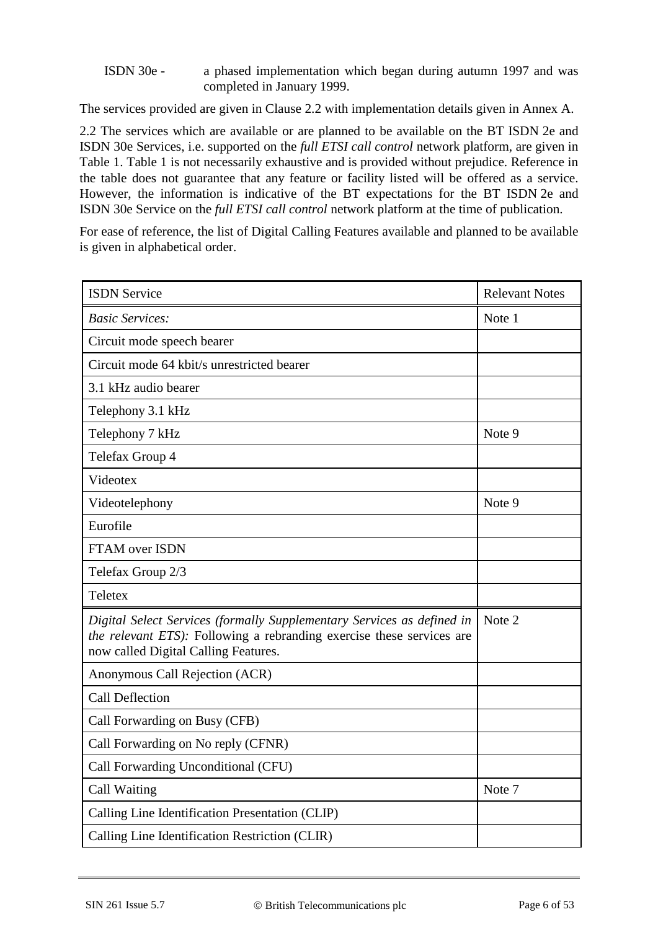#### ISDN 30e - a phased implementation which began during autumn 1997 and was completed in January 1999.

The services provided are given in Clause 2.2 with implementation details given in Annex A.

2.2 The services which are available or are planned to be available on the BT ISDN 2e and ISDN 30e Services, i.e. supported on the *full ETSI call control* network platform, are given in Table 1. Table 1 is not necessarily exhaustive and is provided without prejudice. Reference in the table does not guarantee that any feature or facility listed will be offered as a service. However, the information is indicative of the BT expectations for the BT ISDN 2e and ISDN 30e Service on the *full ETSI call control* network platform at the time of publication.

For ease of reference, the list of Digital Calling Features available and planned to be available is given in alphabetical order.

| <b>ISDN Service</b>                                                                                                                                                                     | <b>Relevant Notes</b> |
|-----------------------------------------------------------------------------------------------------------------------------------------------------------------------------------------|-----------------------|
| <b>Basic Services:</b>                                                                                                                                                                  | Note 1                |
| Circuit mode speech bearer                                                                                                                                                              |                       |
| Circuit mode 64 kbit/s unrestricted bearer                                                                                                                                              |                       |
| 3.1 kHz audio bearer                                                                                                                                                                    |                       |
| Telephony 3.1 kHz                                                                                                                                                                       |                       |
| Telephony 7 kHz                                                                                                                                                                         | Note 9                |
| Telefax Group 4                                                                                                                                                                         |                       |
| Videotex                                                                                                                                                                                |                       |
| Videotelephony                                                                                                                                                                          | Note 9                |
| Eurofile                                                                                                                                                                                |                       |
| <b>FTAM over ISDN</b>                                                                                                                                                                   |                       |
| Telefax Group 2/3                                                                                                                                                                       |                       |
| Teletex                                                                                                                                                                                 |                       |
| Digital Select Services (formally Supplementary Services as defined in<br>the relevant ETS): Following a rebranding exercise these services are<br>now called Digital Calling Features. | Note 2                |
| Anonymous Call Rejection (ACR)                                                                                                                                                          |                       |
| <b>Call Deflection</b>                                                                                                                                                                  |                       |
| Call Forwarding on Busy (CFB)                                                                                                                                                           |                       |
| Call Forwarding on No reply (CFNR)                                                                                                                                                      |                       |
| Call Forwarding Unconditional (CFU)                                                                                                                                                     |                       |
| Call Waiting                                                                                                                                                                            | Note 7                |
| Calling Line Identification Presentation (CLIP)                                                                                                                                         |                       |
| Calling Line Identification Restriction (CLIR)                                                                                                                                          |                       |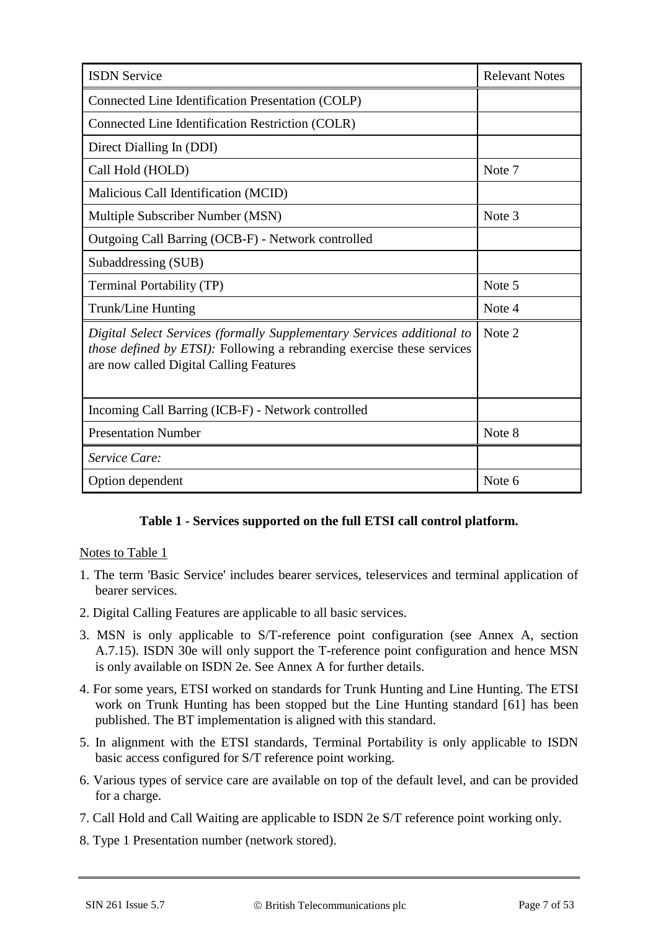| <b>ISDN Service</b>                                                                                                                                                                                 | <b>Relevant Notes</b> |
|-----------------------------------------------------------------------------------------------------------------------------------------------------------------------------------------------------|-----------------------|
| Connected Line Identification Presentation (COLP)                                                                                                                                                   |                       |
| Connected Line Identification Restriction (COLR)                                                                                                                                                    |                       |
| Direct Dialling In (DDI)                                                                                                                                                                            |                       |
| Call Hold (HOLD)                                                                                                                                                                                    | Note 7                |
| Malicious Call Identification (MCID)                                                                                                                                                                |                       |
| Multiple Subscriber Number (MSN)                                                                                                                                                                    | Note 3                |
| Outgoing Call Barring (OCB-F) - Network controlled                                                                                                                                                  |                       |
| Subaddressing (SUB)                                                                                                                                                                                 |                       |
| Terminal Portability (TP)                                                                                                                                                                           | Note 5                |
| Trunk/Line Hunting                                                                                                                                                                                  | Note 4                |
| Digital Select Services (formally Supplementary Services additional to<br><i>those defined by ETSI</i> ): Following a rebranding exercise these services<br>are now called Digital Calling Features | Note 2                |
| Incoming Call Barring (ICB-F) - Network controlled                                                                                                                                                  |                       |
| <b>Presentation Number</b>                                                                                                                                                                          | Note 8                |
| <i>Service Care:</i>                                                                                                                                                                                |                       |
| Option dependent                                                                                                                                                                                    | Note 6                |

#### **Table 1 - Services supported on the full ETSI call control platform.**

#### Notes to Table 1

- 1. The term 'Basic Service' includes bearer services, teleservices and terminal application of bearer services.
- 2. Digital Calling Features are applicable to all basic services.
- 3. MSN is only applicable to S/T-reference point configuration (see Annex A, section A.7.15). ISDN 30e will only support the T-reference point configuration and hence MSN is only available on ISDN 2e. See Annex A for further details.
- 4. For some years, ETSI worked on standards for Trunk Hunting and Line Hunting. The ETSI work on Trunk Hunting has been stopped but the Line Hunting standard [61] has been published. The BT implementation is aligned with this standard.
- 5. In alignment with the ETSI standards, Terminal Portability is only applicable to ISDN basic access configured for S/T reference point working.
- 6. Various types of service care are available on top of the default level, and can be provided for a charge.
- 7. Call Hold and Call Waiting are applicable to ISDN 2e S/T reference point working only.
- 8. Type 1 Presentation number (network stored).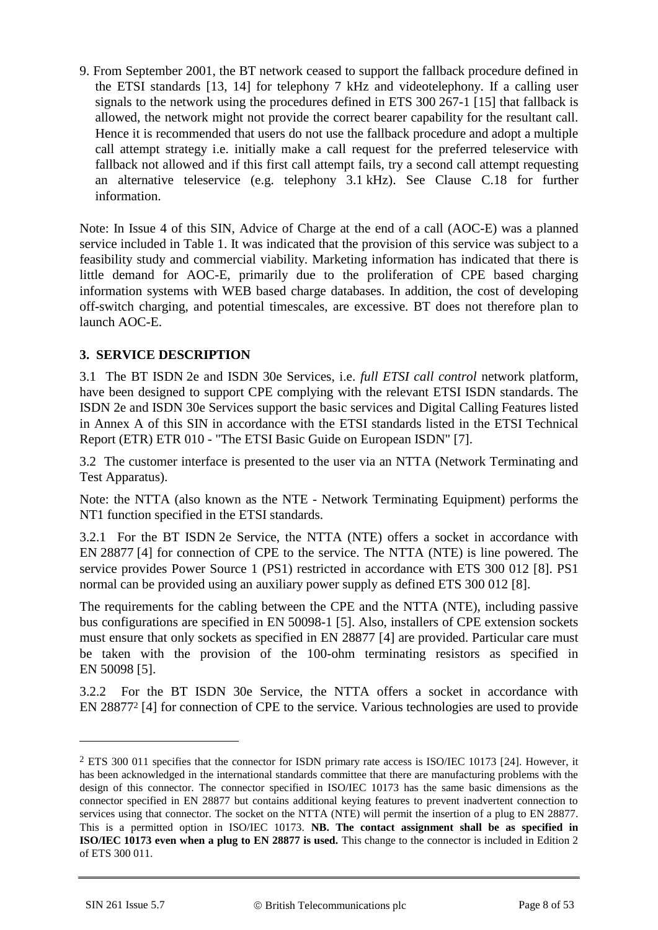9. From September 2001, the BT network ceased to support the fallback procedure defined in the ETSI standards [13, 14] for telephony 7 kHz and videotelephony. If a calling user signals to the network using the procedures defined in ETS 300 267-1 [15] that fallback is allowed, the network might not provide the correct bearer capability for the resultant call. Hence it is recommended that users do not use the fallback procedure and adopt a multiple call attempt strategy i.e. initially make a call request for the preferred teleservice with fallback not allowed and if this first call attempt fails, try a second call attempt requesting an alternative teleservice (e.g. telephony 3.1 kHz). See Clause [C.18](#page-50-0) for further information.

Note: In Issue 4 of this SIN, Advice of Charge at the end of a call (AOC-E) was a planned service included in Table 1. It was indicated that the provision of this service was subject to a feasibility study and commercial viability. Marketing information has indicated that there is little demand for AOC-E, primarily due to the proliferation of CPE based charging information systems with WEB based charge databases. In addition, the cost of developing off-switch charging, and potential timescales, are excessive. BT does not therefore plan to launch AOC-E.

## **3. SERVICE DESCRIPTION**

3.1 The BT ISDN 2e and ISDN 30e Services, i.e. *full ETSI call control* network platform, have been designed to support CPE complying with the relevant ETSI ISDN standards. The ISDN 2e and ISDN 30e Services support the basic services and Digital Calling Features listed in Annex A of this SIN in accordance with the ETSI standards listed in the ETSI Technical Report (ETR) ETR 010 - "The ETSI Basic Guide on European ISDN" [7].

3.2 The customer interface is presented to the user via an NTTA (Network Terminating and Test Apparatus).

Note: the NTTA (also known as the NTE - Network Terminating Equipment) performs the NT1 function specified in the ETSI standards.

3.2.1 For the BT ISDN 2e Service, the NTTA (NTE) offers a socket in accordance with EN 28877 [4] for connection of CPE to the service. The NTTA (NTE) is line powered. The service provides Power Source 1 (PS1) restricted in accordance with ETS 300 012 [8]. PS1 normal can be provided using an auxiliary power supply as defined ETS 300 012 [8].

The requirements for the cabling between the CPE and the NTTA (NTE), including passive bus configurations are specified in EN 50098-1 [5]. Also, installers of CPE extension sockets must ensure that only sockets as specified in EN 28877 [4] are provided. Particular care must be taken with the provision of the 100-ohm terminating resistors as specified in EN 50098 [5].

3.2.2 For the BT ISDN 30e Service, the NTTA offers a socket in accordance with EN 28877<sup>2</sup> [4] for connection of CPE to the service. Various technologies are used to provide

1

<sup>&</sup>lt;sup>2</sup> ETS 300 011 specifies that the connector for ISDN primary rate access is ISO/IEC 10173 [24]. However, it has been acknowledged in the international standards committee that there are manufacturing problems with the design of this connector. The connector specified in ISO/IEC 10173 has the same basic dimensions as the connector specified in EN 28877 but contains additional keying features to prevent inadvertent connection to services using that connector. The socket on the NTTA (NTE) will permit the insertion of a plug to EN 28877. This is a permitted option in ISO/IEC 10173. **NB. The contact assignment shall be as specified in ISO/IEC 10173 even when a plug to EN 28877 is used.** This change to the connector is included in Edition 2 of ETS 300 011.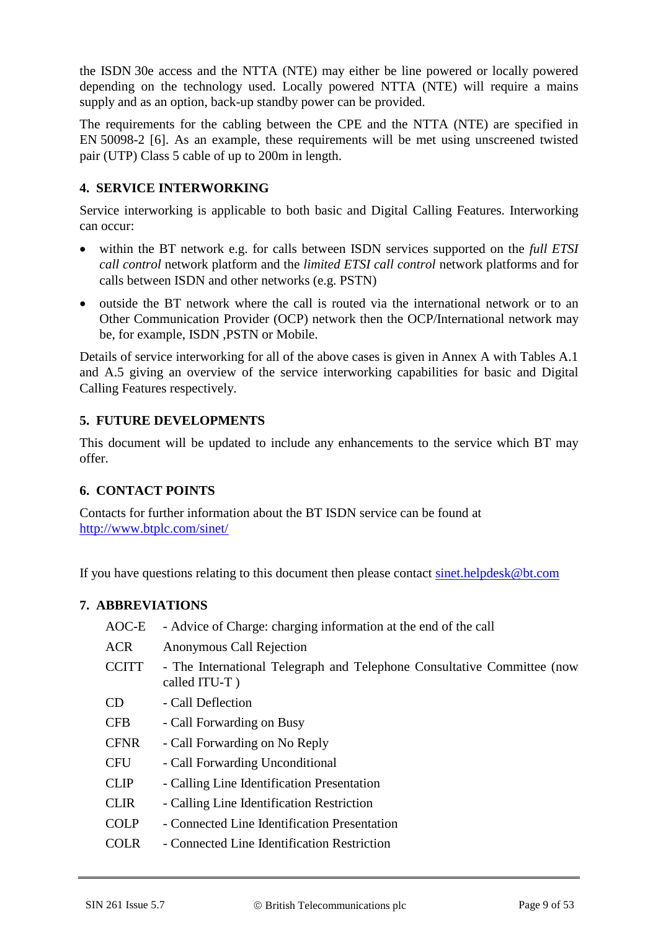the ISDN 30e access and the NTTA (NTE) may either be line powered or locally powered depending on the technology used. Locally powered NTTA (NTE) will require a mains supply and as an option, back-up standby power can be provided.

The requirements for the cabling between the CPE and the NTTA (NTE) are specified in EN 50098-2 [6]. As an example, these requirements will be met using unscreened twisted pair (UTP) Class 5 cable of up to 200m in length.

## **4. SERVICE INTERWORKING**

Service interworking is applicable to both basic and Digital Calling Features. Interworking can occur:

- within the BT network e.g. for calls between ISDN services supported on the *full ETSI call control* network platform and the *limited ETSI call control* network platforms and for calls between ISDN and other networks (e.g. PSTN)
- outside the BT network where the call is routed via the international network or to an Other Communication Provider (OCP) network then the OCP/International network may be, for example, ISDN ,PSTN or Mobile.

Details of service interworking for all of the above cases is given in Annex A with Tables A.1 and A.5 giving an overview of the service interworking capabilities for basic and Digital Calling Features respectively.

## **5. FUTURE DEVELOPMENTS**

This document will be updated to include any enhancements to the service which BT may offer.

#### **6. CONTACT POINTS**

Contacts for further information about the BT ISDN service can be found at <http://www.btplc.com/sinet/>

If you have questions relating to this document then please contact [sinet.helpdesk@bt.com](mailto:sinet.helpdesk@bt.com)

#### **7. ABBREVIATIONS**

| AOC-E        | - Advice of Charge: charging information at the end of the call                          |
|--------------|------------------------------------------------------------------------------------------|
| <b>ACR</b>   | Anonymous Call Rejection                                                                 |
| <b>CCITT</b> | - The International Telegraph and Telephone Consultative Committee (now<br>called ITU-T) |
| CD           | - Call Deflection                                                                        |
| <b>CFB</b>   | - Call Forwarding on Busy                                                                |
| <b>CFNR</b>  | - Call Forwarding on No Reply                                                            |
| <b>CFU</b>   | - Call Forwarding Unconditional                                                          |
| <b>CLIP</b>  | - Calling Line Identification Presentation                                               |
| <b>CLIR</b>  | - Calling Line Identification Restriction                                                |
| <b>COLP</b>  | - Connected Line Identification Presentation                                             |
| <b>COLR</b>  | - Connected Line Identification Restriction                                              |
|              |                                                                                          |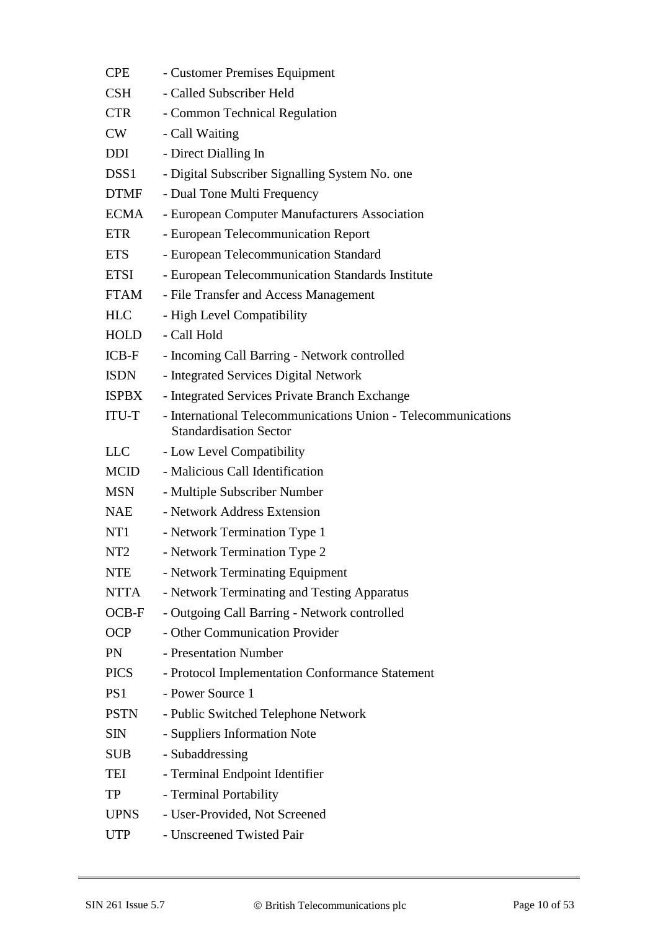| <b>CPE</b>       | - Customer Premises Equipment                                                                  |
|------------------|------------------------------------------------------------------------------------------------|
| CSH              | - Called Subscriber Held                                                                       |
| <b>CTR</b>       | - Common Technical Regulation                                                                  |
| CW               | - Call Waiting                                                                                 |
| <b>DDI</b>       | - Direct Dialling In                                                                           |
| DSS <sub>1</sub> | - Digital Subscriber Signalling System No. one                                                 |
| <b>DTMF</b>      | - Dual Tone Multi Frequency                                                                    |
| <b>ECMA</b>      | - European Computer Manufacturers Association                                                  |
| <b>ETR</b>       | - European Telecommunication Report                                                            |
| <b>ETS</b>       | - European Telecommunication Standard                                                          |
| <b>ETSI</b>      | - European Telecommunication Standards Institute                                               |
| <b>FTAM</b>      | - File Transfer and Access Management                                                          |
| <b>HLC</b>       | - High Level Compatibility                                                                     |
| <b>HOLD</b>      | - Call Hold                                                                                    |
| $ICB-F$          | - Incoming Call Barring - Network controlled                                                   |
| <b>ISDN</b>      | - Integrated Services Digital Network                                                          |
| <b>ISPBX</b>     | - Integrated Services Private Branch Exchange                                                  |
| <b>ITU-T</b>     | - International Telecommunications Union - Telecommunications<br><b>Standardisation Sector</b> |
| <b>LLC</b>       | - Low Level Compatibility                                                                      |
| <b>MCID</b>      | - Malicious Call Identification                                                                |
| MSN              | - Multiple Subscriber Number                                                                   |
| <b>NAE</b>       | - Network Address Extension                                                                    |
| NT1              | - Network Termination Type 1                                                                   |
| NT <sub>2</sub>  | - Network Termination Type 2                                                                   |
| <b>NTE</b>       | - Network Terminating Equipment                                                                |
| <b>NTTA</b>      | - Network Terminating and Testing Apparatus                                                    |
| $OCB-F$          | - Outgoing Call Barring - Network controlled                                                   |
| <b>OCP</b>       | - Other Communication Provider                                                                 |
| PN               | - Presentation Number                                                                          |
| <b>PICS</b>      | - Protocol Implementation Conformance Statement                                                |
| PS1              | - Power Source 1                                                                               |
| <b>PSTN</b>      | - Public Switched Telephone Network                                                            |
| <b>SIN</b>       | - Suppliers Information Note                                                                   |
| SUB              | - Subaddressing                                                                                |
| TEI              | - Terminal Endpoint Identifier                                                                 |
| TP               | - Terminal Portability                                                                         |
| <b>UPNS</b>      | - User-Provided, Not Screened                                                                  |
| <b>UTP</b>       | - Unscreened Twisted Pair                                                                      |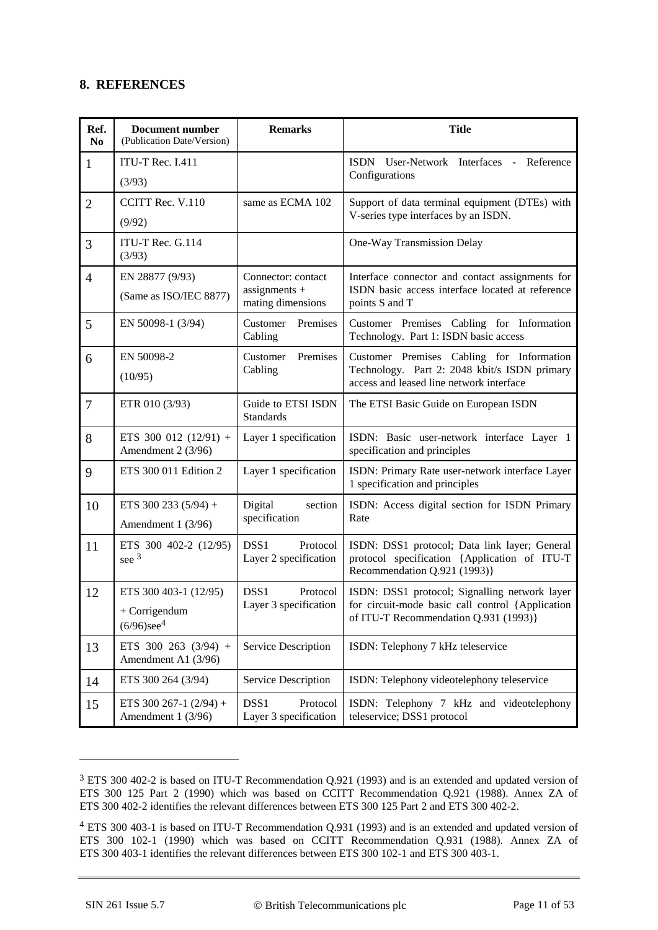#### **8. REFERENCES**

| Ref.<br>N <sub>0</sub> | Document number<br>(Publication Date/Version)  | <b>Remarks</b>                                        | <b>Title</b>                                                                                                                  |
|------------------------|------------------------------------------------|-------------------------------------------------------|-------------------------------------------------------------------------------------------------------------------------------|
| 1                      | ITU-T Rec. I.411                               |                                                       | ISDN User-Network Interfaces - Reference                                                                                      |
|                        | (3/93)                                         |                                                       | Configurations                                                                                                                |
| $\overline{2}$         | CCITT Rec. V.110                               | same as ECMA 102                                      | Support of data terminal equipment (DTEs) with                                                                                |
|                        | (9/92)                                         |                                                       | V-series type interfaces by an ISDN.                                                                                          |
| 3                      | ITU-T Rec. G.114<br>(3/93)                     |                                                       | One-Way Transmission Delay                                                                                                    |
| $\overline{4}$         | EN 28877 (9/93)                                | Connector: contact                                    | Interface connector and contact assignments for                                                                               |
|                        | (Same as ISO/IEC 8877)                         | $assignments +$<br>mating dimensions                  | ISDN basic access interface located at reference<br>points S and T                                                            |
| 5                      | EN 50098-1 (3/94)                              | Premises<br>Customer<br>Cabling                       | Customer Premises Cabling for Information<br>Technology. Part 1: ISDN basic access                                            |
| 6                      | EN 50098-2                                     | Premises<br>Customer                                  | Customer Premises Cabling for Information                                                                                     |
|                        | (10/95)                                        | Cabling                                               | Technology. Part 2: 2048 kbit/s ISDN primary<br>access and leased line network interface                                      |
| $\tau$                 | ETR 010 (3/93)                                 | Guide to ETSI ISDN<br><b>Standards</b>                | The ETSI Basic Guide on European ISDN                                                                                         |
| 8                      | ETS 300 012 (12/91) +<br>Amendment 2 (3/96)    | Layer 1 specification                                 | ISDN: Basic user-network interface Layer 1<br>specification and principles                                                    |
| 9                      | ETS 300 011 Edition 2                          | Layer 1 specification                                 | ISDN: Primary Rate user-network interface Layer<br>1 specification and principles                                             |
| 10                     | ETS 300 233 (5/94) +                           | Digital<br>section                                    | ISDN: Access digital section for ISDN Primary                                                                                 |
|                        | Amendment 1 (3/96)                             | specification                                         | Rate                                                                                                                          |
| 11                     | ETS 300 402-2 (12/95)<br>see 3                 | DSS <sub>1</sub><br>Protocol<br>Layer 2 specification | ISDN: DSS1 protocol; Data link layer; General<br>protocol specification {Application of ITU-T<br>Recommendation Q.921 (1993)} |
| 12                     | ETS 300 403-1 (12/95)                          | DSS1<br>Protocol<br>Layer 3 specification             | ISDN: DSS1 protocol; Signalling network layer<br>for circuit-mode basic call control {Application                             |
|                        | + Corrigendum<br>$(6/96)$ see <sup>4</sup>     |                                                       | of ITU-T Recommendation Q.931 (1993)}                                                                                         |
| 13                     | ETS 300 263 (3/94) +<br>Amendment A1 (3/96)    | Service Description                                   | ISDN: Telephony 7 kHz teleservice                                                                                             |
| 14                     | ETS 300 264 (3/94)                             | Service Description                                   | ISDN: Telephony videotelephony teleservice                                                                                    |
| 15                     | ETS 300 267-1 $(2/94)$ +<br>Amendment 1 (3/96) | DSS1<br>Protocol<br>Layer 3 specification             | ISDN: Telephony 7 kHz and videotelephony<br>teleservice; DSS1 protocol                                                        |

<sup>3</sup> ETS 300 402-2 is based on ITU-T Recommendation Q.921 (1993) and is an extended and updated version of ETS 300 125 Part 2 (1990) which was based on CCITT Recommendation Q.921 (1988). Annex ZA of ETS 300 402-2 identifies the relevant differences between ETS 300 125 Part 2 and ETS 300 402-2.

<u>.</u>

<sup>4</sup> ETS 300 403-1 is based on ITU-T Recommendation Q.931 (1993) and is an extended and updated version of ETS 300 102-1 (1990) which was based on CCITT Recommendation Q.931 (1988). Annex ZA of ETS 300 403-1 identifies the relevant differences between ETS 300 102-1 and ETS 300 403-1.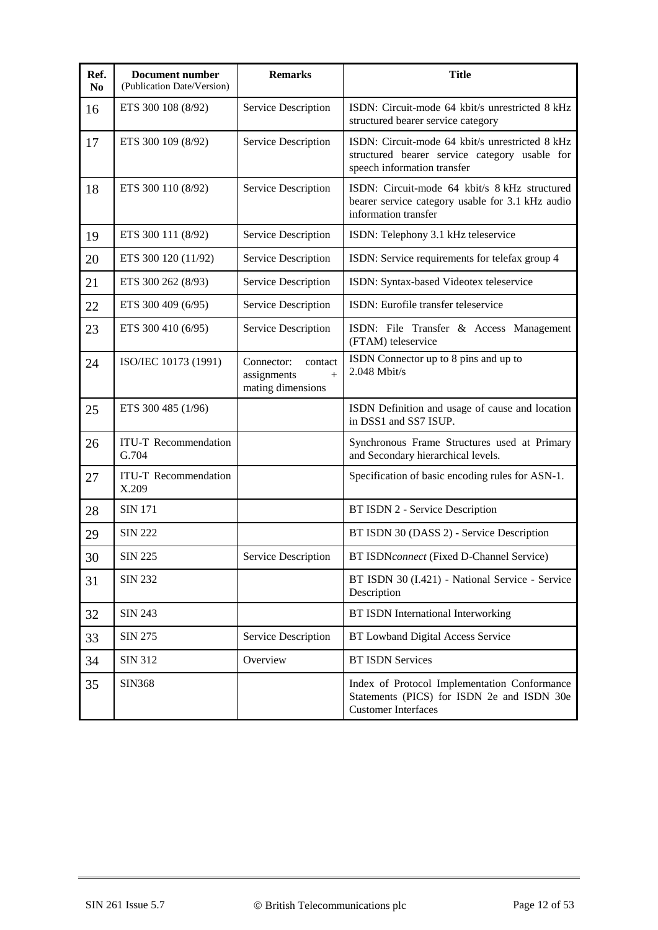<span id="page-11-1"></span><span id="page-11-0"></span>

| Ref.<br>N <sub>0</sub> | Document number<br>(Publication Date/Version) | <b>Remarks</b>                                                   | <b>Title</b>                                                                                                                    |
|------------------------|-----------------------------------------------|------------------------------------------------------------------|---------------------------------------------------------------------------------------------------------------------------------|
| 16                     | ETS 300 108 (8/92)                            | Service Description                                              | ISDN: Circuit-mode 64 kbit/s unrestricted 8 kHz<br>structured bearer service category                                           |
| 17                     | ETS 300 109 (8/92)                            | Service Description                                              | ISDN: Circuit-mode 64 kbit/s unrestricted 8 kHz<br>structured bearer service category usable for<br>speech information transfer |
| 18                     | ETS 300 110 (8/92)                            | Service Description                                              | ISDN: Circuit-mode 64 kbit/s 8 kHz structured<br>bearer service category usable for 3.1 kHz audio<br>information transfer       |
| 19                     | ETS 300 111 (8/92)                            | Service Description                                              | ISDN: Telephony 3.1 kHz teleservice                                                                                             |
| 20                     | ETS 300 120 (11/92)                           | Service Description                                              | ISDN: Service requirements for telefax group 4                                                                                  |
| 21                     | ETS 300 262 (8/93)                            | Service Description                                              | ISDN: Syntax-based Videotex teleservice                                                                                         |
| 22                     | ETS 300 409 (6/95)                            | Service Description                                              | ISDN: Eurofile transfer teleservice                                                                                             |
| 23                     | ETS 300 410 (6/95)                            | Service Description                                              | ISDN: File Transfer & Access Management<br>(FTAM) teleservice                                                                   |
| 24                     | ISO/IEC 10173 (1991)                          | Connector:<br>contact<br>assignments<br>$+$<br>mating dimensions | ISDN Connector up to 8 pins and up to<br>2.048 Mbit/s                                                                           |
| 25                     | ETS 300 485 (1/96)                            |                                                                  | ISDN Definition and usage of cause and location<br>in DSS1 and SS7 ISUP.                                                        |
| 26                     | <b>ITU-T</b> Recommendation<br>G.704          |                                                                  | Synchronous Frame Structures used at Primary<br>and Secondary hierarchical levels.                                              |
| 27                     | <b>ITU-T</b> Recommendation<br>X.209          |                                                                  | Specification of basic encoding rules for ASN-1.                                                                                |
| 28                     | <b>SIN 171</b>                                |                                                                  | BT ISDN 2 - Service Description                                                                                                 |
| 29                     | <b>SIN 222</b>                                |                                                                  | BT ISDN 30 (DASS 2) - Service Description                                                                                       |
| 30                     | <b>SIN 225</b>                                | Service Description                                              | BT ISDNconnect (Fixed D-Channel Service)                                                                                        |
| 31                     | <b>SIN 232</b>                                |                                                                  | BT ISDN 30 (I.421) - National Service - Service<br>Description                                                                  |
| 32                     | <b>SIN 243</b>                                |                                                                  | <b>BT ISDN International Interworking</b>                                                                                       |
| 33                     | <b>SIN 275</b>                                | Service Description                                              | BT Lowband Digital Access Service                                                                                               |
| 34                     | <b>SIN 312</b>                                | Overview                                                         | <b>BT ISDN Services</b>                                                                                                         |
| 35                     | <b>SIN368</b>                                 |                                                                  | Index of Protocol Implementation Conformance<br>Statements (PICS) for ISDN 2e and ISDN 30e<br><b>Customer Interfaces</b>        |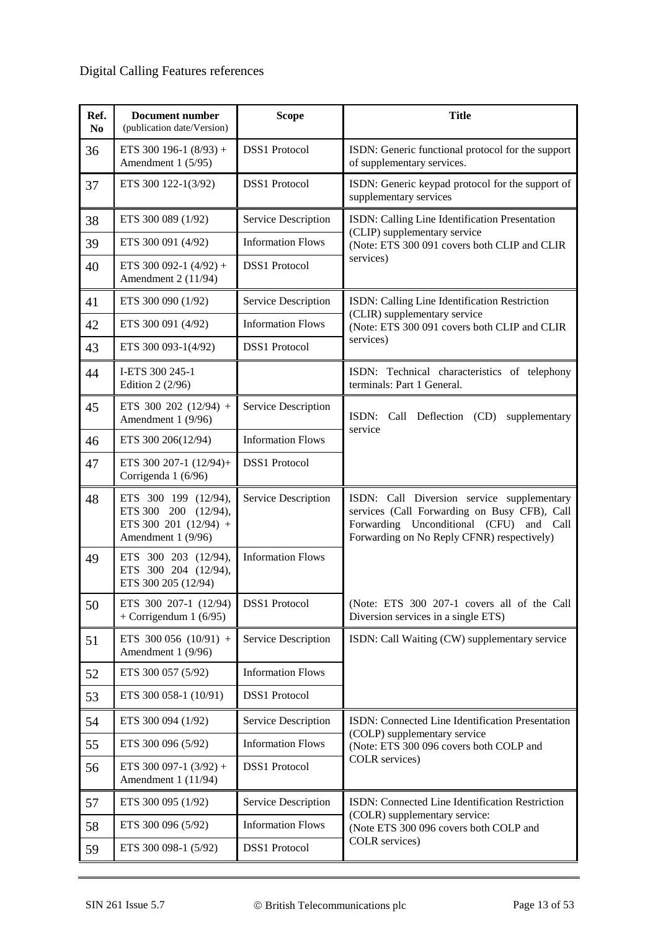## Digital Calling Features references

| Ref.<br>N <sub>0</sub> | <b>Document number</b><br>(publication date/Version)                                        | <b>Scope</b>             | <b>Title</b>                                                                                                                                                                        |
|------------------------|---------------------------------------------------------------------------------------------|--------------------------|-------------------------------------------------------------------------------------------------------------------------------------------------------------------------------------|
| 36                     | ETS 300 196-1 $(8/93)$ +<br>Amendment 1 (5/95)                                              | <b>DSS1</b> Protocol     | ISDN: Generic functional protocol for the support<br>of supplementary services.                                                                                                     |
| 37                     | ETS 300 122-1(3/92)                                                                         | <b>DSS1</b> Protocol     | ISDN: Generic keypad protocol for the support of<br>supplementary services                                                                                                          |
| 38                     | ETS 300 089 (1/92)                                                                          | Service Description      | ISDN: Calling Line Identification Presentation                                                                                                                                      |
| 39                     | ETS 300 091 (4/92)                                                                          | <b>Information Flows</b> | (CLIP) supplementary service<br>(Note: ETS 300 091 covers both CLIP and CLIR                                                                                                        |
| 40                     | ETS 300 092-1 $(4/92)$ +<br>Amendment 2 (11/94)                                             | <b>DSS1</b> Protocol     | services)                                                                                                                                                                           |
| 41                     | ETS 300 090 (1/92)                                                                          | Service Description      | ISDN: Calling Line Identification Restriction                                                                                                                                       |
| 42                     | ETS 300 091 (4/92)                                                                          | <b>Information Flows</b> | (CLIR) supplementary service<br>(Note: ETS 300 091 covers both CLIP and CLIR                                                                                                        |
| 43                     | ETS 300 093-1(4/92)                                                                         | <b>DSS1</b> Protocol     | services)                                                                                                                                                                           |
| 44                     | I-ETS 300 245-1<br>Edition 2 (2/96)                                                         |                          | ISDN: Technical characteristics of telephony<br>terminals: Part 1 General.                                                                                                          |
| 45                     | ETS 300 202 (12/94) +<br>Amendment 1 (9/96)                                                 | Service Description      | ISDN:<br>Call Deflection (CD)<br>supplementary<br>service                                                                                                                           |
| 46                     | ETS 300 206(12/94)                                                                          | <b>Information Flows</b> |                                                                                                                                                                                     |
| 47                     | ETS 300 207-1 (12/94)+<br>Corrigenda 1 (6/96)                                               | <b>DSS1</b> Protocol     |                                                                                                                                                                                     |
| 48                     | ETS 300 199 (12/94),<br>ETS 300 200 (12/94),<br>ETS 300 201 (12/94) +<br>Amendment 1 (9/96) | Service Description      | ISDN: Call Diversion service supplementary<br>services (Call Forwarding on Busy CFB), Call<br>Forwarding Unconditional (CFU) and Call<br>Forwarding on No Reply CFNR) respectively) |
| 49                     | ETS 300 203 (12/94),<br>ETS 300 204 (12/94),<br>ETS 300 205 (12/94)                         | <b>Information Flows</b> |                                                                                                                                                                                     |
| 50                     | ETS 300 207-1 (12/94)<br>+ Corrigendum 1 $(6/95)$                                           | <b>DSS1</b> Protocol     | (Note: ETS 300 207-1 covers all of the Call<br>Diversion services in a single ETS)                                                                                                  |
| 51                     | ETS 300 056 $(10/91)$ +<br>Amendment 1 (9/96)                                               | Service Description      | ISDN: Call Waiting (CW) supplementary service                                                                                                                                       |
| 52                     | ETS 300 057 (5/92)                                                                          | <b>Information Flows</b> |                                                                                                                                                                                     |
| 53                     | ETS 300 058-1 (10/91)                                                                       | <b>DSS1</b> Protocol     |                                                                                                                                                                                     |
| 54                     | ETS 300 094 (1/92)                                                                          | Service Description      | ISDN: Connected Line Identification Presentation                                                                                                                                    |
| 55                     | ETS 300 096 (5/92)                                                                          | <b>Information Flows</b> | (COLP) supplementary service<br>(Note: ETS 300 096 covers both COLP and                                                                                                             |
| 56                     | ETS 300 097-1 $(3/92)$ +<br>Amendment 1 (11/94)                                             | <b>DSS1</b> Protocol     | COLR services)                                                                                                                                                                      |
| 57                     | ETS 300 095 (1/92)                                                                          | Service Description      | ISDN: Connected Line Identification Restriction                                                                                                                                     |
| 58                     | ETS 300 096 (5/92)                                                                          | <b>Information Flows</b> | (COLR) supplementary service:<br>(Note ETS 300 096 covers both COLP and                                                                                                             |
| 59                     | ETS 300 098-1 (5/92)                                                                        | <b>DSS1</b> Protocol     | COLR services)                                                                                                                                                                      |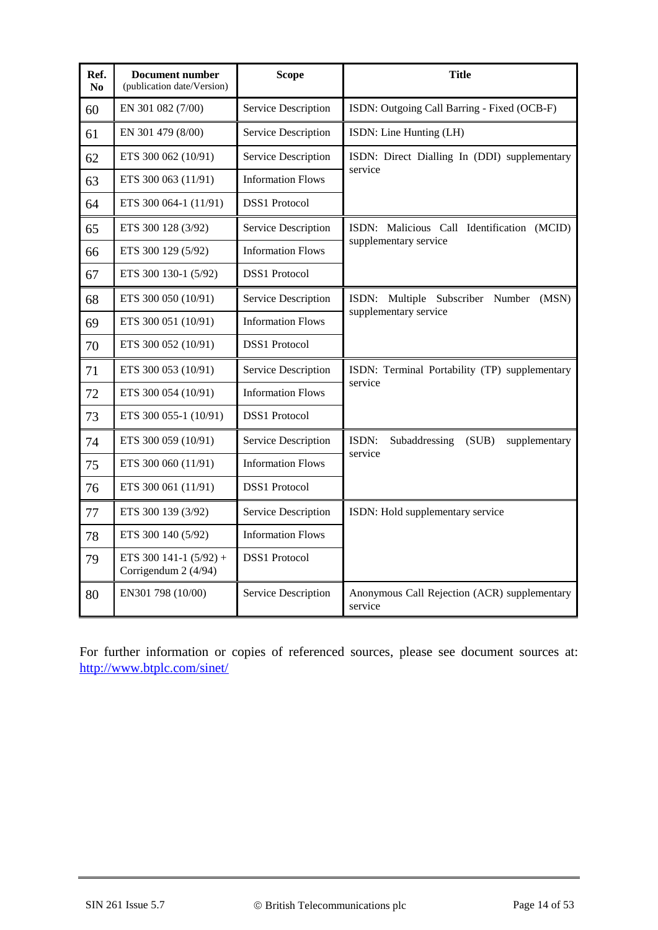| Ref.<br>N <sub>0</sub> | <b>Document number</b><br>(publication date/Version) | <b>Scope</b>             | <b>Title</b>                                            |
|------------------------|------------------------------------------------------|--------------------------|---------------------------------------------------------|
| 60                     | EN 301 082 (7/00)                                    | Service Description      | ISDN: Outgoing Call Barring - Fixed (OCB-F)             |
| 61                     | EN 301 479 (8/00)                                    | Service Description      | ISDN: Line Hunting (LH)                                 |
| 62                     | ETS 300 062 (10/91)                                  | Service Description      | ISDN: Direct Dialling In (DDI) supplementary<br>service |
| 63                     | ETS 300 063 (11/91)                                  | <b>Information Flows</b> |                                                         |
| 64                     | ETS 300 064-1 (11/91)                                | <b>DSS1</b> Protocol     |                                                         |
| 65                     | ETS 300 128 (3/92)                                   | Service Description      | ISDN: Malicious Call Identification (MCID)              |
| 66                     | ETS 300 129 (5/92)                                   | <b>Information Flows</b> | supplementary service                                   |
| 67                     | ETS 300 130-1 (5/92)                                 | <b>DSS1</b> Protocol     |                                                         |
| 68                     | ETS 300 050 (10/91)                                  | Service Description      | ISDN: Multiple Subscriber Number<br>(MSN)               |
| 69                     | ETS 300 051 (10/91)                                  | <b>Information Flows</b> | supplementary service                                   |
| 70                     | ETS 300 052 (10/91)                                  | <b>DSS1</b> Protocol     |                                                         |
| 71                     | ETS 300 053 (10/91)                                  | Service Description      | ISDN: Terminal Portability (TP) supplementary           |
| 72                     | ETS 300 054 (10/91)                                  | <b>Information Flows</b> | service                                                 |
| 73                     | ETS 300 055-1 (10/91)                                | <b>DSS1</b> Protocol     |                                                         |
| 74                     | ETS 300 059 (10/91)                                  | Service Description      | ISDN:<br>Subaddressing<br>(SUB)<br>supplementary        |
| 75                     | ETS 300 060 (11/91)                                  | <b>Information Flows</b> | service                                                 |
| 76                     | ETS 300 061 (11/91)                                  | <b>DSS1</b> Protocol     |                                                         |
| 77                     | ETS 300 139 (3/92)                                   | Service Description      | ISDN: Hold supplementary service                        |
| 78                     | ETS 300 140 (5/92)                                   | <b>Information Flows</b> |                                                         |
| 79                     | ETS 300 141-1 $(5/92)$ +<br>Corrigendum 2 (4/94)     | <b>DSS1</b> Protocol     |                                                         |
| 80                     | EN301 798 (10/00)                                    | Service Description      | Anonymous Call Rejection (ACR) supplementary<br>service |

<span id="page-13-0"></span>For further information or copies of referenced sources, please see document sources at: http://www.btplc.com/sinet/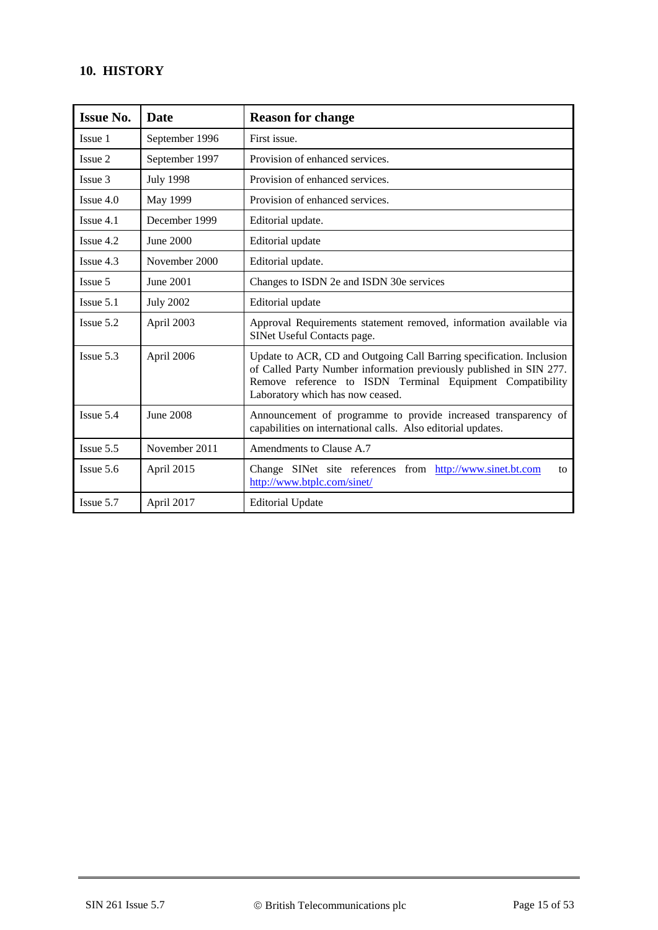## **10. HISTORY**

| <b>Issue No.</b> | <b>Date</b>      | <b>Reason for change</b>                                                                                                                                                                                                                     |  |
|------------------|------------------|----------------------------------------------------------------------------------------------------------------------------------------------------------------------------------------------------------------------------------------------|--|
| Issue 1          | September 1996   | First issue.                                                                                                                                                                                                                                 |  |
| Issue 2          | September 1997   | Provision of enhanced services.                                                                                                                                                                                                              |  |
| Issue 3          | <b>July 1998</b> | Provision of enhanced services.                                                                                                                                                                                                              |  |
| $I$ ssue 4.0     | May 1999         | Provision of enhanced services.                                                                                                                                                                                                              |  |
| Issue 4.1        | December 1999    | Editorial update.                                                                                                                                                                                                                            |  |
| Issue 4.2        | June 2000        | Editorial update                                                                                                                                                                                                                             |  |
| Issue 4.3        | November 2000    | Editorial update.                                                                                                                                                                                                                            |  |
| Issue 5          | June 2001        | Changes to ISDN 2e and ISDN 30e services                                                                                                                                                                                                     |  |
| $I$ ssue 5.1     | <b>July 2002</b> | Editorial update                                                                                                                                                                                                                             |  |
| $I$ ssue 5.2     | April 2003       | Approval Requirements statement removed, information available via<br>SINet Useful Contacts page.                                                                                                                                            |  |
| $I$ ssue 5.3     | April 2006       | Update to ACR, CD and Outgoing Call Barring specification. Inclusion<br>of Called Party Number information previously published in SIN 277.<br>Remove reference to ISDN Terminal Equipment Compatibility<br>Laboratory which has now ceased. |  |
| $I$ ssue $5.4$   | <b>June 2008</b> | Announcement of programme to provide increased transparency of<br>capabilities on international calls. Also editorial updates.                                                                                                               |  |
| $I$ ssue $5.5$   | November 2011    | Amendments to Clause A.7                                                                                                                                                                                                                     |  |
| Issue 5.6        | April 2015       | Change SINet site references from http://www.sinet.bt.com<br>to<br>http://www.btplc.com/sinet/                                                                                                                                               |  |
| Issue 5.7        | April 2017       | <b>Editorial Update</b>                                                                                                                                                                                                                      |  |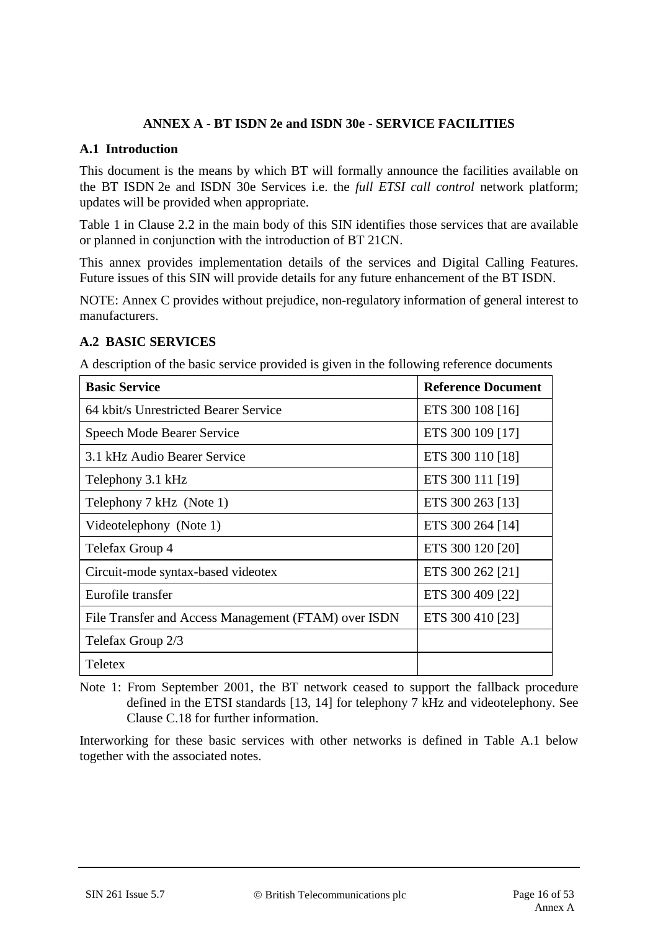#### **ANNEX A - BT ISDN 2e and ISDN 30e - SERVICE FACILITIES**

#### **A.1 Introduction**

This document is the means by which BT will formally announce the facilities available on the BT ISDN 2e and ISDN 30e Services i.e. the *full ETSI call control* network platform; updates will be provided when appropriate.

Table 1 in Clause 2.2 in the main body of this SIN identifies those services that are available or planned in conjunction with the introduction of BT 21CN.

This annex provides implementation details of the services and Digital Calling Features. Future issues of this SIN will provide details for any future enhancement of the BT ISDN.

NOTE: Annex C provides without prejudice, non-regulatory information of general interest to manufacturers.

## **A.2 BASIC SERVICES**

A description of the basic service provided is given in the following reference documents

| <b>Basic Service</b>                                 | <b>Reference Document</b> |
|------------------------------------------------------|---------------------------|
| 64 kbit/s Unrestricted Bearer Service                | ETS 300 108 [16]          |
| Speech Mode Bearer Service                           | ETS 300 109 [17]          |
| 3.1 kHz Audio Bearer Service                         | ETS 300 110 [18]          |
| Telephony 3.1 kHz                                    | ETS 300 111 [19]          |
| Telephony 7 kHz (Note 1)                             | ETS 300 263 [13]          |
| Videotelephony (Note 1)                              | ETS 300 264 [14]          |
| Telefax Group 4                                      | ETS 300 120 [20]          |
| Circuit-mode syntax-based videotex                   | ETS 300 262 [21]          |
| Eurofile transfer                                    | ETS 300 409 [22]          |
| File Transfer and Access Management (FTAM) over ISDN | ETS 300 410 [23]          |
| Telefax Group 2/3                                    |                           |
| Teletex                                              |                           |

Note 1: From September 2001, the BT network ceased to support the fallback procedure defined in the ETSI standards [13, 14] for telephony 7 kHz and videotelephony. See Clause [C.18](#page-50-0) for further information.

Interworking for these basic services with other networks is defined in Table A.1 below together with the associated notes.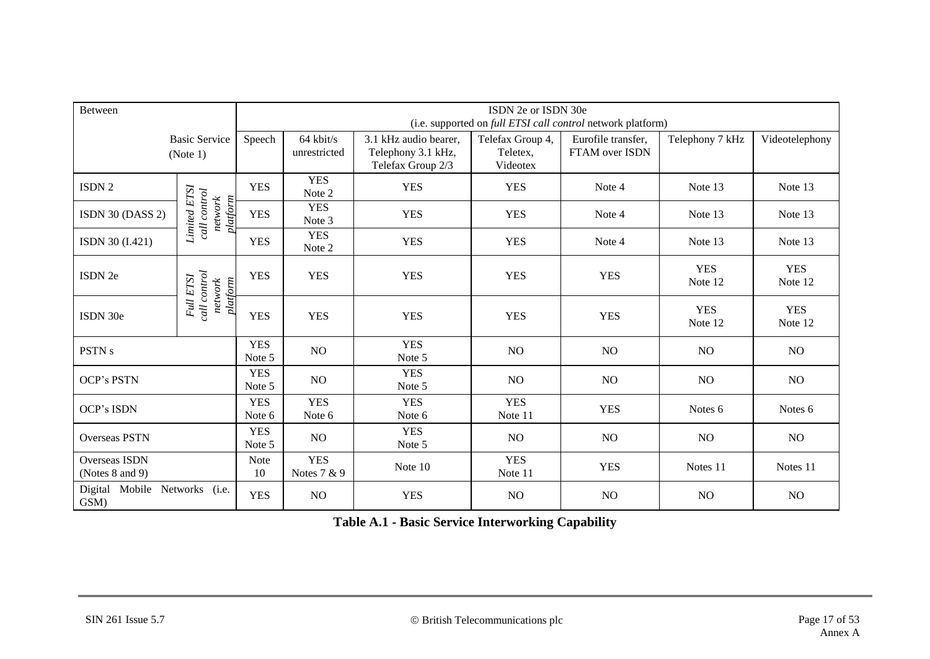| <b>Between</b>                        | ISDN 2e or ISDN 30e<br>(i.e. supported on full ETSI call control network platform) |                      |                           |                                                                  |                                          |                                      |                       |                       |
|---------------------------------------|------------------------------------------------------------------------------------|----------------------|---------------------------|------------------------------------------------------------------|------------------------------------------|--------------------------------------|-----------------------|-----------------------|
| <b>Basic Service</b><br>(Note 1)      |                                                                                    | Speech               | 64 kbit/s<br>unrestricted | 3.1 kHz audio bearer,<br>Telephony 3.1 kHz,<br>Telefax Group 2/3 | Telefax Group 4,<br>Teletex,<br>Videotex | Eurofile transfer,<br>FTAM over ISDN | Telephony 7 kHz       | Videotelephony        |
| ISDN <sub>2</sub>                     |                                                                                    | <b>YES</b>           | <b>YES</b><br>Note 2      | <b>YES</b>                                                       | <b>YES</b>                               | Note 4                               | Note 13               | Note 13               |
| ISDN 30 (DASS 2)                      | Limited ETSI<br>call control<br>network<br>platform                                | <b>YES</b>           | <b>YES</b><br>Note 3      | <b>YES</b>                                                       | <b>YES</b>                               | Note 4                               | Note 13               | Note 13               |
| ISDN 30 (I.421)                       |                                                                                    | <b>YES</b>           | <b>YES</b><br>Note 2      | <b>YES</b>                                                       | <b>YES</b>                               | Note 4                               | Note 13               | Note 13               |
| ISDN 2e                               | call control<br><b>Full ETSI</b><br>network<br>platform                            | <b>YES</b>           | <b>YES</b>                | <b>YES</b>                                                       | <b>YES</b>                               | <b>YES</b>                           | <b>YES</b><br>Note 12 | <b>YES</b><br>Note 12 |
| ISDN 30e                              |                                                                                    | <b>YES</b>           | <b>YES</b>                | <b>YES</b>                                                       | <b>YES</b>                               | <b>YES</b>                           | <b>YES</b><br>Note 12 | <b>YES</b><br>Note 12 |
| PSTN <sub>s</sub>                     |                                                                                    | <b>YES</b><br>Note 5 | NO                        | <b>YES</b><br>Note 5                                             | NO                                       | NO.                                  | NO.                   | NO                    |
| <b>OCP's PSTN</b>                     |                                                                                    | <b>YES</b><br>Note 5 | NO                        | <b>YES</b><br>Note 5                                             | NO                                       | NO                                   | NO                    | NO                    |
| OCP's ISDN                            |                                                                                    | <b>YES</b><br>Note 6 | <b>YES</b><br>Note 6      | <b>YES</b><br>Note 6                                             | <b>YES</b><br>Note 11                    | <b>YES</b>                           | Notes <sub>6</sub>    | Notes 6               |
| <b>Overseas PSTN</b>                  |                                                                                    | <b>YES</b><br>Note 5 | NO                        | <b>YES</b><br>Note 5                                             | NO                                       | NO.                                  | NO                    | NO <sub>1</sub>       |
| Overseas ISDN<br>(Notes 8 and 9)      |                                                                                    | <b>Note</b><br>10    | <b>YES</b><br>Notes 7 & 9 | Note 10                                                          | <b>YES</b><br>Note 11                    | <b>YES</b>                           | Notes 11              | Notes 11              |
| Digital Mobile Networks (i.e.<br>GSM) |                                                                                    | <b>YES</b>           | NO                        | <b>YES</b>                                                       | NO                                       | NO                                   | NO                    | NO                    |

**Table A.1 - Basic Service Interworking Capability**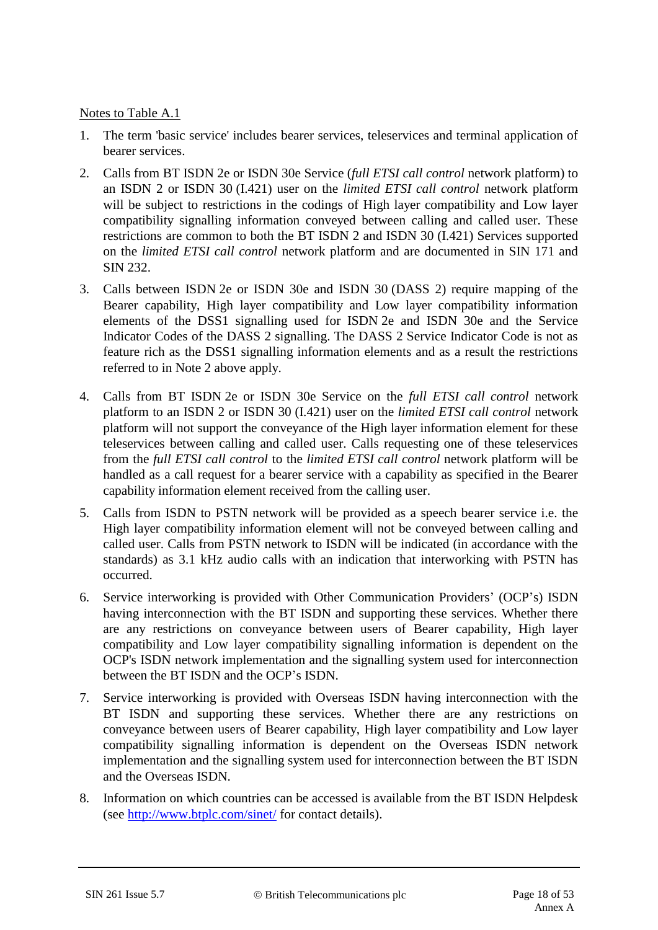Notes to Table A.1

- 1. The term 'basic service' includes bearer services, teleservices and terminal application of bearer services.
- 2. Calls from BT ISDN 2e or ISDN 30e Service (*full ETSI call control* network platform) to an ISDN 2 or ISDN 30 (I.421) user on the *limited ETSI call control* network platform will be subject to restrictions in the codings of High layer compatibility and Low layer compatibility signalling information conveyed between calling and called user. These restrictions are common to both the BT ISDN 2 and ISDN 30 (I.421) Services supported on the *limited ETSI call control* network platform and are documented in SIN 171 and SIN 232.
- 3. Calls between ISDN 2e or ISDN 30e and ISDN 30 (DASS 2) require mapping of the Bearer capability, High layer compatibility and Low layer compatibility information elements of the DSS1 signalling used for ISDN 2e and ISDN 30e and the Service Indicator Codes of the DASS 2 signalling. The DASS 2 Service Indicator Code is not as feature rich as the DSS1 signalling information elements and as a result the restrictions referred to in Note 2 above apply.
- 4. Calls from BT ISDN 2e or ISDN 30e Service on the *full ETSI call control* network platform to an ISDN 2 or ISDN 30 (I.421) user on the *limited ETSI call control* network platform will not support the conveyance of the High layer information element for these teleservices between calling and called user. Calls requesting one of these teleservices from the *full ETSI call control* to the *limited ETSI call control* network platform will be handled as a call request for a bearer service with a capability as specified in the Bearer capability information element received from the calling user.
- 5. Calls from ISDN to PSTN network will be provided as a speech bearer service i.e. the High layer compatibility information element will not be conveyed between calling and called user. Calls from PSTN network to ISDN will be indicated (in accordance with the standards) as 3.1 kHz audio calls with an indication that interworking with PSTN has occurred.
- 6. Service interworking is provided with Other Communication Providers' (OCP's) ISDN having interconnection with the BT ISDN and supporting these services. Whether there are any restrictions on conveyance between users of Bearer capability, High layer compatibility and Low layer compatibility signalling information is dependent on the OCP's ISDN network implementation and the signalling system used for interconnection between the BT ISDN and the OCP's ISDN.
- 7. Service interworking is provided with Overseas ISDN having interconnection with the BT ISDN and supporting these services. Whether there are any restrictions on conveyance between users of Bearer capability, High layer compatibility and Low layer compatibility signalling information is dependent on the Overseas ISDN network implementation and the signalling system used for interconnection between the BT ISDN and the Overseas ISDN.
- 8. Information on which countries can be accessed is available from the BT ISDN Helpdesk (see<http://www.btplc.com/sinet/> for contact details).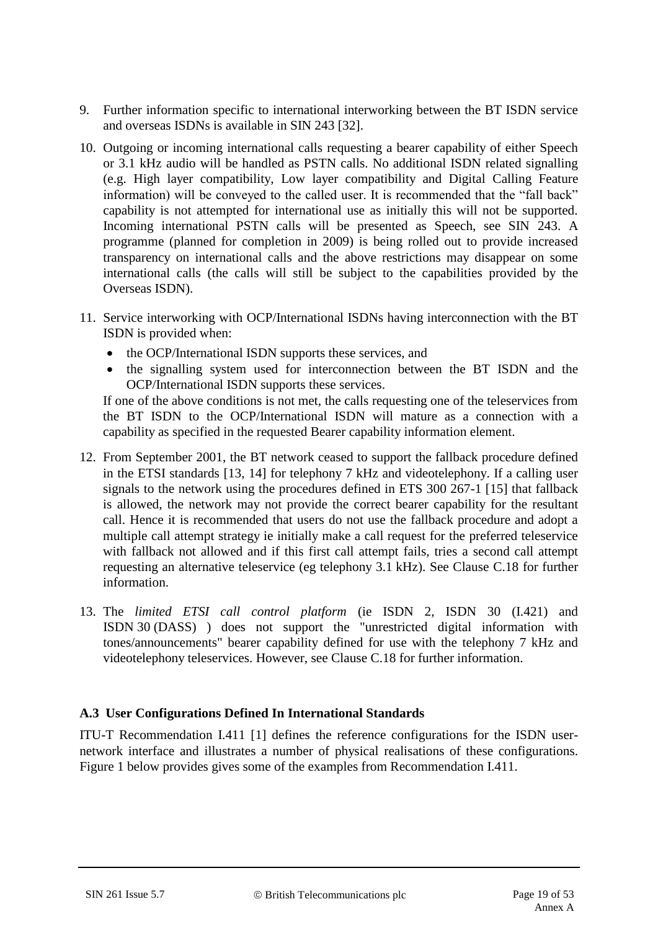- 9. Further information specific to international interworking between the BT ISDN service and overseas ISDNs is available in SIN 243 [32].
- 10. Outgoing or incoming international calls requesting a bearer capability of either Speech or 3.1 kHz audio will be handled as PSTN calls. No additional ISDN related signalling (e.g. High layer compatibility, Low layer compatibility and Digital Calling Feature information) will be conveyed to the called user. It is recommended that the "fall back" capability is not attempted for international use as initially this will not be supported. Incoming international PSTN calls will be presented as Speech, see SIN 243. A programme (planned for completion in 2009) is being rolled out to provide increased transparency on international calls and the above restrictions may disappear on some international calls (the calls will still be subject to the capabilities provided by the Overseas ISDN).
- 11. Service interworking with OCP/International ISDNs having interconnection with the BT ISDN is provided when:
	- the OCP/International ISDN supports these services, and
	- the signalling system used for interconnection between the BT ISDN and the OCP/International ISDN supports these services.

If one of the above conditions is not met, the calls requesting one of the teleservices from the BT ISDN to the OCP/International ISDN will mature as a connection with a capability as specified in the requested Bearer capability information element.

- 12. From September 2001, the BT network ceased to support the fallback procedure defined in the ETSI standards [13, 14] for telephony 7 kHz and videotelephony. If a calling user signals to the network using the procedures defined in ETS 300 267-1 [15] that fallback is allowed, the network may not provide the correct bearer capability for the resultant call. Hence it is recommended that users do not use the fallback procedure and adopt a multiple call attempt strategy ie initially make a call request for the preferred teleservice with fallback not allowed and if this first call attempt fails, tries a second call attempt requesting an alternative teleservice (eg telephony 3.1 kHz). See Clause [C.18](#page-50-1) for further information.
- 13. The *limited ETSI call control platform* (ie ISDN 2, ISDN 30 (I.421) and ISDN 30 (DASS) ) does not support the "unrestricted digital information with tones/announcements" bearer capability defined for use with the telephony 7 kHz and videotelephony teleservices. However, see Clause [C.18](#page-50-1) for further information.

## **A.3 User Configurations Defined In International Standards**

ITU-T Recommendation I.411 [1] defines the reference configurations for the ISDN usernetwork interface and illustrates a number of physical realisations of these configurations. Figure 1 below provides gives some of the examples from Recommendation I.411.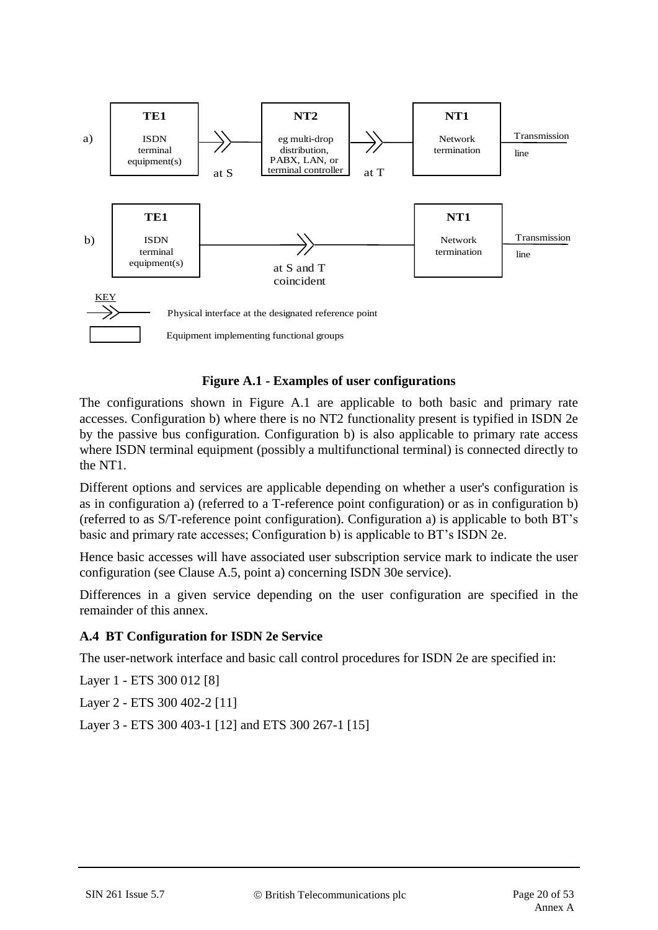

#### **Figure A.1 - Examples of user configurations**

The configurations shown in Figure A.1 are applicable to both basic and primary rate accesses. Configuration b) where there is no NT2 functionality present is typified in ISDN 2e by the passive bus configuration. Configuration b) is also applicable to primary rate access where ISDN terminal equipment (possibly a multifunctional terminal) is connected directly to the NT1.

Different options and services are applicable depending on whether a user's configuration is as in configuration a) (referred to a T-reference point configuration) or as in configuration b) (referred to as S/T-reference point configuration). Configuration a) is applicable to both BT's basic and primary rate accesses; Configuration b) is applicable to BT's ISDN 2e.

Hence basic accesses will have associated user subscription service mark to indicate the user configuration (see Clause A.5, point a) concerning ISDN 30e service).

Differences in a given service depending on the user configuration are specified in the remainder of this annex.

#### **A.4 BT Configuration for ISDN 2e Service**

The user-network interface and basic call control procedures for ISDN 2e are specified in:

Layer 1 - ETS 300 012 [8]

Layer 2 - ETS 300 402-2 [11]

Layer 3 - ETS 300 403-1 [12] and ETS 300 267-1 [15]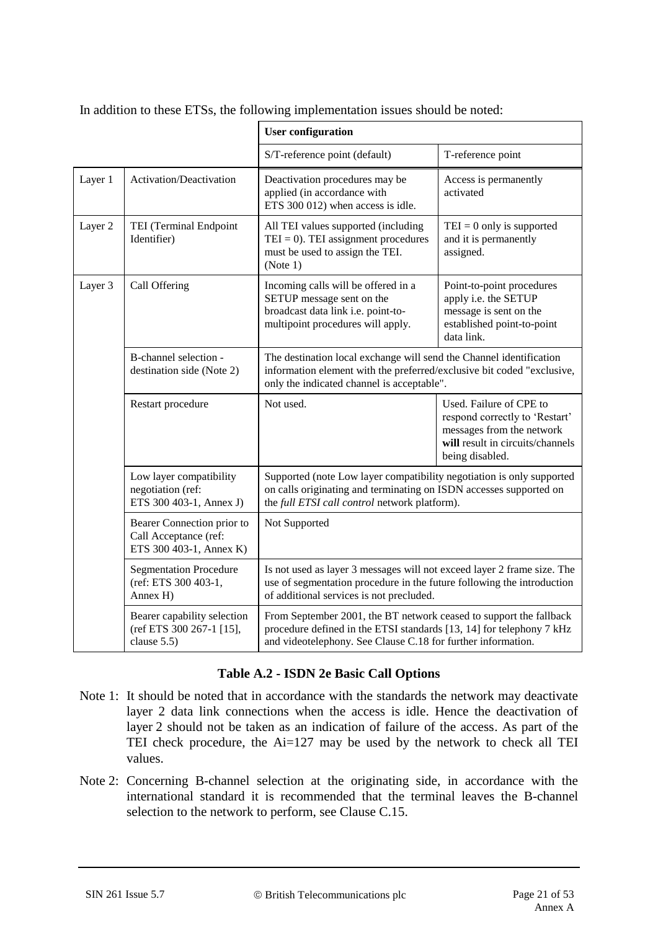|         |                                                                                | <b>User configuration</b>                                                                                                                                                                                  |                                                                                                                                               |  |  |
|---------|--------------------------------------------------------------------------------|------------------------------------------------------------------------------------------------------------------------------------------------------------------------------------------------------------|-----------------------------------------------------------------------------------------------------------------------------------------------|--|--|
|         |                                                                                | S/T-reference point (default)                                                                                                                                                                              | T-reference point                                                                                                                             |  |  |
| Layer 1 | Activation/Deactivation                                                        | Deactivation procedures may be<br>applied (in accordance with<br>ETS 300 012) when access is idle.                                                                                                         | Access is permanently<br>activated                                                                                                            |  |  |
| Layer 2 | TEI (Terminal Endpoint<br>Identifier)                                          | All TEI values supported (including<br>$TEI = 0$ ). TEI assignment procedures<br>must be used to assign the TEI.<br>(Note 1)                                                                               | $TEI = 0$ only is supported<br>and it is permanently<br>assigned.                                                                             |  |  |
| Layer 3 | Call Offering                                                                  | Incoming calls will be offered in a<br>SETUP message sent on the<br>broadcast data link i.e. point-to-<br>multipoint procedures will apply.                                                                | Point-to-point procedures<br>apply i.e. the SETUP<br>message is sent on the<br>established point-to-point<br>data link.                       |  |  |
|         | B-channel selection -<br>destination side (Note 2)                             | The destination local exchange will send the Channel identification<br>information element with the preferred/exclusive bit coded "exclusive,<br>only the indicated channel is acceptable".                |                                                                                                                                               |  |  |
|         | Restart procedure                                                              | Not used.                                                                                                                                                                                                  | Used. Failure of CPE to<br>respond correctly to 'Restart'<br>messages from the network<br>will result in circuits/channels<br>being disabled. |  |  |
|         | Low layer compatibility<br>negotiation (ref:<br>ETS 300 403-1, Annex J)        | Supported (note Low layer compatibility negotiation is only supported<br>on calls originating and terminating on ISDN accesses supported on<br>the full ETSI call control network platform).               |                                                                                                                                               |  |  |
|         | Bearer Connection prior to<br>Call Acceptance (ref:<br>ETS 300 403-1, Annex K) | Not Supported                                                                                                                                                                                              |                                                                                                                                               |  |  |
|         | <b>Segmentation Procedure</b><br>(ref: ETS 300 403-1,<br>Annex H)              | Is not used as layer 3 messages will not exceed layer 2 frame size. The<br>use of segmentation procedure in the future following the introduction<br>of additional services is not precluded.              |                                                                                                                                               |  |  |
|         | Bearer capability selection<br>(ref ETS 300 267-1 [15],<br>clause 5.5)         | From September 2001, the BT network ceased to support the fallback<br>procedure defined in the ETSI standards [13, 14] for telephony 7 kHz<br>and videotelephony. See Clause C.18 for further information. |                                                                                                                                               |  |  |

In addition to these ETSs, the following implementation issues should be noted:

#### **Table A.2 - ISDN 2e Basic Call Options**

- Note 1: It should be noted that in accordance with the standards the network may deactivate layer 2 data link connections when the access is idle. Hence the deactivation of layer 2 should not be taken as an indication of failure of the access. As part of the TEI check procedure, the Ai=127 may be used by the network to check all TEI values.
- Note 2: Concerning B-channel selection at the originating side, in accordance with the international standard it is recommended that the terminal leaves the B-channel selection to the network to perform, see Clause C.15.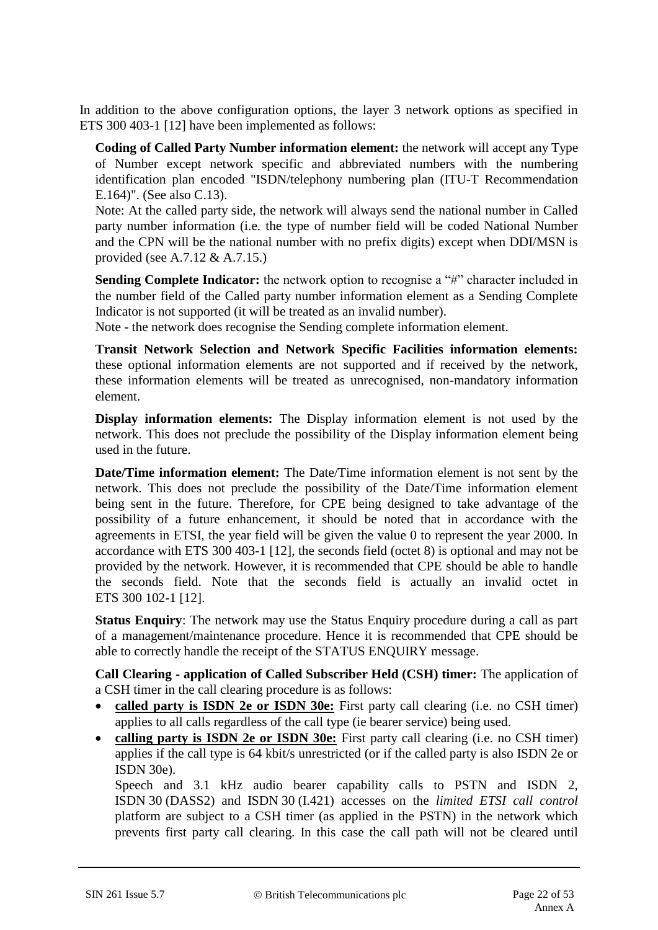In addition to the above configuration options, the layer 3 network options as specified in ETS 300 403-1 [12] have been implemented as follows:

**Coding of Called Party Number information element:** the network will accept any Type of Number except network specific and abbreviated numbers with the numbering identification plan encoded "ISDN/telephony numbering plan (ITU-T Recommendation E.164)". (See also C.13).

Note: At the called party side, the network will always send the national number in Called party number information (i.e. the type of number field will be coded National Number and the CPN will be the national number with no prefix digits) except when DDI/MSN is provided (see A.7.12 & A.7.15.)

**Sending Complete Indicator:** the network option to recognise a "#" character included in the number field of the Called party number information element as a Sending Complete Indicator is not supported (it will be treated as an invalid number).

Note - the network does recognise the Sending complete information element.

**Transit Network Selection and Network Specific Facilities information elements:** these optional information elements are not supported and if received by the network, these information elements will be treated as unrecognised, non-mandatory information element.

**Display information elements:** The Display information element is not used by the network. This does not preclude the possibility of the Display information element being used in the future.

**Date/Time information element:** The Date/Time information element is not sent by the network. This does not preclude the possibility of the Date/Time information element being sent in the future. Therefore, for CPE being designed to take advantage of the possibility of a future enhancement, it should be noted that in accordance with the agreements in ETSI, the year field will be given the value 0 to represent the year 2000. In accordance with ETS 300 403-1 [12], the seconds field (octet 8) is optional and may not be provided by the network. However, it is recommended that CPE should be able to handle the seconds field. Note that the seconds field is actually an invalid octet in ETS 300 102-1 [12].

**Status Enquiry**: The network may use the Status Enquiry procedure during a call as part of a management/maintenance procedure. Hence it is recommended that CPE should be able to correctly handle the receipt of the STATUS ENQUIRY message.

**Call Clearing - application of Called Subscriber Held (CSH) timer:** The application of a CSH timer in the call clearing procedure is as follows:

- called party is ISDN 2e or ISDN 30e: First party call clearing (i.e. no CSH timer) applies to all calls regardless of the call type (ie bearer service) being used.
- calling party is **ISDN 2e or ISDN 30e:** First party call clearing (i.e. no CSH timer) applies if the call type is 64 kbit/s unrestricted (or if the called party is also ISDN 2e or ISDN 30e).

Speech and 3.1 kHz audio bearer capability calls to PSTN and ISDN 2, ISDN 30 (DASS2) and ISDN 30 (I.421) accesses on the *limited ETSI call control*  platform are subject to a CSH timer (as applied in the PSTN) in the network which prevents first party call clearing. In this case the call path will not be cleared until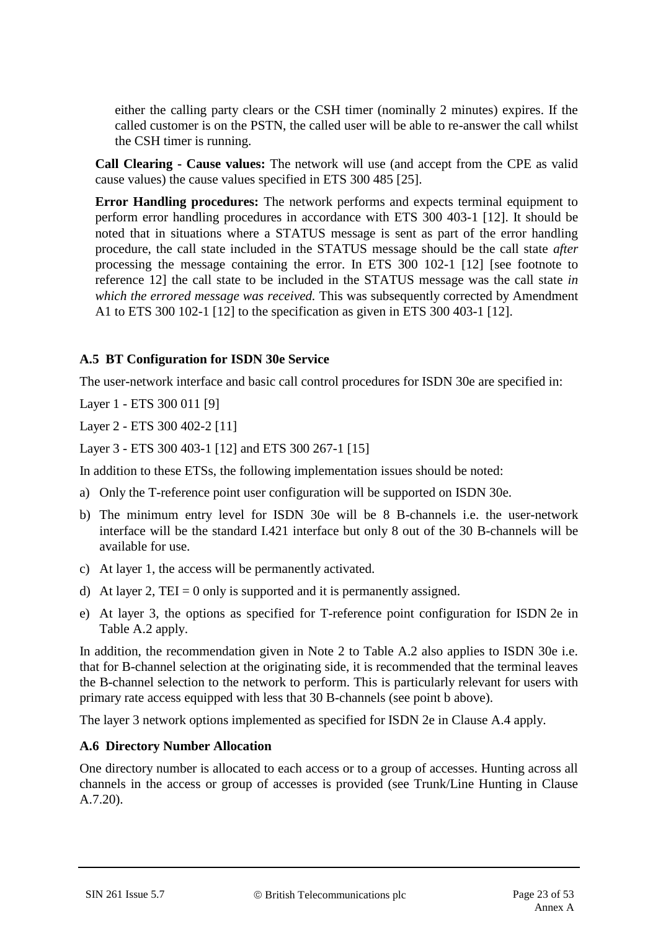either the calling party clears or the CSH timer (nominally 2 minutes) expires. If the called customer is on the PSTN, the called user will be able to re-answer the call whilst the CSH timer is running.

**Call Clearing - Cause values:** The network will use (and accept from the CPE as valid cause values) the cause values specified in ETS 300 485 [25].

**Error Handling procedures:** The network performs and expects terminal equipment to perform error handling procedures in accordance with ETS 300 403-1 [12]. It should be noted that in situations where a STATUS message is sent as part of the error handling procedure, the call state included in the STATUS message should be the call state *after* processing the message containing the error. In ETS 300 102-1 [12] [see footnote to reference 12] the call state to be included in the STATUS message was the call state *in which the errored message was received.* This was subsequently corrected by Amendment A1 to ETS 300 102-1 [12] to the specification as given in ETS 300 403-1 [12].

#### **A.5 BT Configuration for ISDN 30e Service**

The user-network interface and basic call control procedures for ISDN 30e are specified in:

Layer 1 - ETS 300 011 [9]

Layer 2 - ETS 300 402-2 [11]

Layer 3 - ETS 300 403-1 [12] and ETS 300 267-1 [15]

In addition to these ETSs, the following implementation issues should be noted:

- a) Only the T-reference point user configuration will be supported on ISDN 30e.
- b) The minimum entry level for ISDN 30e will be 8 B-channels i.e. the user-network interface will be the standard I.421 interface but only 8 out of the 30 B-channels will be available for use.
- c) At layer 1, the access will be permanently activated.
- d) At layer 2, TEI = 0 only is supported and it is permanently assigned.
- e) At layer 3, the options as specified for T-reference point configuration for ISDN 2e in Table A.2 apply.

In addition, the recommendation given in Note 2 to Table A.2 also applies to ISDN 30e i.e. that for B-channel selection at the originating side, it is recommended that the terminal leaves the B-channel selection to the network to perform. This is particularly relevant for users with primary rate access equipped with less that 30 B-channels (see point b above).

The layer 3 network options implemented as specified for ISDN 2e in Clause A.4 apply.

#### **A.6 Directory Number Allocation**

One directory number is allocated to each access or to a group of accesses. Hunting across all channels in the access or group of accesses is provided (see Trunk/Line Hunting in Clause A.7.20).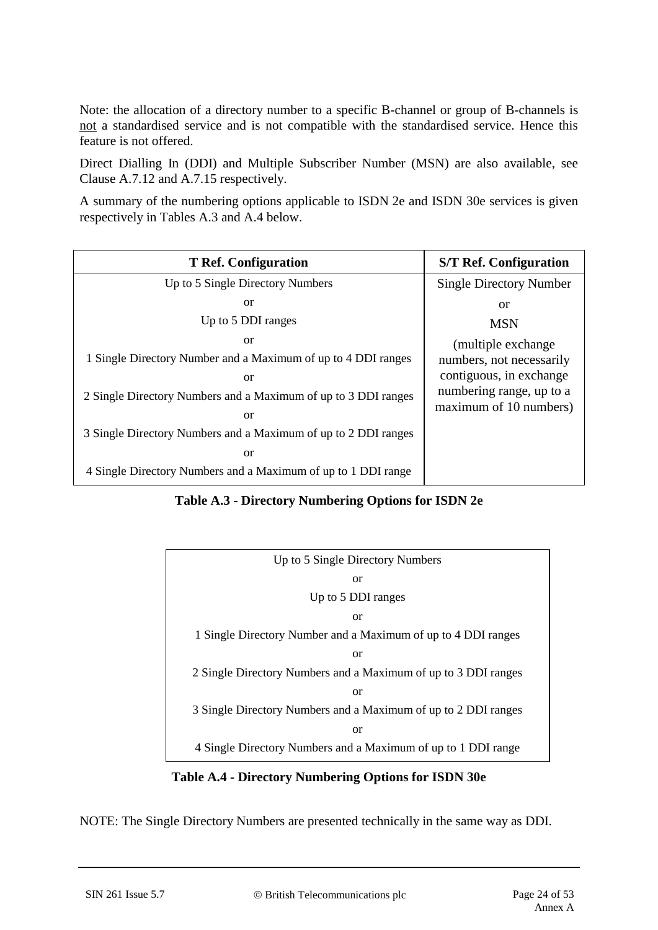Note: the allocation of a directory number to a specific B-channel or group of B-channels is not a standardised service and is not compatible with the standardised service. Hence this feature is not offered.

Direct Dialling In (DDI) and Multiple Subscriber Number (MSN) are also available, see Clause A.7.12 and A.7.15 respectively.

A summary of the numbering options applicable to ISDN 2e and ISDN 30e services is given respectively in Tables A.3 and A.4 below.

| <b>T</b> Ref. Configuration                                    | <b>S/T Ref. Configuration</b>                      |
|----------------------------------------------------------------|----------------------------------------------------|
| Up to 5 Single Directory Numbers                               | <b>Single Directory Number</b>                     |
| <sub>or</sub>                                                  | <b>or</b>                                          |
| Up to 5 DDI ranges                                             | <b>MSN</b>                                         |
| <sub>or</sub>                                                  | (multiple exchange)                                |
| 1 Single Directory Number and a Maximum of up to 4 DDI ranges  | numbers, not necessarily                           |
| <sub>or</sub>                                                  | contiguous, in exchange                            |
| 2 Single Directory Numbers and a Maximum of up to 3 DDI ranges | numbering range, up to a<br>maximum of 10 numbers) |
| <sub>or</sub>                                                  |                                                    |
| 3 Single Directory Numbers and a Maximum of up to 2 DDI ranges |                                                    |
| <sub>or</sub>                                                  |                                                    |
| 4 Single Directory Numbers and a Maximum of up to 1 DDI range  |                                                    |

**Table A.3 - Directory Numbering Options for ISDN 2e**



**Table A.4 - Directory Numbering Options for ISDN 30e**

NOTE: The Single Directory Numbers are presented technically in the same way as DDI.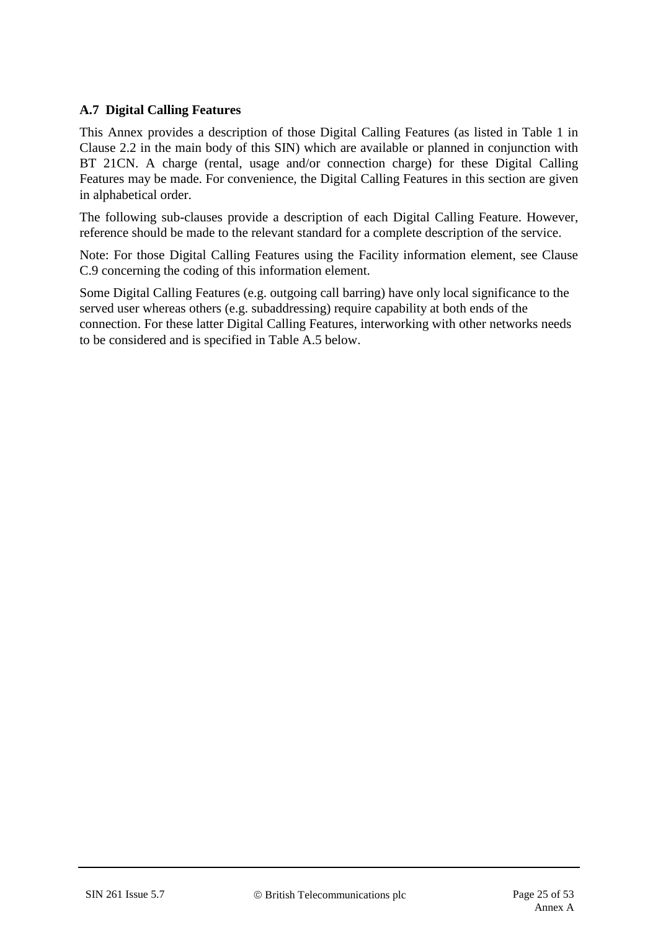## **A.7 Digital Calling Features**

This Annex provides a description of those Digital Calling Features (as listed in Table 1 in Clause 2.2 in the main body of this SIN) which are available or planned in conjunction with BT 21CN. A charge (rental, usage and/or connection charge) for these Digital Calling Features may be made. For convenience, the Digital Calling Features in this section are given in alphabetical order.

The following sub-clauses provide a description of each Digital Calling Feature. However, reference should be made to the relevant standard for a complete description of the service.

Note: For those Digital Calling Features using the Facility information element, see Clause C.9 concerning the coding of this information element.

Some Digital Calling Features (e.g. outgoing call barring) have only local significance to the served user whereas others (e.g. subaddressing) require capability at both ends of the connection. For these latter Digital Calling Features, interworking with other networks needs to be considered and is specified in Table A.5 below.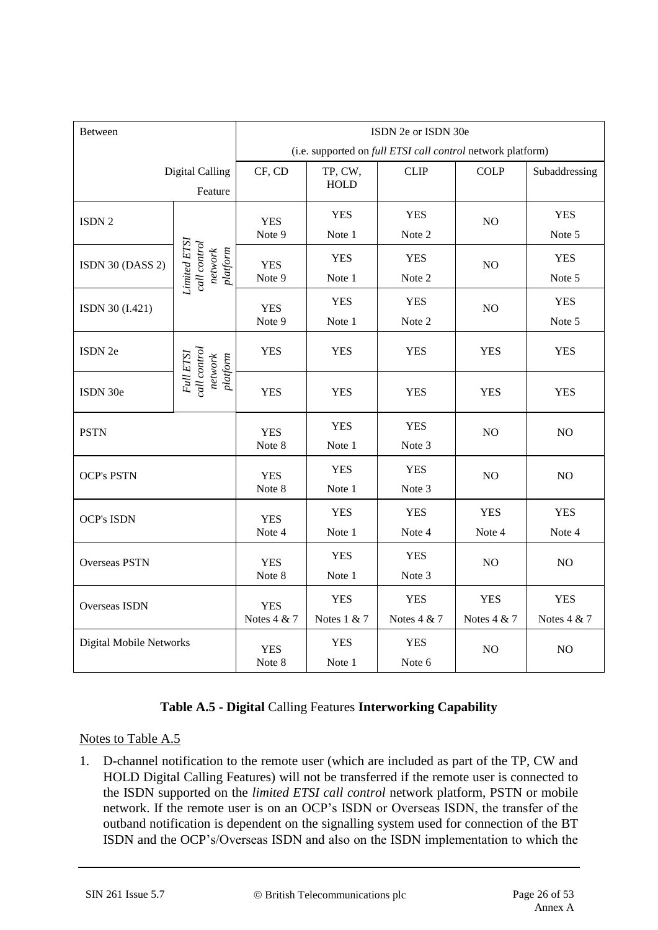| <b>Between</b>          |                                                            | ISDN 2e or ISDN 30e                                         |                           |                             |                           |                           |  |
|-------------------------|------------------------------------------------------------|-------------------------------------------------------------|---------------------------|-----------------------------|---------------------------|---------------------------|--|
|                         |                                                            | (i.e. supported on full ETSI call control network platform) |                           |                             |                           |                           |  |
|                         | <b>Digital Calling</b><br>Feature                          | CF, CD                                                      | TP, CW,<br><b>HOLD</b>    | <b>CLIP</b>                 | <b>COLP</b>               | Subaddressing             |  |
| ISDN <sub>2</sub>       |                                                            | <b>YES</b><br>Note 9                                        | <b>YES</b><br>Note 1      | <b>YES</b><br>Note 2        | NO                        | <b>YES</b><br>Note 5      |  |
| ISDN 30 (DASS 2)        | <b>Limited ETSI</b><br>call control<br>platform<br>network | <b>YES</b><br>Note 9                                        | <b>YES</b><br>Note 1      | <b>YES</b><br>Note 2        | NO                        | <b>YES</b><br>Note 5      |  |
| ISDN 30 (I.421)         |                                                            | <b>YES</b><br>Note 9                                        | <b>YES</b><br>Note 1      | <b>YES</b><br>Note 2        | N <sub>O</sub>            | <b>YES</b><br>Note 5      |  |
| ISDN 2e                 | call control<br>Full ETSI<br>$p$ latform<br>network        | <b>YES</b>                                                  | <b>YES</b>                | <b>YES</b>                  | <b>YES</b>                | <b>YES</b>                |  |
| ISDN 30e                |                                                            | <b>YES</b>                                                  | <b>YES</b>                | <b>YES</b>                  | <b>YES</b>                | <b>YES</b>                |  |
| <b>PSTN</b>             |                                                            | <b>YES</b><br>Note 8                                        | <b>YES</b><br>Note 1      | <b>YES</b><br>Note 3        | N <sub>O</sub>            | NO                        |  |
| <b>OCP's PSTN</b>       |                                                            | <b>YES</b><br>Note 8                                        | <b>YES</b><br>Note 1      | <b>YES</b><br>Note 3        | NO                        | NO                        |  |
| <b>OCP's ISDN</b>       |                                                            | <b>YES</b><br>Note 4                                        | <b>YES</b><br>Note 1      | <b>YES</b><br>Note 4        | <b>YES</b><br>Note 4      | <b>YES</b><br>Note 4      |  |
| <b>Overseas PSTN</b>    |                                                            | <b>YES</b><br>Note 8                                        | <b>YES</b><br>Note 1      | <b>YES</b><br>Note 3        | NO                        | NO                        |  |
| Overseas ISDN           |                                                            | <b>YES</b><br>Notes 4 & 7                                   | <b>YES</b><br>Notes 1 & 7 | <b>YES</b><br>Notes $4 & 7$ | <b>YES</b><br>Notes 4 & 7 | <b>YES</b><br>Notes 4 & 7 |  |
| Digital Mobile Networks |                                                            | <b>YES</b><br>Note 8                                        | <b>YES</b><br>Note 1      | <b>YES</b><br>Note 6        | NO                        | NO                        |  |

## **Table A.5 - Digital** Calling Features **Interworking Capability**

#### Notes to Table A.5

1. D-channel notification to the remote user (which are included as part of the TP, CW and HOLD Digital Calling Features) will not be transferred if the remote user is connected to the ISDN supported on the *limited ETSI call control* network platform, PSTN or mobile network. If the remote user is on an OCP's ISDN or Overseas ISDN, the transfer of the outband notification is dependent on the signalling system used for connection of the BT ISDN and the OCP's/Overseas ISDN and also on the ISDN implementation to which the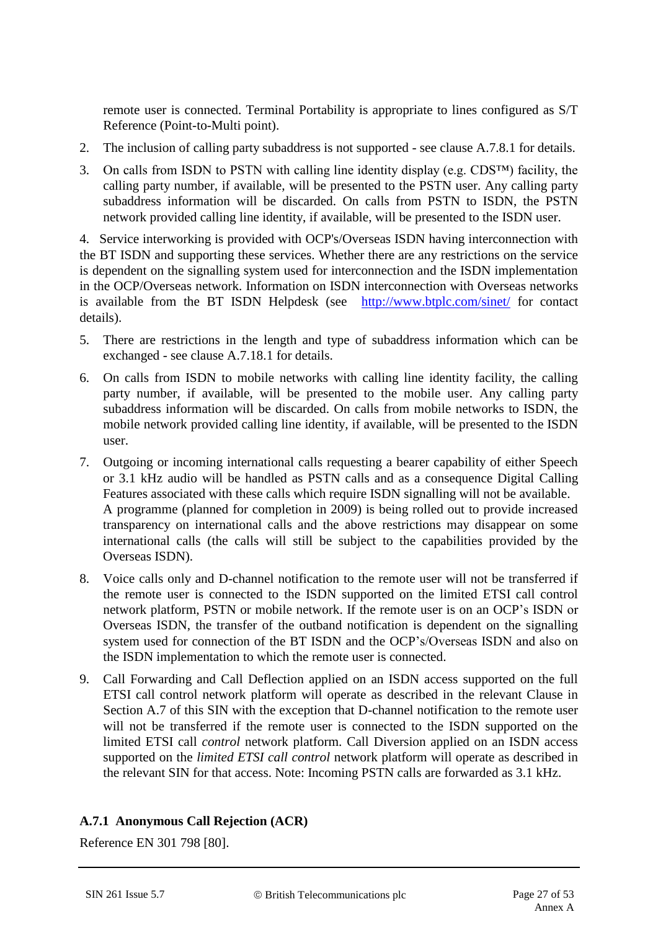remote user is connected. Terminal Portability is appropriate to lines configured as S/T Reference (Point-to-Multi point).

- 2. The inclusion of calling party subaddress is not supported see clause A.7.8.1 for details.
- 3. On calls from ISDN to PSTN with calling line identity display (e.g.  $CDS^{TM}$ ) facility, the calling party number, if available, will be presented to the PSTN user. Any calling party subaddress information will be discarded. On calls from PSTN to ISDN, the PSTN network provided calling line identity, if available, will be presented to the ISDN user.

4. Service interworking is provided with OCP's/Overseas ISDN having interconnection with the BT ISDN and supporting these services. Whether there are any restrictions on the service is dependent on the signalling system used for interconnection and the ISDN implementation in the OCP/Overseas network. Information on ISDN interconnection with Overseas networks is available from the BT ISDN Helpdesk (see <http://www.btplc.com/sinet/> for contact details).

- 5. There are restrictions in the length and type of subaddress information which can be exchanged - see clause A.7.18.1 for details.
- 6. On calls from ISDN to mobile networks with calling line identity facility, the calling party number, if available, will be presented to the mobile user. Any calling party subaddress information will be discarded. On calls from mobile networks to ISDN, the mobile network provided calling line identity, if available, will be presented to the ISDN user.
- 7. Outgoing or incoming international calls requesting a bearer capability of either Speech or 3.1 kHz audio will be handled as PSTN calls and as a consequence Digital Calling Features associated with these calls which require ISDN signalling will not be available. A programme (planned for completion in 2009) is being rolled out to provide increased transparency on international calls and the above restrictions may disappear on some international calls (the calls will still be subject to the capabilities provided by the Overseas ISDN).
- 8. Voice calls only and D-channel notification to the remote user will not be transferred if the remote user is connected to the ISDN supported on the limited ETSI call control network platform, PSTN or mobile network. If the remote user is on an OCP's ISDN or Overseas ISDN, the transfer of the outband notification is dependent on the signalling system used for connection of the BT ISDN and the OCP's/Overseas ISDN and also on the ISDN implementation to which the remote user is connected.
- 9. Call Forwarding and Call Deflection applied on an ISDN access supported on the full ETSI call control network platform will operate as described in the relevant Clause in Section A.7 of this SIN with the exception that D-channel notification to the remote user will not be transferred if the remote user is connected to the ISDN supported on the limited ETSI call *control* network platform. Call Diversion applied on an ISDN access supported on the *limited ETSI call control* network platform will operate as described in the relevant SIN for that access. Note: Incoming PSTN calls are forwarded as 3.1 kHz.

## **A.7.1 Anonymous Call Rejection (ACR)**

Reference EN 301 798 [\[80\]](#page-13-0).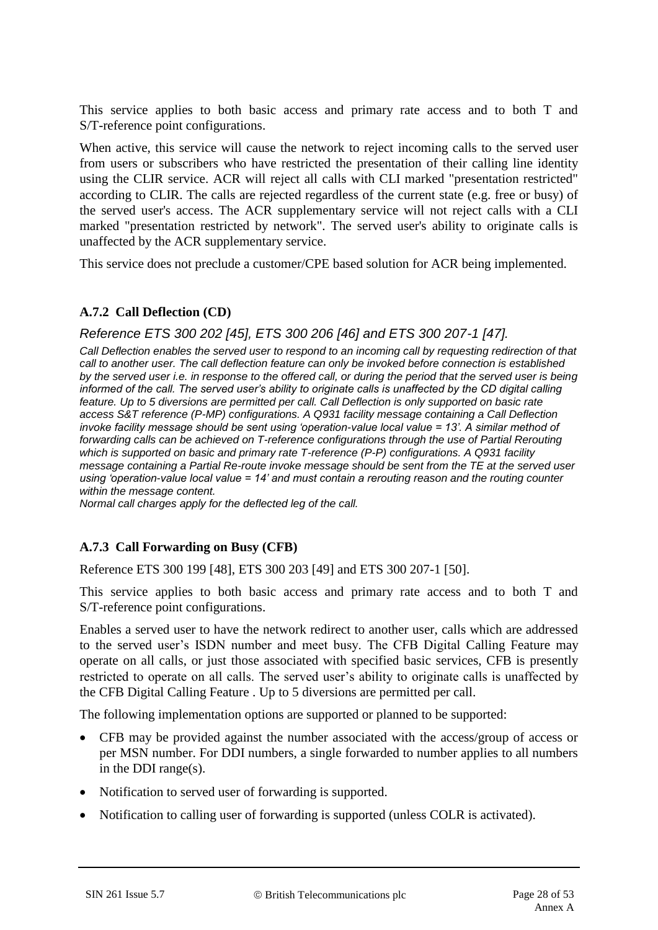This service applies to both basic access and primary rate access and to both T and S/T-reference point configurations.

When active, this service will cause the network to reject incoming calls to the served user from users or subscribers who have restricted the presentation of their calling line identity using the CLIR service. ACR will reject all calls with CLI marked "presentation restricted" according to CLIR. The calls are rejected regardless of the current state (e.g. free or busy) of the served user's access. The ACR supplementary service will not reject calls with a CLI marked "presentation restricted by network". The served user's ability to originate calls is unaffected by the ACR supplementary service.

This service does not preclude a customer/CPE based solution for ACR being implemented.

## **A.7.2 Call Deflection (CD)**

## *Reference ETS 300 202 [45], ETS 300 206 [46] and ETS 300 207-1 [47].*

*Call Deflection enables the served user to respond to an incoming call by requesting redirection of that call to another user. The call deflection feature can only be invoked before connection is established by the served user i.e. in response to the offered call, or during the period that the served user is being informed of the call. The served user's ability to originate calls is unaffected by the CD digital calling feature. Up to 5 diversions are permitted per call. Call Deflection is only supported on basic rate access S&T reference (P-MP) configurations. A Q931 facility message containing a Call Deflection invoke facility message should be sent using 'operation-value local value = 13'. A similar method of forwarding calls can be achieved on T-reference configurations through the use of Partial Rerouting which is supported on basic and primary rate T-reference (P-P) configurations. A Q931 facility message containing a Partial Re-route invoke message should be sent from the TE at the served user using 'operation-value local value = 14' and must contain a rerouting reason and the routing counter within the message content.*

*Normal call charges apply for the deflected leg of the call.*

## **A.7.3 Call Forwarding on Busy (CFB)**

Reference ETS 300 199 [48], ETS 300 203 [49] and ETS 300 207-1 [50].

This service applies to both basic access and primary rate access and to both T and S/T-reference point configurations.

Enables a served user to have the network redirect to another user, calls which are addressed to the served user's ISDN number and meet busy. The CFB Digital Calling Feature may operate on all calls, or just those associated with specified basic services, CFB is presently restricted to operate on all calls. The served user's ability to originate calls is unaffected by the CFB Digital Calling Feature . Up to 5 diversions are permitted per call.

The following implementation options are supported or planned to be supported:

- CFB may be provided against the number associated with the access/group of access or per MSN number. For DDI numbers, a single forwarded to number applies to all numbers in the DDI range(s).
- Notification to served user of forwarding is supported.
- Notification to calling user of forwarding is supported (unless COLR is activated).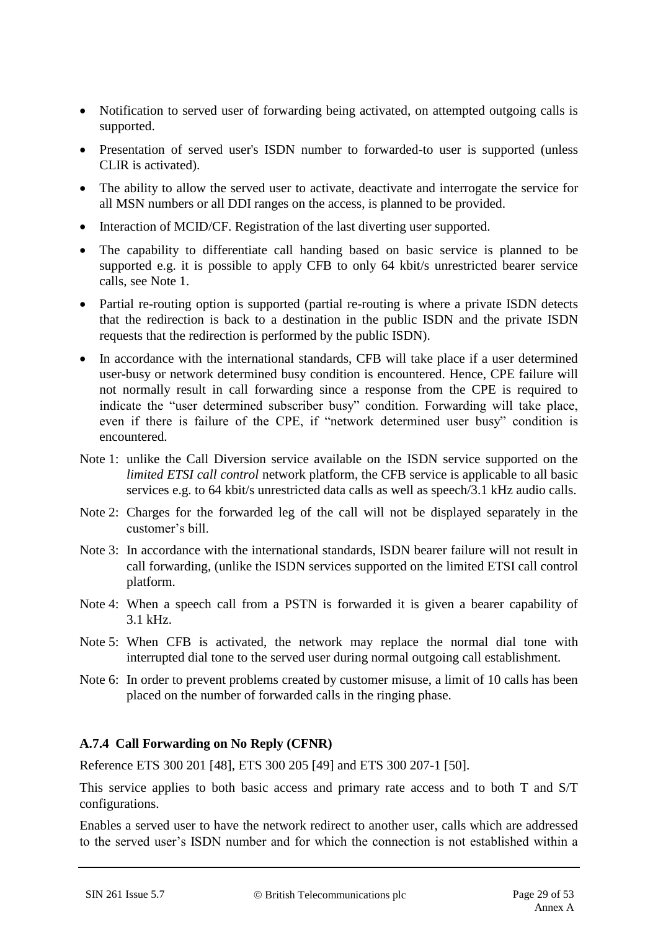- Notification to served user of forwarding being activated, on attempted outgoing calls is supported.
- Presentation of served user's ISDN number to forwarded-to user is supported (unless CLIR is activated).
- The ability to allow the served user to activate, deactivate and interrogate the service for all MSN numbers or all DDI ranges on the access, is planned to be provided.
- Interaction of MCID/CF. Registration of the last diverting user supported.
- The capability to differentiate call handing based on basic service is planned to be supported e.g. it is possible to apply CFB to only 64 kbit/s unrestricted bearer service calls, see Note 1.
- Partial re-routing option is supported (partial re-routing is where a private ISDN detects that the redirection is back to a destination in the public ISDN and the private ISDN requests that the redirection is performed by the public ISDN).
- In accordance with the international standards, CFB will take place if a user determined user-busy or network determined busy condition is encountered. Hence, CPE failure will not normally result in call forwarding since a response from the CPE is required to indicate the "user determined subscriber busy" condition. Forwarding will take place, even if there is failure of the CPE, if "network determined user busy" condition is encountered.
- Note 1: unlike the Call Diversion service available on the ISDN service supported on the *limited ETSI call control* network platform, the CFB service is applicable to all basic services e.g. to 64 kbit/s unrestricted data calls as well as speech/3.1 kHz audio calls.
- Note 2: Charges for the forwarded leg of the call will not be displayed separately in the customer's bill.
- Note 3: In accordance with the international standards, ISDN bearer failure will not result in call forwarding, (unlike the ISDN services supported on the limited ETSI call control platform.
- Note 4: When a speech call from a PSTN is forwarded it is given a bearer capability of 3.1 kHz.
- Note 5: When CFB is activated, the network may replace the normal dial tone with interrupted dial tone to the served user during normal outgoing call establishment.
- Note 6: In order to prevent problems created by customer misuse, a limit of 10 calls has been placed on the number of forwarded calls in the ringing phase.

## **A.7.4 Call Forwarding on No Reply (CFNR)**

Reference ETS 300 201 [48], ETS 300 205 [49] and ETS 300 207-1 [50].

This service applies to both basic access and primary rate access and to both T and S/T configurations.

Enables a served user to have the network redirect to another user, calls which are addressed to the served user's ISDN number and for which the connection is not established within a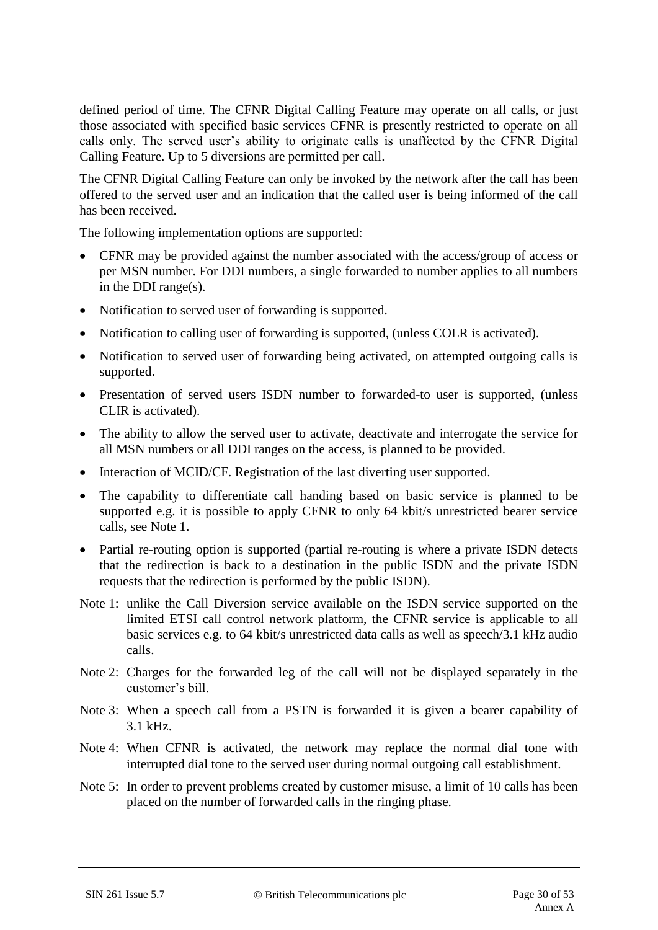defined period of time. The CFNR Digital Calling Feature may operate on all calls, or just those associated with specified basic services CFNR is presently restricted to operate on all calls only. The served user's ability to originate calls is unaffected by the CFNR Digital Calling Feature. Up to 5 diversions are permitted per call.

The CFNR Digital Calling Feature can only be invoked by the network after the call has been offered to the served user and an indication that the called user is being informed of the call has been received.

The following implementation options are supported:

- CFNR may be provided against the number associated with the access/group of access or per MSN number. For DDI numbers, a single forwarded to number applies to all numbers in the DDI range(s).
- Notification to served user of forwarding is supported.
- Notification to calling user of forwarding is supported, (unless COLR is activated).
- Notification to served user of forwarding being activated, on attempted outgoing calls is supported.
- Presentation of served users ISDN number to forwarded-to user is supported, (unless CLIR is activated).
- The ability to allow the served user to activate, deactivate and interrogate the service for all MSN numbers or all DDI ranges on the access, is planned to be provided.
- Interaction of MCID/CF. Registration of the last diverting user supported.
- The capability to differentiate call handing based on basic service is planned to be supported e.g. it is possible to apply CFNR to only 64 kbit/s unrestricted bearer service calls, see Note 1.
- Partial re-routing option is supported (partial re-routing is where a private ISDN detects that the redirection is back to a destination in the public ISDN and the private ISDN requests that the redirection is performed by the public ISDN).
- Note 1: unlike the Call Diversion service available on the ISDN service supported on the limited ETSI call control network platform, the CFNR service is applicable to all basic services e.g. to 64 kbit/s unrestricted data calls as well as speech/3.1 kHz audio calls.
- Note 2: Charges for the forwarded leg of the call will not be displayed separately in the customer's bill.
- Note 3: When a speech call from a PSTN is forwarded it is given a bearer capability of 3.1 kHz.
- Note 4: When CFNR is activated, the network may replace the normal dial tone with interrupted dial tone to the served user during normal outgoing call establishment.
- Note 5: In order to prevent problems created by customer misuse, a limit of 10 calls has been placed on the number of forwarded calls in the ringing phase.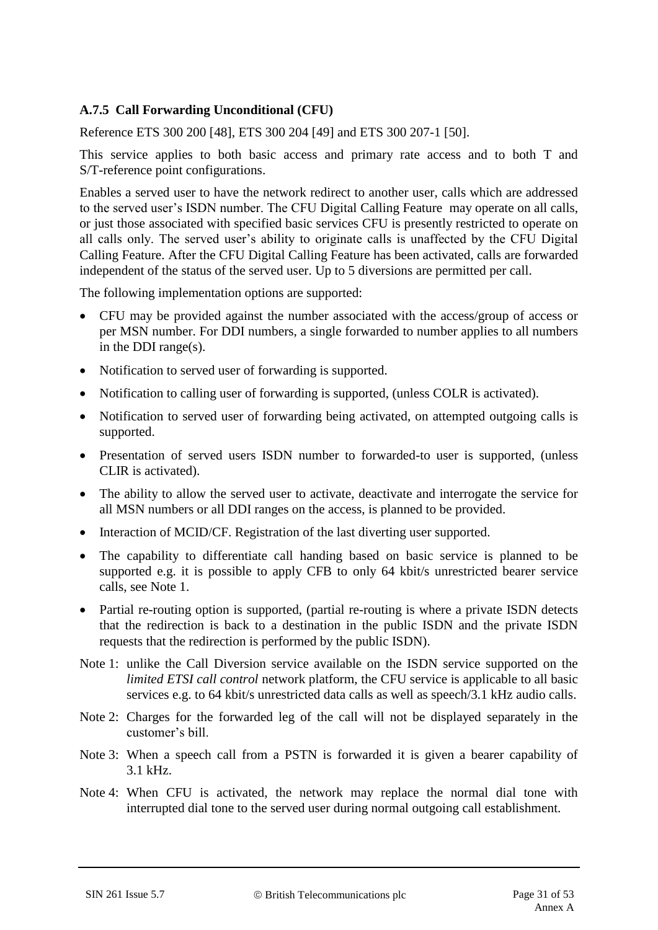## **A.7.5 Call Forwarding Unconditional (CFU)**

Reference ETS 300 200 [48], ETS 300 204 [49] and ETS 300 207-1 [50].

This service applies to both basic access and primary rate access and to both T and S/T-reference point configurations.

Enables a served user to have the network redirect to another user, calls which are addressed to the served user's ISDN number. The CFU Digital Calling Feature may operate on all calls, or just those associated with specified basic services CFU is presently restricted to operate on all calls only. The served user's ability to originate calls is unaffected by the CFU Digital Calling Feature. After the CFU Digital Calling Feature has been activated, calls are forwarded independent of the status of the served user. Up to 5 diversions are permitted per call.

The following implementation options are supported:

- CFU may be provided against the number associated with the access/group of access or per MSN number. For DDI numbers, a single forwarded to number applies to all numbers in the DDI range(s).
- Notification to served user of forwarding is supported.
- Notification to calling user of forwarding is supported, (unless COLR is activated).
- Notification to served user of forwarding being activated, on attempted outgoing calls is supported.
- Presentation of served users ISDN number to forwarded-to user is supported, (unless CLIR is activated).
- The ability to allow the served user to activate, deactivate and interrogate the service for all MSN numbers or all DDI ranges on the access, is planned to be provided.
- Interaction of MCID/CF. Registration of the last diverting user supported.
- The capability to differentiate call handing based on basic service is planned to be supported e.g. it is possible to apply CFB to only 64 kbit/s unrestricted bearer service calls, see Note 1.
- Partial re-routing option is supported, (partial re-routing is where a private ISDN detects that the redirection is back to a destination in the public ISDN and the private ISDN requests that the redirection is performed by the public ISDN).
- Note 1: unlike the Call Diversion service available on the ISDN service supported on the *limited ETSI call control* network platform, the CFU service is applicable to all basic services e.g. to 64 kbit/s unrestricted data calls as well as speech/3.1 kHz audio calls.
- Note 2: Charges for the forwarded leg of the call will not be displayed separately in the customer's bill.
- Note 3: When a speech call from a PSTN is forwarded it is given a bearer capability of 3.1 kHz.
- Note 4: When CFU is activated, the network may replace the normal dial tone with interrupted dial tone to the served user during normal outgoing call establishment.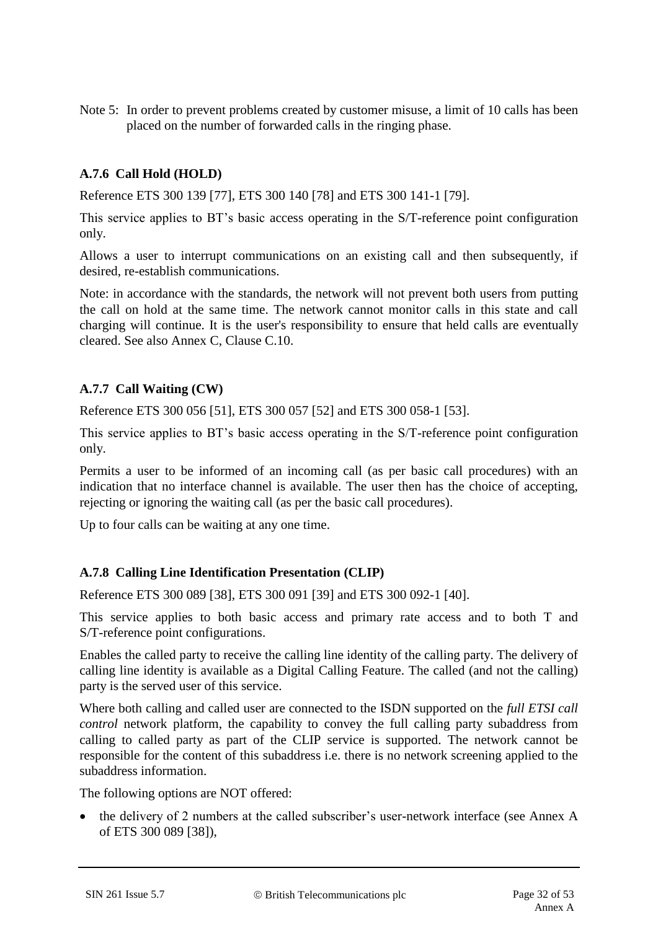Note 5: In order to prevent problems created by customer misuse, a limit of 10 calls has been placed on the number of forwarded calls in the ringing phase.

## **A.7.6 Call Hold (HOLD)**

Reference ETS 300 139 [77], ETS 300 140 [78] and ETS 300 141-1 [79].

This service applies to BT's basic access operating in the S/T-reference point configuration only.

Allows a user to interrupt communications on an existing call and then subsequently, if desired, re-establish communications.

Note: in accordance with the standards, the network will not prevent both users from putting the call on hold at the same time. The network cannot monitor calls in this state and call charging will continue. It is the user's responsibility to ensure that held calls are eventually cleared. See also Annex C, Clause C.10.

## **A.7.7 Call Waiting (CW)**

Reference ETS 300 056 [51], ETS 300 057 [52] and ETS 300 058-1 [53].

This service applies to BT's basic access operating in the S/T-reference point configuration only.

Permits a user to be informed of an incoming call (as per basic call procedures) with an indication that no interface channel is available. The user then has the choice of accepting, rejecting or ignoring the waiting call (as per the basic call procedures).

Up to four calls can be waiting at any one time.

#### **A.7.8 Calling Line Identification Presentation (CLIP)**

Reference ETS 300 089 [38], ETS 300 091 [39] and ETS 300 092-1 [40].

This service applies to both basic access and primary rate access and to both T and S/T-reference point configurations.

Enables the called party to receive the calling line identity of the calling party. The delivery of calling line identity is available as a Digital Calling Feature. The called (and not the calling) party is the served user of this service.

Where both calling and called user are connected to the ISDN supported on the *full ETSI call control* network platform, the capability to convey the full calling party subaddress from calling to called party as part of the CLIP service is supported. The network cannot be responsible for the content of this subaddress i.e. there is no network screening applied to the subaddress information.

The following options are NOT offered:

 the delivery of 2 numbers at the called subscriber's user-network interface (see Annex A of ETS 300 089 [38]),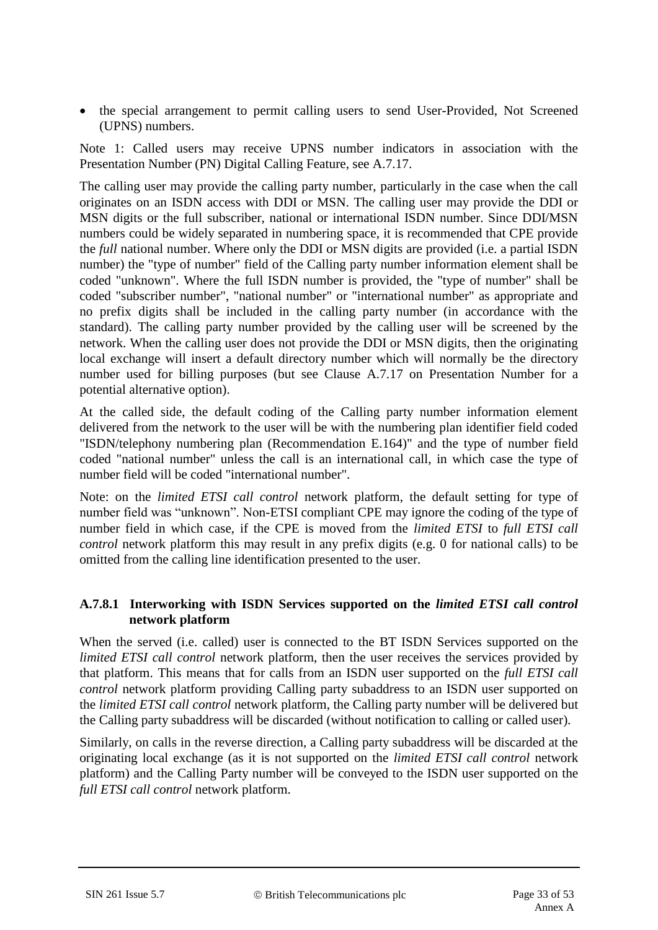• the special arrangement to permit calling users to send User-Provided, Not Screened (UPNS) numbers.

Note 1: Called users may receive UPNS number indicators in association with the Presentation Number (PN) Digital Calling Feature, see A.7.17.

The calling user may provide the calling party number, particularly in the case when the call originates on an ISDN access with DDI or MSN. The calling user may provide the DDI or MSN digits or the full subscriber, national or international ISDN number. Since DDI/MSN numbers could be widely separated in numbering space, it is recommended that CPE provide the *full* national number. Where only the DDI or MSN digits are provided (i.e. a partial ISDN number) the "type of number" field of the Calling party number information element shall be coded "unknown". Where the full ISDN number is provided, the "type of number" shall be coded "subscriber number", "national number" or "international number" as appropriate and no prefix digits shall be included in the calling party number (in accordance with the standard). The calling party number provided by the calling user will be screened by the network. When the calling user does not provide the DDI or MSN digits, then the originating local exchange will insert a default directory number which will normally be the directory number used for billing purposes (but see Clause A.7.17 on Presentation Number for a potential alternative option).

At the called side, the default coding of the Calling party number information element delivered from the network to the user will be with the numbering plan identifier field coded "ISDN/telephony numbering plan (Recommendation E.164)" and the type of number field coded "national number" unless the call is an international call, in which case the type of number field will be coded "international number".

Note: on the *limited ETSI call control* network platform, the default setting for type of number field was "unknown". Non-ETSI compliant CPE may ignore the coding of the type of number field in which case, if the CPE is moved from the *limited ETSI* to *full ETSI call control* network platform this may result in any prefix digits (e.g. 0 for national calls) to be omitted from the calling line identification presented to the user.

## **A.7.8.1 Interworking with ISDN Services supported on the** *limited ETSI call control*  **network platform**

When the served (i.e. called) user is connected to the BT ISDN Services supported on the *limited ETSI call control* network platform, then the user receives the services provided by that platform. This means that for calls from an ISDN user supported on the *full ETSI call control* network platform providing Calling party subaddress to an ISDN user supported on the *limited ETSI call control* network platform, the Calling party number will be delivered but the Calling party subaddress will be discarded (without notification to calling or called user).

Similarly, on calls in the reverse direction, a Calling party subaddress will be discarded at the originating local exchange (as it is not supported on the *limited ETSI call control* network platform) and the Calling Party number will be conveyed to the ISDN user supported on the *full ETSI call control* network platform.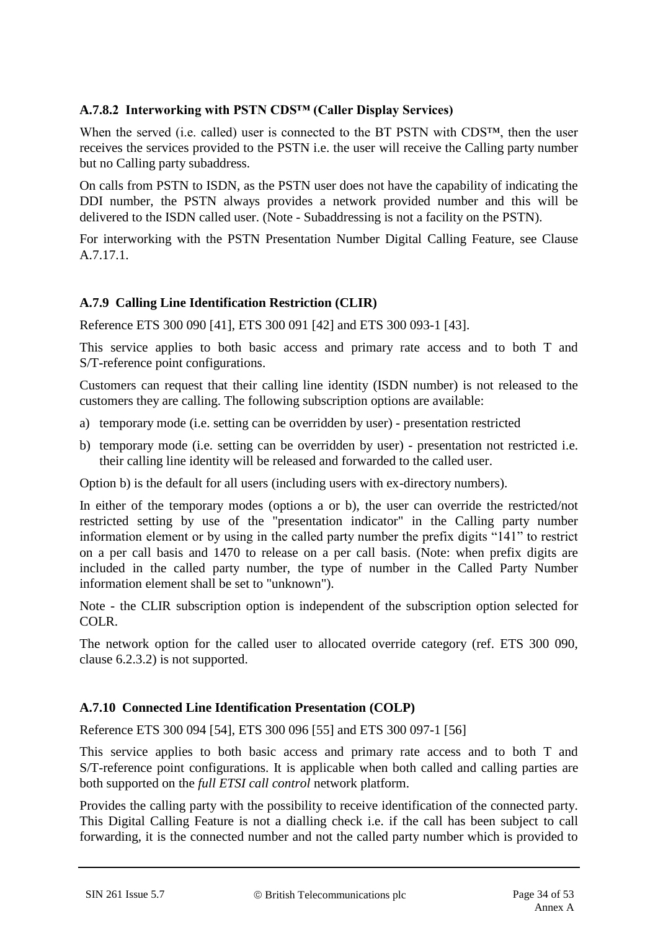## **A.7.8.2 Interworking with PSTN CDS™ (Caller Display Services)**

When the served (i.e. called) user is connected to the BT PSTN with CDS™, then the user receives the services provided to the PSTN i.e. the user will receive the Calling party number but no Calling party subaddress.

On calls from PSTN to ISDN, as the PSTN user does not have the capability of indicating the DDI number, the PSTN always provides a network provided number and this will be delivered to the ISDN called user. (Note - Subaddressing is not a facility on the PSTN).

For interworking with the PSTN Presentation Number Digital Calling Feature, see Clause A.7.17.1.

## **A.7.9 Calling Line Identification Restriction (CLIR)**

Reference ETS 300 090 [41], ETS 300 091 [42] and ETS 300 093-1 [43].

This service applies to both basic access and primary rate access and to both T and S/T-reference point configurations.

Customers can request that their calling line identity (ISDN number) is not released to the customers they are calling. The following subscription options are available:

- a) temporary mode (i.e. setting can be overridden by user) presentation restricted
- b) temporary mode (i.e. setting can be overridden by user) presentation not restricted i.e. their calling line identity will be released and forwarded to the called user.

Option b) is the default for all users (including users with ex-directory numbers).

In either of the temporary modes (options a or b), the user can override the restricted/not restricted setting by use of the "presentation indicator" in the Calling party number information element or by using in the called party number the prefix digits "141" to restrict on a per call basis and 1470 to release on a per call basis. (Note: when prefix digits are included in the called party number, the type of number in the Called Party Number information element shall be set to "unknown").

Note - the CLIR subscription option is independent of the subscription option selected for COLR.

The network option for the called user to allocated override category (ref. ETS 300 090, clause 6.2.3.2) is not supported.

#### **A.7.10 Connected Line Identification Presentation (COLP)**

Reference ETS 300 094 [54], ETS 300 096 [55] and ETS 300 097-1 [56]

This service applies to both basic access and primary rate access and to both T and S/T-reference point configurations. It is applicable when both called and calling parties are both supported on the *full ETSI call control* network platform.

Provides the calling party with the possibility to receive identification of the connected party. This Digital Calling Feature is not a dialling check i.e. if the call has been subject to call forwarding, it is the connected number and not the called party number which is provided to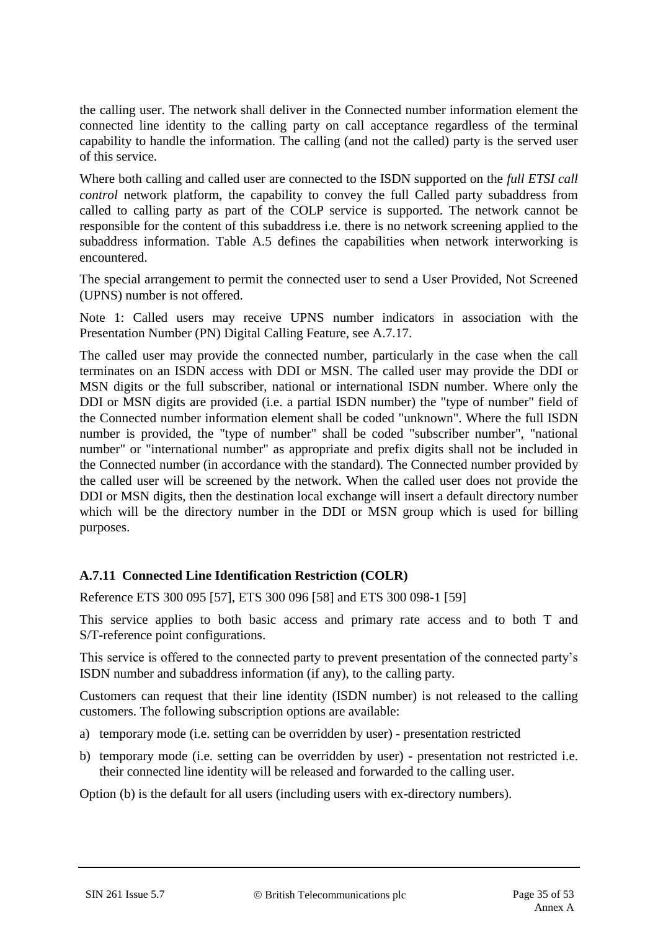the calling user. The network shall deliver in the Connected number information element the connected line identity to the calling party on call acceptance regardless of the terminal capability to handle the information. The calling (and not the called) party is the served user of this service.

Where both calling and called user are connected to the ISDN supported on the *full ETSI call control* network platform, the capability to convey the full Called party subaddress from called to calling party as part of the COLP service is supported. The network cannot be responsible for the content of this subaddress i.e. there is no network screening applied to the subaddress information. Table A.5 defines the capabilities when network interworking is encountered.

The special arrangement to permit the connected user to send a User Provided, Not Screened (UPNS) number is not offered.

Note 1: Called users may receive UPNS number indicators in association with the Presentation Number (PN) Digital Calling Feature, see A.7.17.

The called user may provide the connected number, particularly in the case when the call terminates on an ISDN access with DDI or MSN. The called user may provide the DDI or MSN digits or the full subscriber, national or international ISDN number. Where only the DDI or MSN digits are provided (i.e. a partial ISDN number) the "type of number" field of the Connected number information element shall be coded "unknown". Where the full ISDN number is provided, the "type of number" shall be coded "subscriber number", "national number" or "international number" as appropriate and prefix digits shall not be included in the Connected number (in accordance with the standard). The Connected number provided by the called user will be screened by the network. When the called user does not provide the DDI or MSN digits, then the destination local exchange will insert a default directory number which will be the directory number in the DDI or MSN group which is used for billing purposes.

## **A.7.11 Connected Line Identification Restriction (COLR)**

Reference ETS 300 095 [57], ETS 300 096 [58] and ETS 300 098-1 [59]

This service applies to both basic access and primary rate access and to both T and S/T-reference point configurations.

This service is offered to the connected party to prevent presentation of the connected party's ISDN number and subaddress information (if any), to the calling party.

Customers can request that their line identity (ISDN number) is not released to the calling customers. The following subscription options are available:

- a) temporary mode (i.e. setting can be overridden by user) presentation restricted
- b) temporary mode (i.e. setting can be overridden by user) presentation not restricted i.e. their connected line identity will be released and forwarded to the calling user.

Option (b) is the default for all users (including users with ex-directory numbers).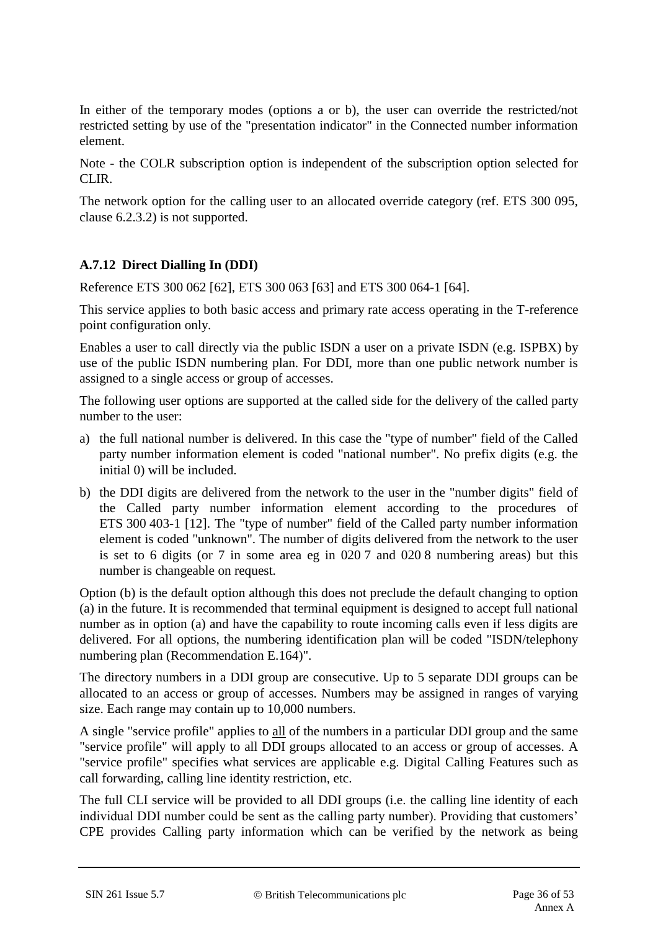In either of the temporary modes (options a or b), the user can override the restricted/not restricted setting by use of the "presentation indicator" in the Connected number information element.

Note - the COLR subscription option is independent of the subscription option selected for CLIR.

The network option for the calling user to an allocated override category (ref. ETS 300 095, clause 6.2.3.2) is not supported.

## **A.7.12 Direct Dialling In (DDI)**

Reference ETS 300 062 [62], ETS 300 063 [63] and ETS 300 064-1 [64].

This service applies to both basic access and primary rate access operating in the T-reference point configuration only.

Enables a user to call directly via the public ISDN a user on a private ISDN (e.g. ISPBX) by use of the public ISDN numbering plan. For DDI, more than one public network number is assigned to a single access or group of accesses.

The following user options are supported at the called side for the delivery of the called party number to the user:

- a) the full national number is delivered. In this case the "type of number" field of the Called party number information element is coded "national number". No prefix digits (e.g. the initial 0) will be included.
- b) the DDI digits are delivered from the network to the user in the "number digits" field of the Called party number information element according to the procedures of ETS 300 403-1 [12]. The "type of number" field of the Called party number information element is coded "unknown". The number of digits delivered from the network to the user is set to 6 digits (or 7 in some area eg in 020 7 and 020 8 numbering areas) but this number is changeable on request.

Option (b) is the default option although this does not preclude the default changing to option (a) in the future. It is recommended that terminal equipment is designed to accept full national number as in option (a) and have the capability to route incoming calls even if less digits are delivered. For all options, the numbering identification plan will be coded "ISDN/telephony numbering plan (Recommendation E.164)".

The directory numbers in a DDI group are consecutive. Up to 5 separate DDI groups can be allocated to an access or group of accesses. Numbers may be assigned in ranges of varying size. Each range may contain up to 10,000 numbers.

A single "service profile" applies to all of the numbers in a particular DDI group and the same "service profile" will apply to all DDI groups allocated to an access or group of accesses. A "service profile" specifies what services are applicable e.g. Digital Calling Features such as call forwarding, calling line identity restriction, etc.

The full CLI service will be provided to all DDI groups (i.e. the calling line identity of each individual DDI number could be sent as the calling party number). Providing that customers' CPE provides Calling party information which can be verified by the network as being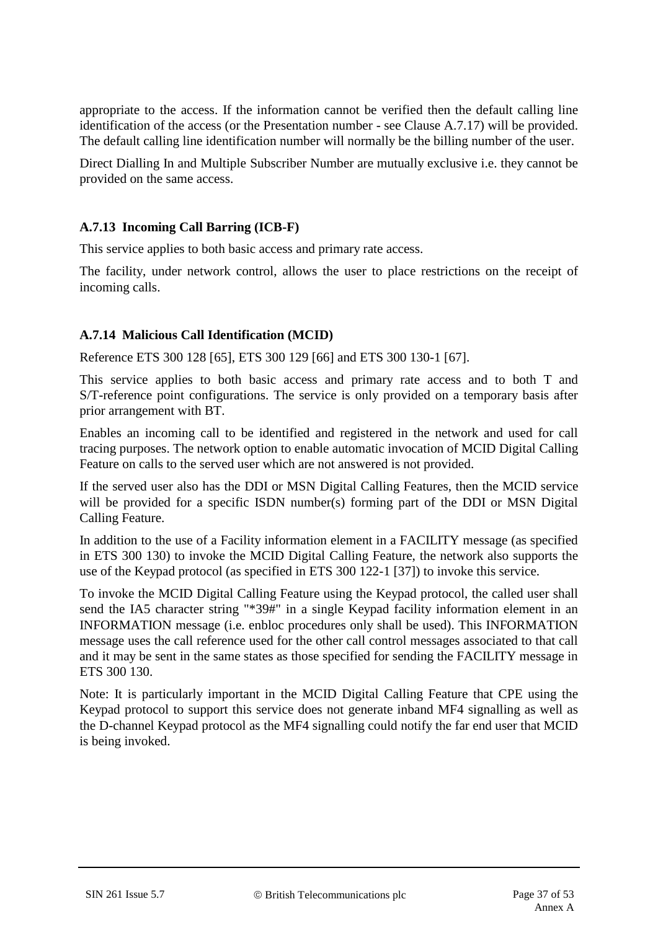appropriate to the access. If the information cannot be verified then the default calling line identification of the access (or the Presentation number - see Clause A.7.17) will be provided. The default calling line identification number will normally be the billing number of the user.

Direct Dialling In and Multiple Subscriber Number are mutually exclusive i.e. they cannot be provided on the same access.

#### **A.7.13 Incoming Call Barring (ICB-F)**

This service applies to both basic access and primary rate access.

The facility, under network control, allows the user to place restrictions on the receipt of incoming calls.

#### **A.7.14 Malicious Call Identification (MCID)**

Reference ETS 300 128 [65], ETS 300 129 [66] and ETS 300 130-1 [67].

This service applies to both basic access and primary rate access and to both T and S/T-reference point configurations. The service is only provided on a temporary basis after prior arrangement with BT.

Enables an incoming call to be identified and registered in the network and used for call tracing purposes. The network option to enable automatic invocation of MCID Digital Calling Feature on calls to the served user which are not answered is not provided.

If the served user also has the DDI or MSN Digital Calling Features, then the MCID service will be provided for a specific ISDN number(s) forming part of the DDI or MSN Digital Calling Feature.

In addition to the use of a Facility information element in a FACILITY message (as specified in ETS 300 130) to invoke the MCID Digital Calling Feature, the network also supports the use of the Keypad protocol (as specified in ETS 300 122-1 [37]) to invoke this service.

To invoke the MCID Digital Calling Feature using the Keypad protocol, the called user shall send the IA5 character string "\*39#" in a single Keypad facility information element in an INFORMATION message (i.e. enbloc procedures only shall be used). This INFORMATION message uses the call reference used for the other call control messages associated to that call and it may be sent in the same states as those specified for sending the FACILITY message in ETS 300 130.

Note: It is particularly important in the MCID Digital Calling Feature that CPE using the Keypad protocol to support this service does not generate inband MF4 signalling as well as the D-channel Keypad protocol as the MF4 signalling could notify the far end user that MCID is being invoked.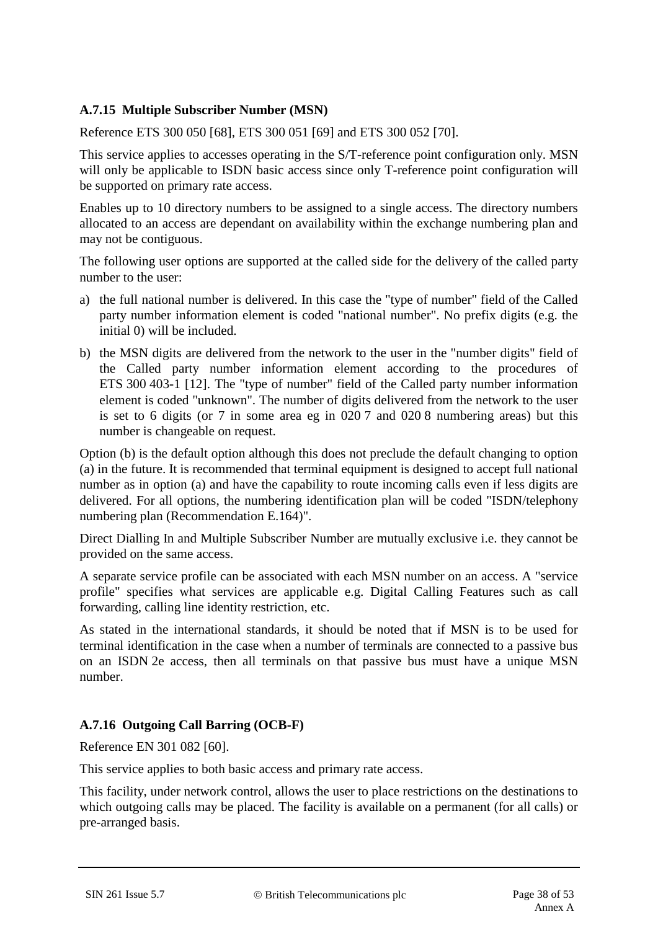## **A.7.15 Multiple Subscriber Number (MSN)**

Reference ETS 300 050 [68], ETS 300 051 [69] and ETS 300 052 [70].

This service applies to accesses operating in the S/T-reference point configuration only. MSN will only be applicable to ISDN basic access since only T-reference point configuration will be supported on primary rate access.

Enables up to 10 directory numbers to be assigned to a single access. The directory numbers allocated to an access are dependant on availability within the exchange numbering plan and may not be contiguous.

The following user options are supported at the called side for the delivery of the called party number to the user:

- a) the full national number is delivered. In this case the "type of number" field of the Called party number information element is coded "national number". No prefix digits (e.g. the initial 0) will be included.
- b) the MSN digits are delivered from the network to the user in the "number digits" field of the Called party number information element according to the procedures of ETS 300 403-1 [12]. The "type of number" field of the Called party number information element is coded "unknown". The number of digits delivered from the network to the user is set to 6 digits (or 7 in some area eg in 020 7 and 020 8 numbering areas) but this number is changeable on request.

Option (b) is the default option although this does not preclude the default changing to option (a) in the future. It is recommended that terminal equipment is designed to accept full national number as in option (a) and have the capability to route incoming calls even if less digits are delivered. For all options, the numbering identification plan will be coded "ISDN/telephony numbering plan (Recommendation E.164)".

Direct Dialling In and Multiple Subscriber Number are mutually exclusive i.e. they cannot be provided on the same access.

A separate service profile can be associated with each MSN number on an access. A "service profile" specifies what services are applicable e.g. Digital Calling Features such as call forwarding, calling line identity restriction, etc.

As stated in the international standards, it should be noted that if MSN is to be used for terminal identification in the case when a number of terminals are connected to a passive bus on an ISDN 2e access, then all terminals on that passive bus must have a unique MSN number.

## **A.7.16 Outgoing Call Barring (OCB-F)**

Reference EN 301 082 [60].

This service applies to both basic access and primary rate access.

This facility, under network control, allows the user to place restrictions on the destinations to which outgoing calls may be placed. The facility is available on a permanent (for all calls) or pre-arranged basis.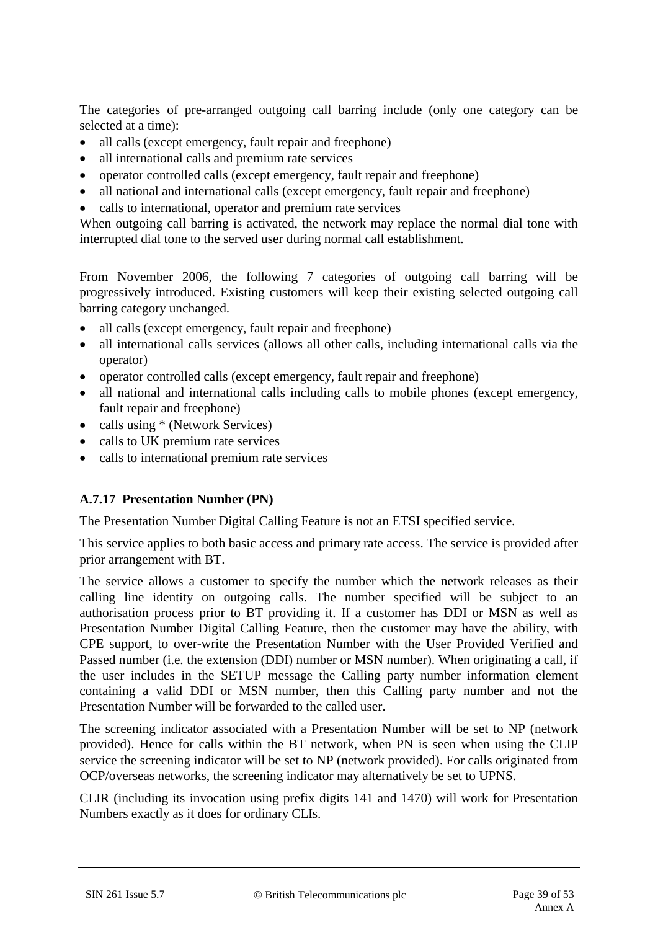The categories of pre-arranged outgoing call barring include (only one category can be selected at a time):

- all calls (except emergency, fault repair and freephone)
- all international calls and premium rate services
- operator controlled calls (except emergency, fault repair and freephone)
- all national and international calls (except emergency, fault repair and freephone)
- calls to international, operator and premium rate services

When outgoing call barring is activated, the network may replace the normal dial tone with interrupted dial tone to the served user during normal call establishment.

From November 2006, the following 7 categories of outgoing call barring will be progressively introduced. Existing customers will keep their existing selected outgoing call barring category unchanged.

- all calls (except emergency, fault repair and freephone)
- all international calls services (allows all other calls, including international calls via the operator)
- operator controlled calls (except emergency, fault repair and freephone)
- all national and international calls including calls to mobile phones (except emergency, fault repair and freephone)
- calls using \* (Network Services)
- calls to UK premium rate services
- calls to international premium rate services

#### **A.7.17 Presentation Number (PN)**

The Presentation Number Digital Calling Feature is not an ETSI specified service.

This service applies to both basic access and primary rate access. The service is provided after prior arrangement with BT.

The service allows a customer to specify the number which the network releases as their calling line identity on outgoing calls. The number specified will be subject to an authorisation process prior to BT providing it. If a customer has DDI or MSN as well as Presentation Number Digital Calling Feature, then the customer may have the ability, with CPE support, to over-write the Presentation Number with the User Provided Verified and Passed number (i.e. the extension (DDI) number or MSN number). When originating a call, if the user includes in the SETUP message the Calling party number information element containing a valid DDI or MSN number, then this Calling party number and not the Presentation Number will be forwarded to the called user.

The screening indicator associated with a Presentation Number will be set to NP (network provided). Hence for calls within the BT network, when PN is seen when using the CLIP service the screening indicator will be set to NP (network provided). For calls originated from OCP/overseas networks, the screening indicator may alternatively be set to UPNS.

CLIR (including its invocation using prefix digits 141 and 1470) will work for Presentation Numbers exactly as it does for ordinary CLIs.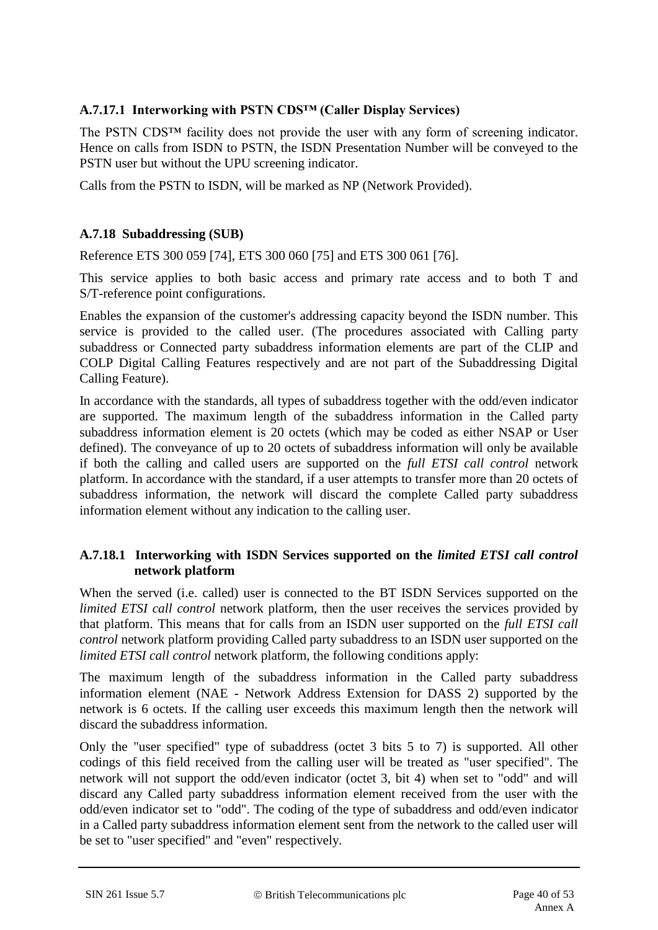## **A.7.17.1 Interworking with PSTN CDS™ (Caller Display Services)**

The PSTN CDS<sup>™</sup> facility does not provide the user with any form of screening indicator. Hence on calls from ISDN to PSTN, the ISDN Presentation Number will be conveyed to the PSTN user but without the UPU screening indicator.

Calls from the PSTN to ISDN, will be marked as NP (Network Provided).

#### **A.7.18 Subaddressing (SUB)**

Reference ETS 300 059 [74], ETS 300 060 [75] and ETS 300 061 [76].

This service applies to both basic access and primary rate access and to both T and S/T-reference point configurations.

Enables the expansion of the customer's addressing capacity beyond the ISDN number. This service is provided to the called user. (The procedures associated with Calling party subaddress or Connected party subaddress information elements are part of the CLIP and COLP Digital Calling Features respectively and are not part of the Subaddressing Digital Calling Feature).

In accordance with the standards, all types of subaddress together with the odd/even indicator are supported. The maximum length of the subaddress information in the Called party subaddress information element is 20 octets (which may be coded as either NSAP or User defined). The conveyance of up to 20 octets of subaddress information will only be available if both the calling and called users are supported on the *full ETSI call control* network platform. In accordance with the standard, if a user attempts to transfer more than 20 octets of subaddress information, the network will discard the complete Called party subaddress information element without any indication to the calling user.

#### **A.7.18.1 Interworking with ISDN Services supported on the** *limited ETSI call control*  **network platform**

When the served (i.e. called) user is connected to the BT ISDN Services supported on the *limited ETSI call control* network platform, then the user receives the services provided by that platform. This means that for calls from an ISDN user supported on the *full ETSI call control* network platform providing Called party subaddress to an ISDN user supported on the *limited ETSI call control* network platform, the following conditions apply:

The maximum length of the subaddress information in the Called party subaddress information element (NAE - Network Address Extension for DASS 2) supported by the network is 6 octets. If the calling user exceeds this maximum length then the network will discard the subaddress information.

Only the "user specified" type of subaddress (octet 3 bits 5 to 7) is supported. All other codings of this field received from the calling user will be treated as "user specified". The network will not support the odd/even indicator (octet 3, bit 4) when set to "odd" and will discard any Called party subaddress information element received from the user with the odd/even indicator set to "odd". The coding of the type of subaddress and odd/even indicator in a Called party subaddress information element sent from the network to the called user will be set to "user specified" and "even" respectively.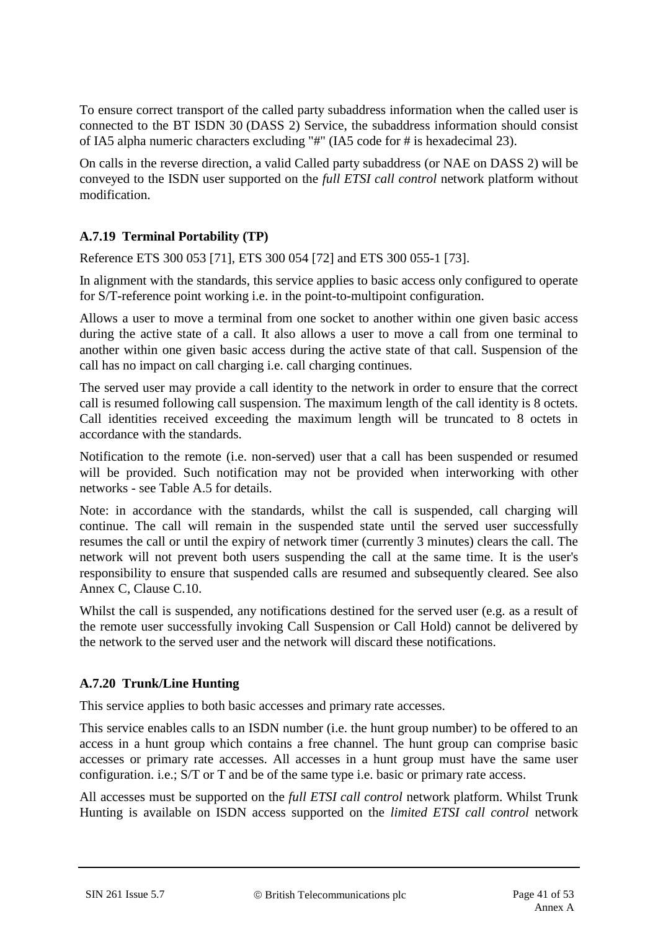To ensure correct transport of the called party subaddress information when the called user is connected to the BT ISDN 30 (DASS 2) Service, the subaddress information should consist of IA5 alpha numeric characters excluding "#" (IA5 code for # is hexadecimal 23).

On calls in the reverse direction, a valid Called party subaddress (or NAE on DASS 2) will be conveyed to the ISDN user supported on the *full ETSI call control* network platform without modification.

## **A.7.19 Terminal Portability (TP)**

Reference ETS 300 053 [71], ETS 300 054 [72] and ETS 300 055-1 [73].

In alignment with the standards, this service applies to basic access only configured to operate for S/T-reference point working i.e. in the point-to-multipoint configuration.

Allows a user to move a terminal from one socket to another within one given basic access during the active state of a call. It also allows a user to move a call from one terminal to another within one given basic access during the active state of that call. Suspension of the call has no impact on call charging i.e. call charging continues.

The served user may provide a call identity to the network in order to ensure that the correct call is resumed following call suspension. The maximum length of the call identity is 8 octets*.*  Call identities received exceeding the maximum length will be truncated to 8 octets in accordance with the standards.

Notification to the remote (i.e. non-served) user that a call has been suspended or resumed will be provided. Such notification may not be provided when interworking with other networks - see Table A.5 for details.

Note: in accordance with the standards, whilst the call is suspended, call charging will continue. The call will remain in the suspended state until the served user successfully resumes the call or until the expiry of network timer (currently 3 minutes) clears the call. The network will not prevent both users suspending the call at the same time. It is the user's responsibility to ensure that suspended calls are resumed and subsequently cleared. See also Annex C, Clause C.10.

Whilst the call is suspended, any notifications destined for the served user (e.g. as a result of the remote user successfully invoking Call Suspension or Call Hold) cannot be delivered by the network to the served user and the network will discard these notifications.

## **A.7.20 Trunk/Line Hunting**

This service applies to both basic accesses and primary rate accesses.

This service enables calls to an ISDN number (i.e. the hunt group number) to be offered to an access in a hunt group which contains a free channel. The hunt group can comprise basic accesses or primary rate accesses. All accesses in a hunt group must have the same user configuration. i.e.; S/T or T and be of the same type i.e. basic or primary rate access.

All accesses must be supported on the *full ETSI call control* network platform. Whilst Trunk Hunting is available on ISDN access supported on the *limited ETSI call control* network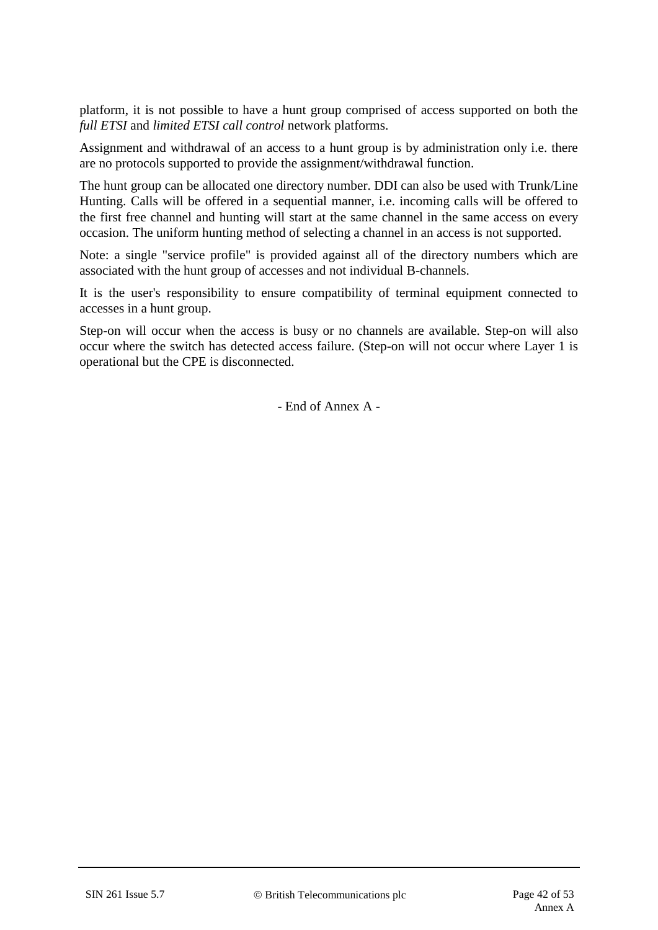platform, it is not possible to have a hunt group comprised of access supported on both the *full ETSI* and *limited ETSI call control* network platforms.

Assignment and withdrawal of an access to a hunt group is by administration only i.e. there are no protocols supported to provide the assignment/withdrawal function.

The hunt group can be allocated one directory number. DDI can also be used with Trunk/Line Hunting. Calls will be offered in a sequential manner, i.e. incoming calls will be offered to the first free channel and hunting will start at the same channel in the same access on every occasion. The uniform hunting method of selecting a channel in an access is not supported.

Note: a single "service profile" is provided against all of the directory numbers which are associated with the hunt group of accesses and not individual B-channels.

It is the user's responsibility to ensure compatibility of terminal equipment connected to accesses in a hunt group.

Step-on will occur when the access is busy or no channels are available. Step-on will also occur where the switch has detected access failure. (Step-on will not occur where Layer 1 is operational but the CPE is disconnected.

- End of Annex A -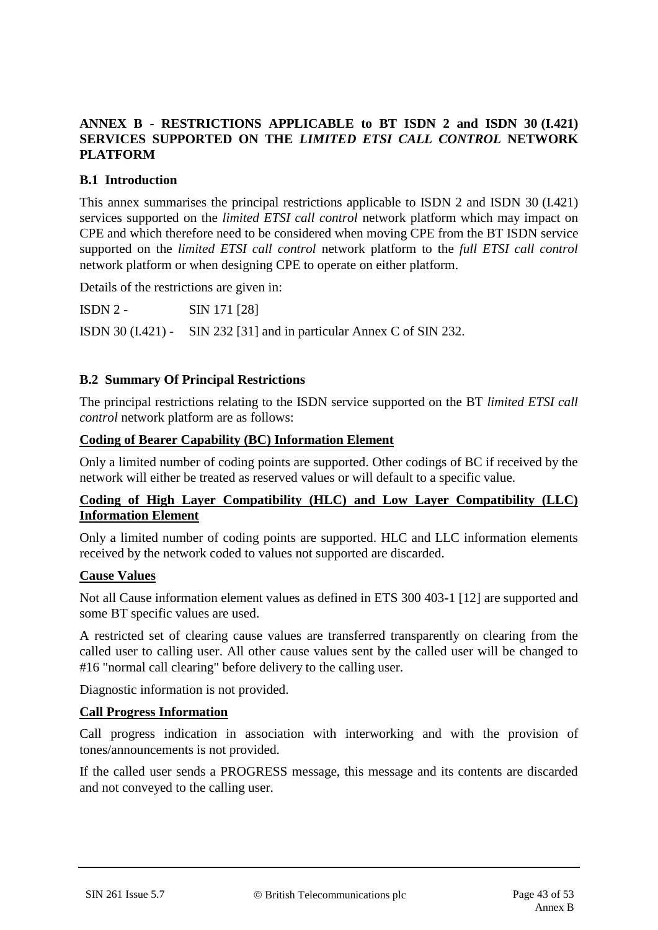## **ANNEX B - RESTRICTIONS APPLICABLE to BT ISDN 2 and ISDN 30 (I.421) SERVICES SUPPORTED ON THE** *LIMITED ETSI CALL CONTROL* **NETWORK PLATFORM**

## **B.1 Introduction**

This annex summarises the principal restrictions applicable to ISDN 2 and ISDN 30 (I.421) services supported on the *limited ETSI call control* network platform which may impact on CPE and which therefore need to be considered when moving CPE from the BT ISDN service supported on the *limited ETSI call control* network platform to the *full ETSI call control* network platform or when designing CPE to operate on either platform.

Details of the restrictions are given in:

ISDN 2 - SIN 171 [28]

ISDN 30 (I.421) - SIN 232 [31] and in particular Annex C of SIN 232.

#### **B.2 Summary Of Principal Restrictions**

The principal restrictions relating to the ISDN service supported on the BT *limited ETSI call control* network platform are as follows:

#### **Coding of Bearer Capability (BC) Information Element**

Only a limited number of coding points are supported. Other codings of BC if received by the network will either be treated as reserved values or will default to a specific value.

## **Coding of High Layer Compatibility (HLC) and Low Layer Compatibility (LLC) Information Element**

Only a limited number of coding points are supported. HLC and LLC information elements received by the network coded to values not supported are discarded.

#### **Cause Values**

Not all Cause information element values as defined in ETS 300 403-1 [12] are supported and some BT specific values are used.

A restricted set of clearing cause values are transferred transparently on clearing from the called user to calling user. All other cause values sent by the called user will be changed to #16 "normal call clearing" before delivery to the calling user.

Diagnostic information is not provided.

#### **Call Progress Information**

Call progress indication in association with interworking and with the provision of tones/announcements is not provided.

If the called user sends a PROGRESS message, this message and its contents are discarded and not conveyed to the calling user.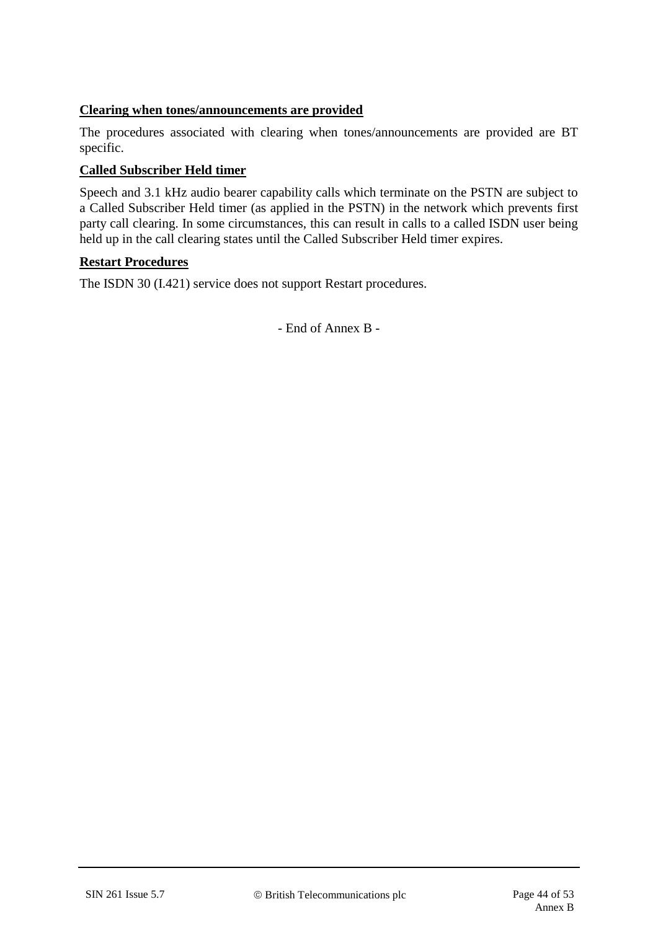## **Clearing when tones/announcements are provided**

The procedures associated with clearing when tones/announcements are provided are BT specific.

#### **Called Subscriber Held timer**

Speech and 3.1 kHz audio bearer capability calls which terminate on the PSTN are subject to a Called Subscriber Held timer (as applied in the PSTN) in the network which prevents first party call clearing. In some circumstances, this can result in calls to a called ISDN user being held up in the call clearing states until the Called Subscriber Held timer expires.

#### **Restart Procedures**

The ISDN 30 (I.421) service does not support Restart procedures.

- End of Annex B -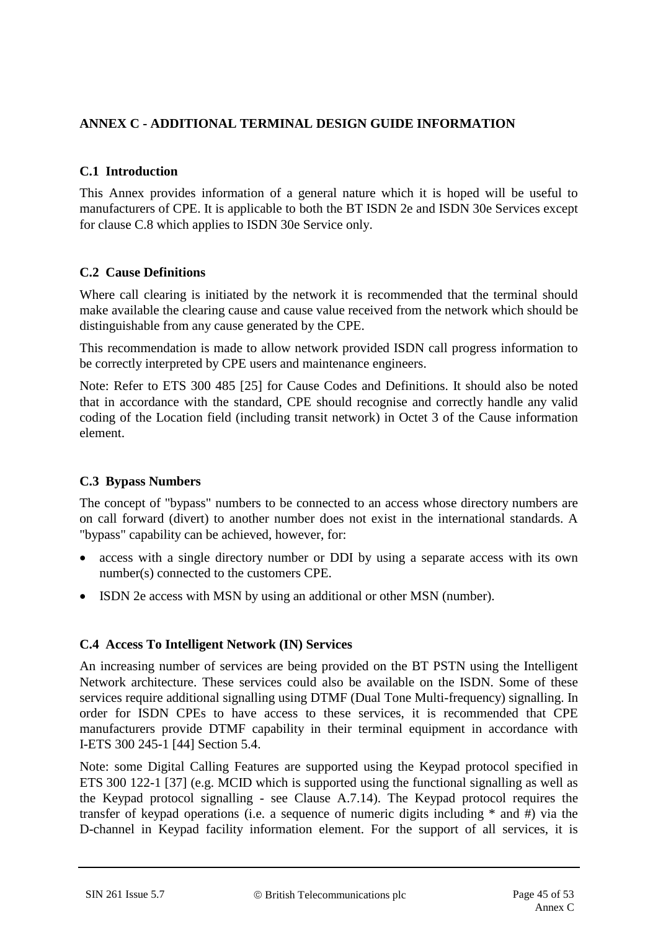## **ANNEX C - ADDITIONAL TERMINAL DESIGN GUIDE INFORMATION**

## **C.1 Introduction**

This Annex provides information of a general nature which it is hoped will be useful to manufacturers of CPE. It is applicable to both the BT ISDN 2e and ISDN 30e Services except for clause C.8 which applies to ISDN 30e Service only.

#### **C.2 Cause Definitions**

Where call clearing is initiated by the network it is recommended that the terminal should make available the clearing cause and cause value received from the network which should be distinguishable from any cause generated by the CPE.

This recommendation is made to allow network provided ISDN call progress information to be correctly interpreted by CPE users and maintenance engineers.

Note: Refer to ETS 300 485 [25] for Cause Codes and Definitions. It should also be noted that in accordance with the standard, CPE should recognise and correctly handle any valid coding of the Location field (including transit network) in Octet 3 of the Cause information element.

## **C.3 Bypass Numbers**

The concept of "bypass" numbers to be connected to an access whose directory numbers are on call forward (divert) to another number does not exist in the international standards. A "bypass" capability can be achieved, however, for:

- access with a single directory number or DDI by using a separate access with its own number(s) connected to the customers CPE.
- ISDN 2e access with MSN by using an additional or other MSN (number).

## **C.4 Access To Intelligent Network (IN) Services**

An increasing number of services are being provided on the BT PSTN using the Intelligent Network architecture. These services could also be available on the ISDN. Some of these services require additional signalling using DTMF (Dual Tone Multi-frequency) signalling. In order for ISDN CPEs to have access to these services, it is recommended that CPE manufacturers provide DTMF capability in their terminal equipment in accordance with I-ETS 300 245-1 [44] Section 5.4.

Note: some Digital Calling Features are supported using the Keypad protocol specified in ETS 300 122-1 [37] (e.g. MCID which is supported using the functional signalling as well as the Keypad protocol signalling - see Clause A.7.14). The Keypad protocol requires the transfer of keypad operations (i.e. a sequence of numeric digits including \* and #) via the D-channel in Keypad facility information element. For the support of all services, it is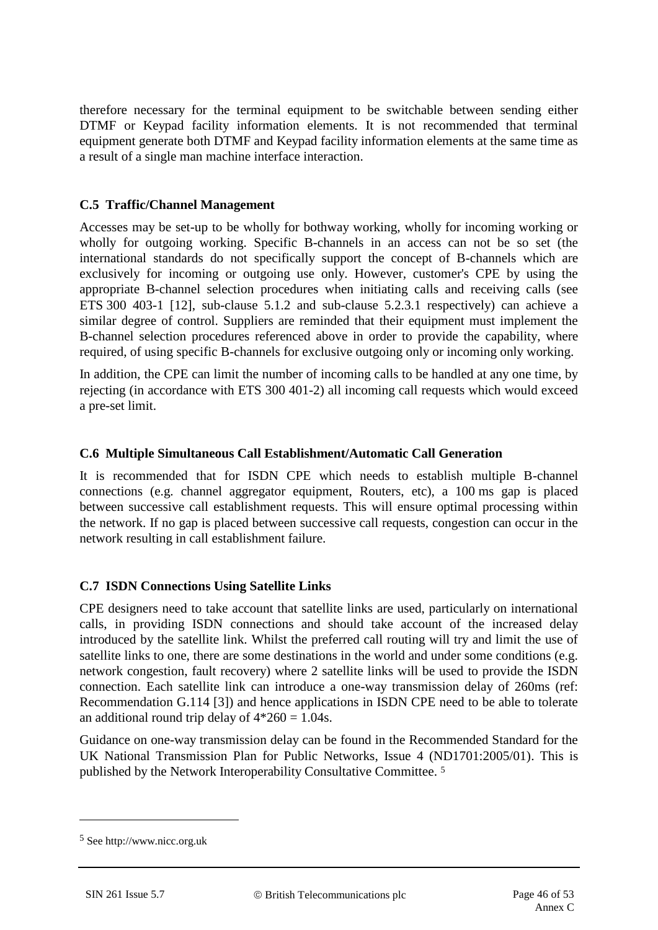therefore necessary for the terminal equipment to be switchable between sending either DTMF or Keypad facility information elements. It is not recommended that terminal equipment generate both DTMF and Keypad facility information elements at the same time as a result of a single man machine interface interaction.

#### **C.5 Traffic/Channel Management**

Accesses may be set-up to be wholly for bothway working, wholly for incoming working or wholly for outgoing working. Specific B-channels in an access can not be so set (the international standards do not specifically support the concept of B-channels which are exclusively for incoming or outgoing use only. However, customer's CPE by using the appropriate B-channel selection procedures when initiating calls and receiving calls (see ETS 300 403-1 [12], sub-clause 5.1.2 and sub-clause 5.2.3.1 respectively) can achieve a similar degree of control. Suppliers are reminded that their equipment must implement the B-channel selection procedures referenced above in order to provide the capability, where required, of using specific B-channels for exclusive outgoing only or incoming only working.

In addition, the CPE can limit the number of incoming calls to be handled at any one time, by rejecting (in accordance with ETS 300 401-2) all incoming call requests which would exceed a pre-set limit.

#### **C.6 Multiple Simultaneous Call Establishment/Automatic Call Generation**

It is recommended that for ISDN CPE which needs to establish multiple B-channel connections (e.g. channel aggregator equipment, Routers, etc), a 100 ms gap is placed between successive call establishment requests. This will ensure optimal processing within the network. If no gap is placed between successive call requests, congestion can occur in the network resulting in call establishment failure.

#### **C.7 ISDN Connections Using Satellite Links**

CPE designers need to take account that satellite links are used, particularly on international calls, in providing ISDN connections and should take account of the increased delay introduced by the satellite link. Whilst the preferred call routing will try and limit the use of satellite links to one, there are some destinations in the world and under some conditions (e.g. network congestion, fault recovery) where 2 satellite links will be used to provide the ISDN connection. Each satellite link can introduce a one-way transmission delay of 260ms (ref: Recommendation G.114 [3]) and hence applications in ISDN CPE need to be able to tolerate an additional round trip delay of  $4*260 = 1.04$ s.

Guidance on one-way transmission delay can be found in the Recommended Standard for the UK National Transmission Plan for Public Networks, Issue 4 (ND1701:2005/01). This is published by the Network Interoperability Consultative Committee. 5

<u>.</u>

<sup>5</sup> See http://www.nicc.org.uk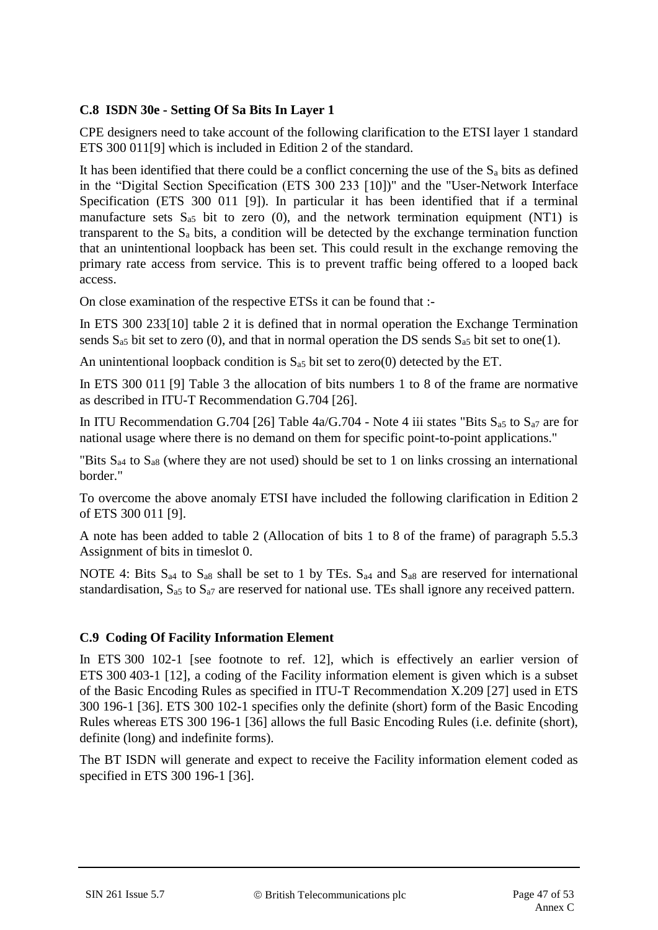## **C.8 ISDN 30e - Setting Of Sa Bits In Layer 1**

CPE designers need to take account of the following clarification to the ETSI layer 1 standard ETS 300 011[9] which is included in Edition 2 of the standard.

It has been identified that there could be a conflict concerning the use of the  $S_a$  bits as defined in the "Digital Section Specification (ETS 300 233 [10])" and the "User-Network Interface Specification (ETS 300 011 [9]). In particular it has been identified that if a terminal manufacture sets  $S_{a5}$  bit to zero (0), and the network termination equipment (NT1) is transparent to the  $S_a$  bits, a condition will be detected by the exchange termination function that an unintentional loopback has been set. This could result in the exchange removing the primary rate access from service. This is to prevent traffic being offered to a looped back access.

On close examination of the respective ETSs it can be found that :-

In ETS 300 233[10] table 2 it is defined that in normal operation the Exchange Termination sends  $S_{a5}$  bit set to zero (0), and that in normal operation the DS sends  $S_{a5}$  bit set to one(1).

An unintentional loopback condition is  $S_{a5}$  bit set to zero(0) detected by the ET.

In ETS 300 011 [9] Table 3 the allocation of bits numbers 1 to 8 of the frame are normative as described in ITU-T Recommendation G.704 [26].

In ITU Recommendation G.704 [26] Table  $4a/G.704$  - Note 4 iii states "Bits  $S_{a5}$  to  $S_{a7}$  are for national usage where there is no demand on them for specific point-to-point applications."

"Bits  $S_{a4}$  to  $S_{a8}$  (where they are not used) should be set to 1 on links crossing an international border."

To overcome the above anomaly ETSI have included the following clarification in Edition 2 of ETS 300 011 [9].

A note has been added to table 2 (Allocation of bits 1 to 8 of the frame) of paragraph 5.5.3 Assignment of bits in timeslot 0.

NOTE 4: Bits  $S_{a4}$  to  $S_{a8}$  shall be set to 1 by TEs.  $S_{a4}$  and  $S_{a8}$  are reserved for international standardisation,  $S_{a5}$  to  $S_{a7}$  are reserved for national use. TEs shall ignore any received pattern.

#### **C.9 Coding Of Facility Information Element**

In ETS 300 102-1 [see footnote to ref. 12], which is effectively an earlier version of ETS 300 403-1 [12], a coding of the Facility information element is given which is a subset of the Basic Encoding Rules as specified in ITU-T Recommendation X.209 [27] used in ETS 300 196-1 [36]. ETS 300 102-1 specifies only the definite (short) form of the Basic Encoding Rules whereas ETS 300 196-1 [36] allows the full Basic Encoding Rules (i.e. definite (short), definite (long) and indefinite forms).

The BT ISDN will generate and expect to receive the Facility information element coded as specified in ETS 300 196-1 [36].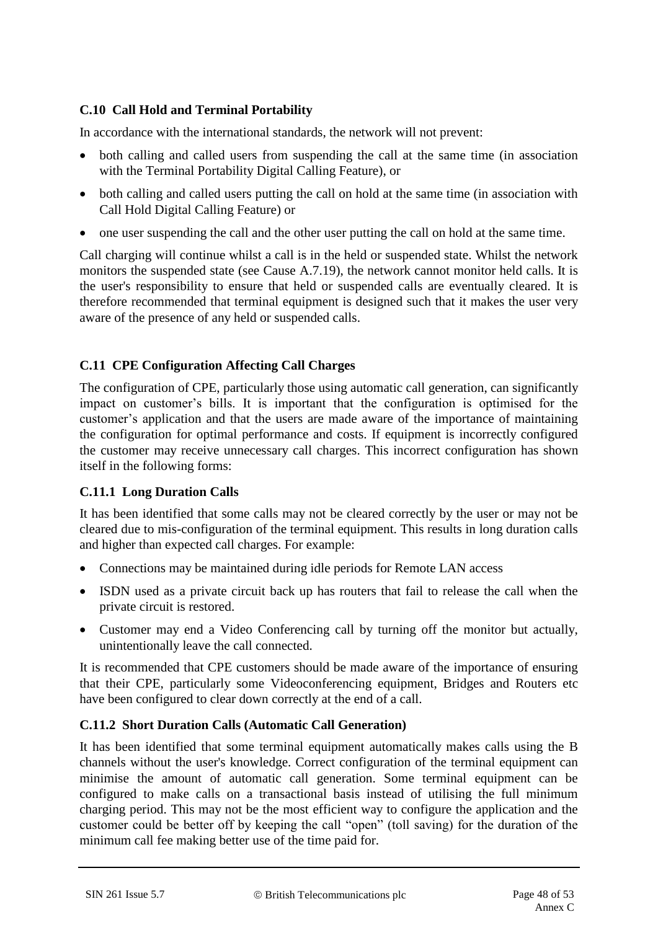## **C.10 Call Hold and Terminal Portability**

In accordance with the international standards, the network will not prevent:

- both calling and called users from suspending the call at the same time (in association with the Terminal Portability Digital Calling Feature), or
- both calling and called users putting the call on hold at the same time (in association with Call Hold Digital Calling Feature) or
- one user suspending the call and the other user putting the call on hold at the same time.

Call charging will continue whilst a call is in the held or suspended state. Whilst the network monitors the suspended state (see Cause A.7.19), the network cannot monitor held calls. It is the user's responsibility to ensure that held or suspended calls are eventually cleared. It is therefore recommended that terminal equipment is designed such that it makes the user very aware of the presence of any held or suspended calls.

## **C.11 CPE Configuration Affecting Call Charges**

The configuration of CPE, particularly those using automatic call generation, can significantly impact on customer's bills. It is important that the configuration is optimised for the customer's application and that the users are made aware of the importance of maintaining the configuration for optimal performance and costs. If equipment is incorrectly configured the customer may receive unnecessary call charges. This incorrect configuration has shown itself in the following forms:

## **C.11.1 Long Duration Calls**

It has been identified that some calls may not be cleared correctly by the user or may not be cleared due to mis-configuration of the terminal equipment. This results in long duration calls and higher than expected call charges. For example:

- Connections may be maintained during idle periods for Remote LAN access
- ISDN used as a private circuit back up has routers that fail to release the call when the private circuit is restored.
- Customer may end a Video Conferencing call by turning off the monitor but actually, unintentionally leave the call connected.

It is recommended that CPE customers should be made aware of the importance of ensuring that their CPE, particularly some Videoconferencing equipment, Bridges and Routers etc have been configured to clear down correctly at the end of a call.

## **C.11.2 Short Duration Calls (Automatic Call Generation)**

It has been identified that some terminal equipment automatically makes calls using the B channels without the user's knowledge. Correct configuration of the terminal equipment can minimise the amount of automatic call generation. Some terminal equipment can be configured to make calls on a transactional basis instead of utilising the full minimum charging period. This may not be the most efficient way to configure the application and the customer could be better off by keeping the call "open" (toll saving) for the duration of the minimum call fee making better use of the time paid for.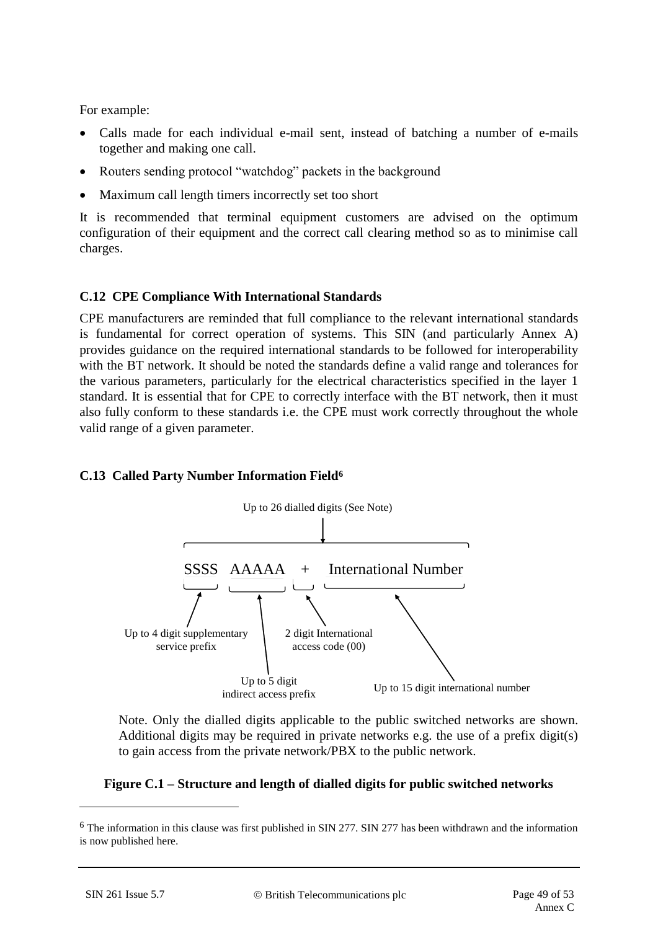For example:

- Calls made for each individual e-mail sent, instead of batching a number of e-mails together and making one call.
- Routers sending protocol "watchdog" packets in the background
- Maximum call length timers incorrectly set too short

It is recommended that terminal equipment customers are advised on the optimum configuration of their equipment and the correct call clearing method so as to minimise call charges.

## **C.12 CPE Compliance With International Standards**

CPE manufacturers are reminded that full compliance to the relevant international standards is fundamental for correct operation of systems. This SIN (and particularly Annex A) provides guidance on the required international standards to be followed for interoperability with the BT network. It should be noted the standards define a valid range and tolerances for the various parameters, particularly for the electrical characteristics specified in the layer 1 standard. It is essential that for CPE to correctly interface with the BT network, then it must also fully conform to these standards i.e. the CPE must work correctly throughout the whole valid range of a given parameter.

#### **C.13 Called Party Number Information Field<sup>6</sup>**



Note. Only the dialled digits applicable to the public switched networks are shown. Additional digits may be required in private networks e.g. the use of a prefix digit(s) to gain access from the private network/PBX to the public network.

#### **Figure C.1 – Structure and length of dialled digits for public switched networks**

<u>.</u>

<sup>6</sup> The information in this clause was first published in SIN 277. SIN 277 has been withdrawn and the information is now published here.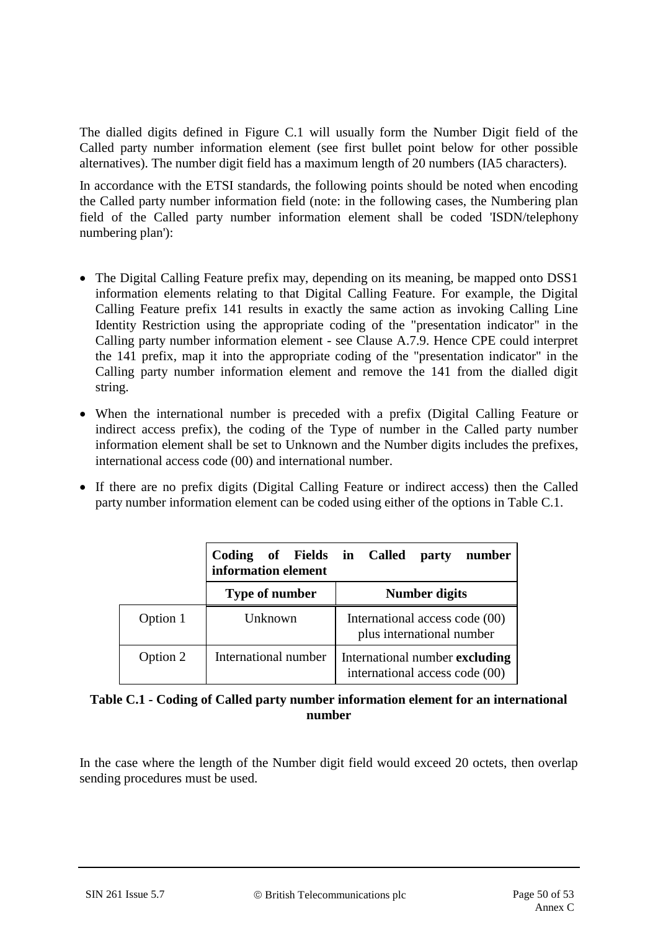The dialled digits defined in Figure C.1 will usually form the Number Digit field of the Called party number information element (see first bullet point below for other possible alternatives). The number digit field has a maximum length of 20 numbers (IA5 characters).

In accordance with the ETSI standards, the following points should be noted when encoding the Called party number information field (note: in the following cases, the Numbering plan field of the Called party number information element shall be coded 'ISDN/telephony numbering plan'):

- The Digital Calling Feature prefix may, depending on its meaning, be mapped onto DSS1 information elements relating to that Digital Calling Feature. For example, the Digital Calling Feature prefix 141 results in exactly the same action as invoking Calling Line Identity Restriction using the appropriate coding of the "presentation indicator" in the Calling party number information element - see Clause A.7.9. Hence CPE could interpret the 141 prefix, map it into the appropriate coding of the "presentation indicator" in the Calling party number information element and remove the 141 from the dialled digit string.
- When the international number is preceded with a prefix (Digital Calling Feature or indirect access prefix), the coding of the Type of number in the Called party number information element shall be set to Unknown and the Number digits includes the prefixes, international access code (00) and international number.
- If there are no prefix digits (Digital Calling Feature or indirect access) then the Called party number information element can be coded using either of the options in Table C.1.

|          | Coding of Fields in Called<br>information element | number<br>party                                                  |  |  |
|----------|---------------------------------------------------|------------------------------------------------------------------|--|--|
|          | Type of number                                    | <b>Number digits</b>                                             |  |  |
| Option 1 | Unknown                                           | International access code (00)<br>plus international number      |  |  |
| Option 2 | International number                              | International number excluding<br>international access code (00) |  |  |

#### **Table C.1 - Coding of Called party number information element for an international number**

In the case where the length of the Number digit field would exceed 20 octets, then overlap sending procedures must be used.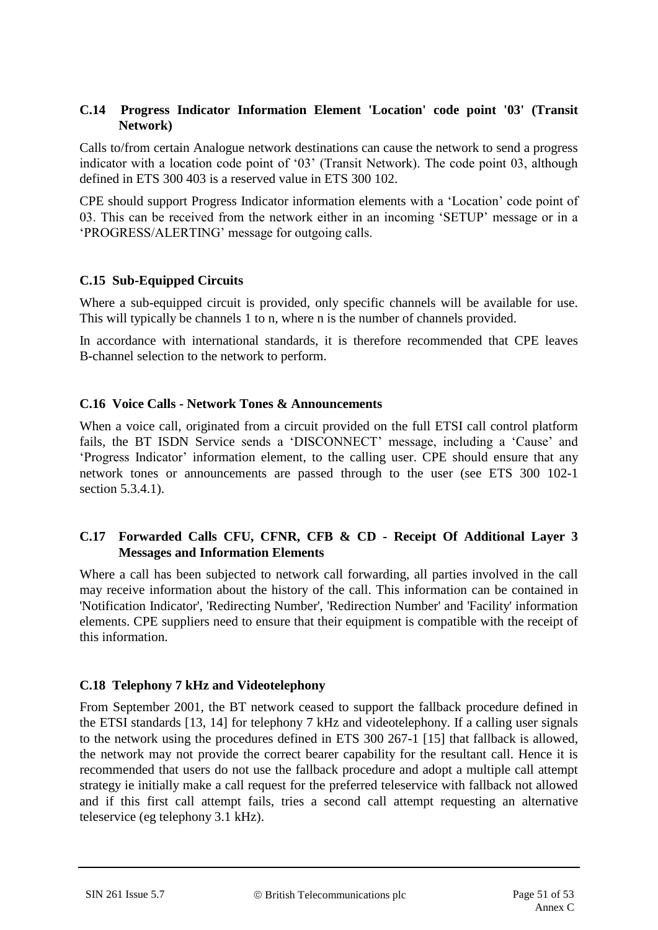#### **C.14 Progress Indicator Information Element 'Location' code point '03' (Transit Network)**

Calls to/from certain Analogue network destinations can cause the network to send a progress indicator with a location code point of '03' (Transit Network). The code point 03, although defined in ETS 300 403 is a reserved value in ETS 300 102.

CPE should support Progress Indicator information elements with a 'Location' code point of 03. This can be received from the network either in an incoming 'SETUP' message or in a 'PROGRESS/ALERTING' message for outgoing calls.

## **C.15 Sub-Equipped Circuits**

Where a sub-equipped circuit is provided, only specific channels will be available for use. This will typically be channels 1 to n, where n is the number of channels provided.

In accordance with international standards, it is therefore recommended that CPE leaves B-channel selection to the network to perform.

## **C.16 Voice Calls - Network Tones & Announcements**

When a voice call, originated from a circuit provided on the full ETSI call control platform fails, the BT ISDN Service sends a 'DISCONNECT' message, including a 'Cause' and 'Progress Indicator' information element, to the calling user. CPE should ensure that any network tones or announcements are passed through to the user (see ETS 300 102-1 section 5.3.4.1).

## **C.17 Forwarded Calls CFU, CFNR, CFB & CD - Receipt Of Additional Layer 3 Messages and Information Elements**

Where a call has been subjected to network call forwarding, all parties involved in the call may receive information about the history of the call. This information can be contained in 'Notification Indicator', 'Redirecting Number', 'Redirection Number' and 'Facility' information elements. CPE suppliers need to ensure that their equipment is compatible with the receipt of this information.

## <span id="page-50-1"></span><span id="page-50-0"></span>**C.18 Telephony 7 kHz and Videotelephony**

From September 2001, the BT network ceased to support the fallback procedure defined in the ETSI standards [13, 14] for telephony 7 kHz and videotelephony. If a calling user signals to the network using the procedures defined in ETS 300 267-1 [15] that fallback is allowed, the network may not provide the correct bearer capability for the resultant call. Hence it is recommended that users do not use the fallback procedure and adopt a multiple call attempt strategy ie initially make a call request for the preferred teleservice with fallback not allowed and if this first call attempt fails, tries a second call attempt requesting an alternative teleservice (eg telephony 3.1 kHz).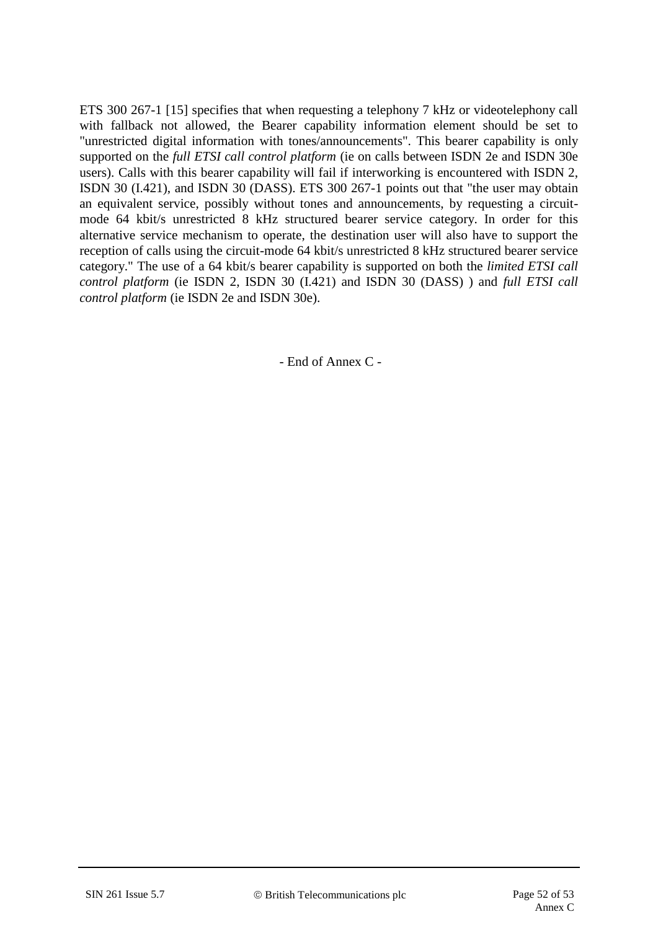ETS 300 267-1 [15] specifies that when requesting a telephony 7 kHz or videotelephony call with fallback not allowed, the Bearer capability information element should be set to "unrestricted digital information with tones/announcements". This bearer capability is only supported on the *full ETSI call control platform* (ie on calls between ISDN 2e and ISDN 30e users). Calls with this bearer capability will fail if interworking is encountered with ISDN 2, ISDN 30 (I.421), and ISDN 30 (DASS). ETS 300 267-1 points out that "the user may obtain an equivalent service, possibly without tones and announcements, by requesting a circuitmode 64 kbit/s unrestricted 8 kHz structured bearer service category. In order for this alternative service mechanism to operate, the destination user will also have to support the reception of calls using the circuit-mode 64 kbit/s unrestricted 8 kHz structured bearer service category." The use of a 64 kbit/s bearer capability is supported on both the *limited ETSI call control platform* (ie ISDN 2, ISDN 30 (I.421) and ISDN 30 (DASS) ) and *full ETSI call control platform* (ie ISDN 2e and ISDN 30e).

- End of Annex C -